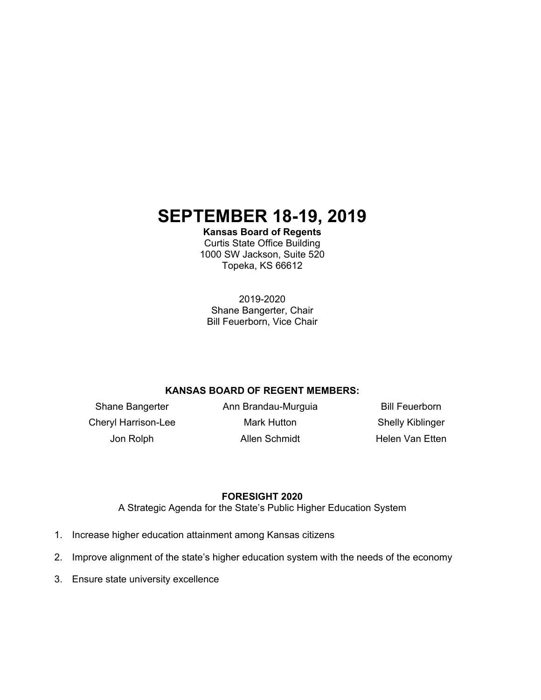# **SEPTEMBER 18-19, 2019**

**Kansas Board of Regents**  Curtis State Office Building 1000 SW Jackson, Suite 520

Topeka, KS 66612

2019-2020 Shane Bangerter, Chair Bill Feuerborn, Vice Chair

# **KANSAS BOARD OF REGENT MEMBERS:**

Shane Bangerter **Ann Brandau-Murguia** Bill Feuerborn Cheryl Harrison-Lee **Mark Hutton** Shelly Kiblinger

Jon Rolph **Allen Schmidt** Helen Van Etten

# **FORESIGHT 2020**

A Strategic Agenda for the State's Public Higher Education System

- 1. Increase higher education attainment among Kansas citizens
- 2. Improve alignment of the state's higher education system with the needs of the economy
- 3. Ensure state university excellence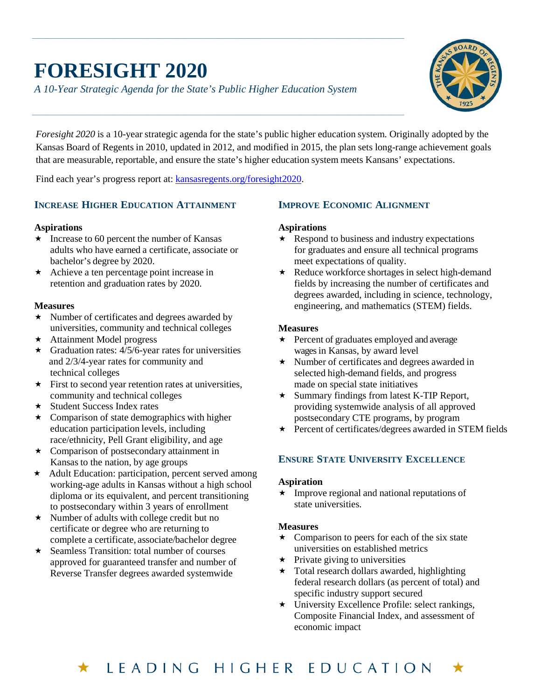# **FORESIGHT 2020**

*A 10-Year Strategic Agenda for the State's Public Higher Education System*



*Foresight 2020* is a 10-year strategic agenda for the state's public higher education system. Originally adopted by the Kansas Board of Regents in 2010, updated in 2012, and modified in 2015, the plan sets long-range achievement goals that are measurable, reportable, and ensure the state's higher education system meets Kansans' expectations.

Find each year's progress report at: [kansasregents.org/foresight2020.](http://www.kansasregents.org/foresight2020)

# **INCREASE HIGHER EDUCATION ATTAINMENT**

# **Aspirations**

- $\star$  Increase to 60 percent the number of Kansas adults who have earned a certificate, associate or bachelor's degree by 2020.
- \* Achieve a ten percentage point increase in retention and graduation rates by 2020.

# **Measures**

- $\star$  Number of certificates and degrees awarded by universities, community and technical colleges
- \* Attainment Model progress
- $\star$  Graduation rates: 4/5/6-year rates for universities and 2/3/4-year rates for community and technical colleges
- $\star$  First to second year retention rates at universities, community and technical colleges
- Student Success Index rates
- $\star$  Comparison of state demographics with higher education participation levels, including race/ethnicity, Pell Grant eligibility, and age
- Comparison of postsecondary attainment in Kansas to the nation, by age groups
- $\star$  Adult Education: participation, percent served among working-age adults in Kansas without a high school diploma or its equivalent, and percent transitioning to postsecondary within 3 years of enrollment
- $\star$  Number of adults with college credit but no certificate or degree who are returning to complete a certificate, associate/bachelor degree
- $\star$  Seamless Transition: total number of courses approved for guaranteed transfer and number of Reverse Transfer degrees awarded systemwide

# **IMPROVE ECONOMIC ALIGNMENT**

# **Aspirations**

- $\star$  Respond to business and industry expectations for graduates and ensure all technical programs meet expectations of quality.
- \* Reduce workforce shortages in select high-demand fields by increasing the number of certificates and degrees awarded, including in science, technology, engineering, and mathematics (STEM) fields.

# **Measures**

- ★ Percent of graduates employed and average wages in Kansas, by award level
- $\star$  Number of certificates and degrees awarded in selected high-demand fields, and progress made on special state initiatives
- $\star$  Summary findings from latest K-TIP Report, providing systemwide analysis of all approved postsecondary CTE programs, by program
- ★ Percent of certificates/degrees awarded in STEM fields

# **ENSURE STATE UNIVERSITY EXCELLENCE**

# **Aspiration**

 $\star$  Improve regional and national reputations of state universities.

# **Measures**

- $\star$  Comparison to peers for each of the six state universities on established metrics
- $\star$  Private giving to universities
- $\star$  Total research dollars awarded, highlighting federal research dollars (as percent of total) and specific industry support secured
- $\star$  University Excellence Profile: select rankings, Composite Financial Index, and assessment of economic impact

#### LEADING HIGHER EDUCATION ★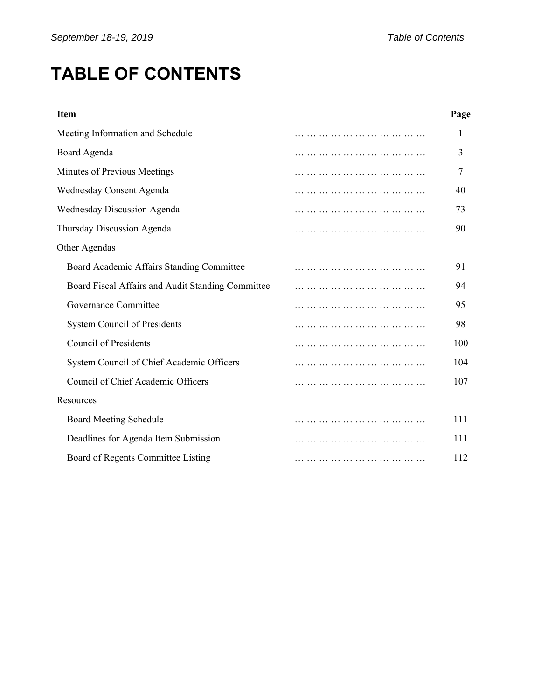# **TABLE OF CONTENTS**

| Page |
|------|
|      |
|      |
|      |
| 40   |
| 73   |
| 90   |
|      |
| 91   |
| 94   |
| 95   |
| 98   |
| 100  |
| 104  |
| 107  |
|      |
| 111  |
| 111  |
| 112  |
|      |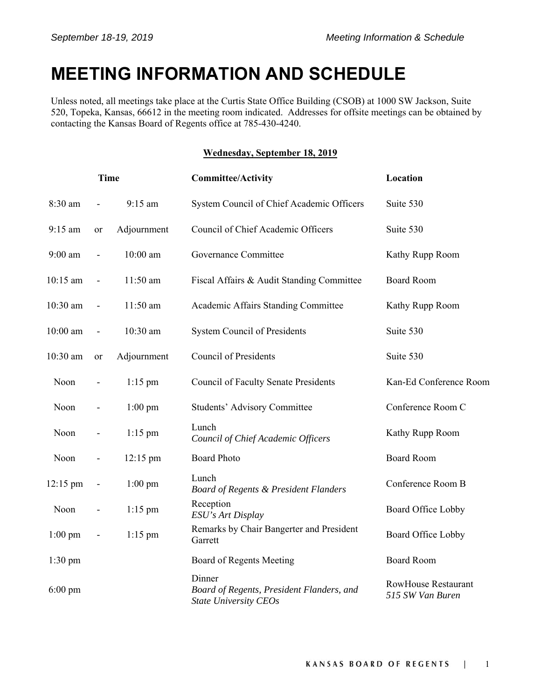# **MEETING INFORMATION AND SCHEDULE**

Unless noted, all meetings take place at the Curtis State Office Building (CSOB) at 1000 SW Jackson, Suite 520, Topeka, Kansas, 66612 in the meeting room indicated. Addresses for offsite meetings can be obtained by contacting the Kansas Board of Regents office at 785-430-4240.

# **Wednesday, September 18, 2019**

| <b>Time</b>       |                              |                    | <b>Committee/Activity</b>                                                           | Location                                       |  |
|-------------------|------------------------------|--------------------|-------------------------------------------------------------------------------------|------------------------------------------------|--|
| 8:30 am           | $\overline{\phantom{a}}$     | $9:15$ am          | System Council of Chief Academic Officers                                           | Suite 530                                      |  |
| 9:15 am           | or                           | Adjournment        | Council of Chief Academic Officers                                                  | Suite 530                                      |  |
| $9:00$ am         | $\qquad \qquad \blacksquare$ | 10:00 am           | Governance Committee                                                                | Kathy Rupp Room                                |  |
| $10:15$ am        | $\overline{\phantom{a}}$     | 11:50 am           | Fiscal Affairs & Audit Standing Committee                                           | <b>Board Room</b>                              |  |
| $10:30$ am        | $\overline{\phantom{a}}$     | 11:50 am           | Academic Affairs Standing Committee                                                 | Kathy Rupp Room                                |  |
| $10:00$ am        | $\overline{\phantom{a}}$     | 10:30 am           | System Council of Presidents                                                        | Suite 530                                      |  |
| 10:30 am          | or                           | Adjournment        | <b>Council of Presidents</b>                                                        | Suite 530                                      |  |
| Noon              | $\qquad \qquad \blacksquare$ | $1:15$ pm          | <b>Council of Faculty Senate Presidents</b>                                         | Kan-Ed Conference Room                         |  |
| Noon              | $\overline{\phantom{a}}$     | $1:00$ pm          | <b>Students' Advisory Committee</b>                                                 | Conference Room C                              |  |
| Noon              |                              | $1:15$ pm          | Lunch<br>Council of Chief Academic Officers                                         | Kathy Rupp Room                                |  |
| Noon              | $\overline{\phantom{a}}$     | $12:15 \text{ pm}$ | <b>Board Photo</b>                                                                  | <b>Board Room</b>                              |  |
| 12:15 pm          | $\qquad \qquad \blacksquare$ | $1:00$ pm          | Lunch<br><b>Board of Regents &amp; President Flanders</b>                           | Conference Room B                              |  |
| Noon              |                              | $1:15$ pm          | Reception<br>ESU's Art Display                                                      | Board Office Lobby                             |  |
| $1:00$ pm         | $\qquad \qquad \blacksquare$ | $1:15$ pm          | Remarks by Chair Bangerter and President<br>Garrett                                 | Board Office Lobby                             |  |
| $1:30$ pm         |                              |                    | Board of Regents Meeting                                                            | <b>Board Room</b>                              |  |
| $6:00 \text{ pm}$ |                              |                    | Dinner<br>Board of Regents, President Flanders, and<br><b>State University CEOs</b> | <b>RowHouse Restaurant</b><br>515 SW Van Buren |  |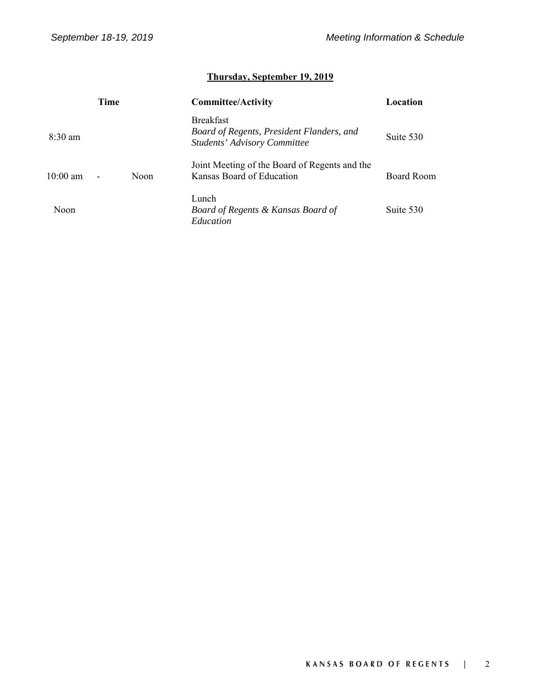# **Thursday, September 19, 2019**

|                    | Time |      | <b>Committee/Activity</b>                                                                            | Location   |
|--------------------|------|------|------------------------------------------------------------------------------------------------------|------------|
| $8:30 \text{ am}$  |      |      | <b>Breakfast</b><br>Board of Regents, President Flanders, and<br><b>Students' Advisory Committee</b> | Suite 530  |
| $10:00 \text{ am}$ |      | Noon | Joint Meeting of the Board of Regents and the<br>Kansas Board of Education                           | Board Room |
| Noon               |      |      | Lunch<br>Board of Regents & Kansas Board of<br>Education                                             | Suite 530  |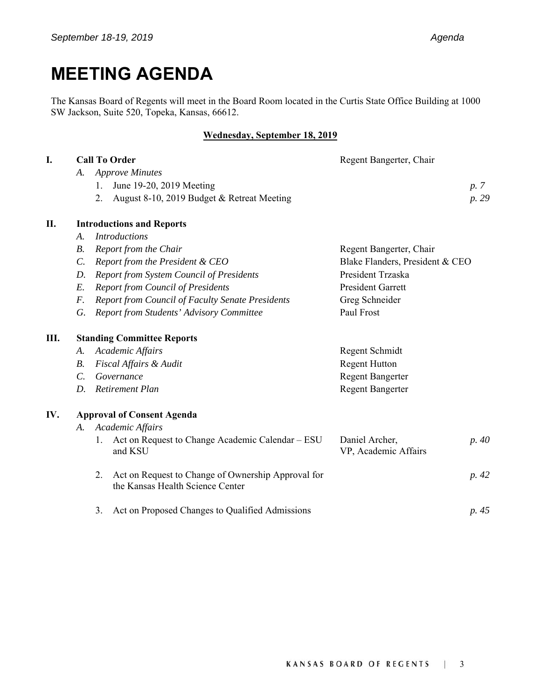# **MEETING AGENDA**

The Kansas Board of Regents will meet in the Board Room located in the Curtis State Office Building at 1000 SW Jackson, Suite 520, Topeka, Kansas, 66612.

### **Wednesday, September 18, 2019**

| I.  |                 | <b>Call To Order</b>                                                                         | Regent Bangerter, Chair                |       |
|-----|-----------------|----------------------------------------------------------------------------------------------|----------------------------------------|-------|
|     | A.              | <b>Approve Minutes</b>                                                                       |                                        |       |
|     |                 | June 19-20, 2019 Meeting<br>1.                                                               |                                        | p. 7  |
|     |                 | August 8-10, 2019 Budget & Retreat Meeting<br>2.                                             |                                        | p. 29 |
| II. |                 | <b>Introductions and Reports</b>                                                             |                                        |       |
|     | $\mathcal{A}$ . | <b>Introductions</b>                                                                         |                                        |       |
|     | $B$ .           | Report from the Chair                                                                        | Regent Bangerter, Chair                |       |
|     | $\mathcal{C}$ . | Report from the President & CEO                                                              | Blake Flanders, President & CEO        |       |
|     | D.              | <b>Report from System Council of Presidents</b>                                              | President Trzaska                      |       |
|     | E.              | <b>Report from Council of Presidents</b>                                                     | <b>President Garrett</b>               |       |
|     | F.              | <b>Report from Council of Faculty Senate Presidents</b>                                      | Greg Schneider                         |       |
|     | G.              | Report from Students' Advisory Committee                                                     | Paul Frost                             |       |
| Ш.  |                 | <b>Standing Committee Reports</b>                                                            |                                        |       |
|     | А.              | Academic Affairs                                                                             | Regent Schmidt                         |       |
|     | <i>B</i> .      | Fiscal Affairs & Audit                                                                       | <b>Regent Hutton</b>                   |       |
|     | $\mathcal{C}$ . | Governance                                                                                   | <b>Regent Bangerter</b>                |       |
|     | D.              | <b>Retirement Plan</b>                                                                       | <b>Regent Bangerter</b>                |       |
| IV. |                 | <b>Approval of Consent Agenda</b>                                                            |                                        |       |
|     | A.              | Academic Affairs                                                                             |                                        |       |
|     |                 | Act on Request to Change Academic Calendar – ESU<br>1.<br>and KSU                            | Daniel Archer,<br>VP, Academic Affairs | p. 40 |
|     |                 | Act on Request to Change of Ownership Approval for<br>2.<br>the Kansas Health Science Center |                                        | p. 42 |
|     |                 | Act on Proposed Changes to Qualified Admissions<br>3.                                        |                                        | p. 45 |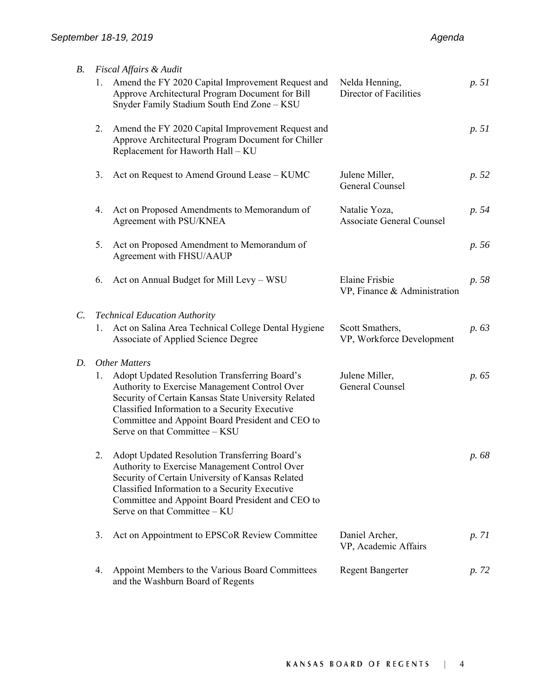| <i>B</i> .  |    | Fiscal Affairs & Audit                                                                                                                                                                                                                                                                       |                                                       |       |
|-------------|----|----------------------------------------------------------------------------------------------------------------------------------------------------------------------------------------------------------------------------------------------------------------------------------------------|-------------------------------------------------------|-------|
|             | 1. | Amend the FY 2020 Capital Improvement Request and<br>Approve Architectural Program Document for Bill<br>Snyder Family Stadium South End Zone - KSU                                                                                                                                           | Nelda Henning,<br>Director of Facilities              | p. 51 |
|             | 2. | Amend the FY 2020 Capital Improvement Request and<br>Approve Architectural Program Document for Chiller<br>Replacement for Haworth Hall - KU                                                                                                                                                 |                                                       | p. 51 |
|             | 3. | Act on Request to Amend Ground Lease - KUMC                                                                                                                                                                                                                                                  | Julene Miller,<br>General Counsel                     | p. 52 |
|             | 4. | Act on Proposed Amendments to Memorandum of<br>Agreement with PSU/KNEA                                                                                                                                                                                                                       | Natalie Yoza,<br><b>Associate General Counsel</b>     | p. 54 |
|             | 5. | Act on Proposed Amendment to Memorandum of<br>Agreement with FHSU/AAUP                                                                                                                                                                                                                       |                                                       | p. 56 |
|             | 6. | Act on Annual Budget for Mill Levy - WSU                                                                                                                                                                                                                                                     | <b>Elaine Frisbie</b><br>VP, Finance & Administration | p. 58 |
| $C_{\cdot}$ |    | <b>Technical Education Authority</b>                                                                                                                                                                                                                                                         |                                                       |       |
|             | 1. | Act on Salina Area Technical College Dental Hygiene<br>Associate of Applied Science Degree                                                                                                                                                                                                   | Scott Smathers,<br>VP, Workforce Development          | p. 63 |
| D.          |    | <b>Other Matters</b>                                                                                                                                                                                                                                                                         |                                                       |       |
|             | 1. | Adopt Updated Resolution Transferring Board's<br>Authority to Exercise Management Control Over<br>Security of Certain Kansas State University Related<br>Classified Information to a Security Executive<br>Committee and Appoint Board President and CEO to<br>Serve on that Committee - KSU | Julene Miller,<br>General Counsel                     | p. 65 |
|             | 2. | Adopt Updated Resolution Transferring Board's<br>Authority to Exercise Management Control Over<br>Security of Certain University of Kansas Related<br>Classified Information to a Security Executive<br>Committee and Appoint Board President and CEO to<br>Serve on that Committee - KU     |                                                       | p. 68 |
|             | 3. | Act on Appointment to EPSCoR Review Committee                                                                                                                                                                                                                                                | Daniel Archer,<br>VP, Academic Affairs                | p. 71 |
|             | 4. | Appoint Members to the Various Board Committees<br>and the Washburn Board of Regents                                                                                                                                                                                                         | <b>Regent Bangerter</b>                               | p. 72 |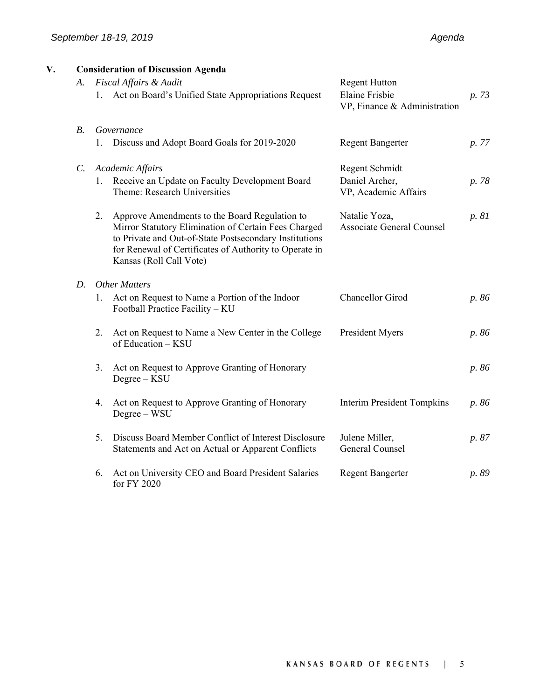| V. | A.         |    | <b>Consideration of Discussion Agenda</b><br>Fiscal Affairs & Audit                                                                                                                                                                                  | <b>Regent Hutton</b>                                  |       |
|----|------------|----|------------------------------------------------------------------------------------------------------------------------------------------------------------------------------------------------------------------------------------------------------|-------------------------------------------------------|-------|
|    |            |    | 1. Act on Board's Unified State Appropriations Request                                                                                                                                                                                               | <b>Elaine Frisbie</b><br>VP, Finance & Administration | p. 73 |
|    | <i>B</i> . |    | Governance                                                                                                                                                                                                                                           |                                                       |       |
|    |            |    | Discuss and Adopt Board Goals for 2019-2020                                                                                                                                                                                                          | <b>Regent Bangerter</b>                               | p. 77 |
|    | $C$ .      |    | Academic Affairs                                                                                                                                                                                                                                     | Regent Schmidt                                        |       |
|    |            |    | 1. Receive an Update on Faculty Development Board<br>Theme: Research Universities                                                                                                                                                                    | Daniel Archer,<br>VP, Academic Affairs                | p. 78 |
|    |            | 2. | Approve Amendments to the Board Regulation to<br>Mirror Statutory Elimination of Certain Fees Charged<br>to Private and Out-of-State Postsecondary Institutions<br>for Renewal of Certificates of Authority to Operate in<br>Kansas (Roll Call Vote) | Natalie Yoza,<br><b>Associate General Counsel</b>     | p. 81 |
|    | D.         |    | <b>Other Matters</b>                                                                                                                                                                                                                                 |                                                       |       |
|    |            | 1. | Act on Request to Name a Portion of the Indoor<br>Football Practice Facility - KU                                                                                                                                                                    | Chancellor Girod                                      | p. 86 |
|    |            | 2. | Act on Request to Name a New Center in the College<br>of Education - KSU                                                                                                                                                                             | President Myers                                       | p. 86 |
|    |            | 3. | Act on Request to Approve Granting of Honorary<br>$Degree - KSU$                                                                                                                                                                                     |                                                       | p. 86 |
|    |            | 4. | Act on Request to Approve Granting of Honorary<br>Degree - WSU                                                                                                                                                                                       | <b>Interim President Tompkins</b>                     | p. 86 |
|    |            | 5. | Discuss Board Member Conflict of Interest Disclosure<br>Statements and Act on Actual or Apparent Conflicts                                                                                                                                           | Julene Miller,<br>General Counsel                     | p. 87 |
|    |            | 6. | Act on University CEO and Board President Salaries<br>for FY 2020                                                                                                                                                                                    | <b>Regent Bangerter</b>                               | p. 89 |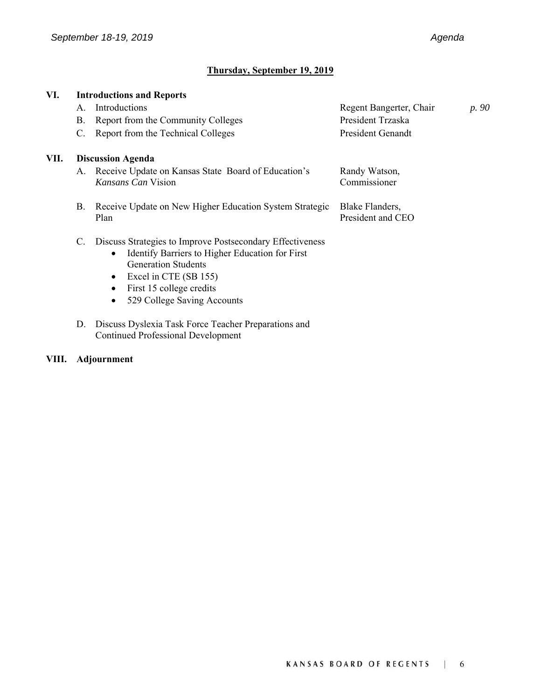# **Thursday, September 19, 2019**

| VI.  |    | <b>Introductions and Reports</b>                          |                          |       |
|------|----|-----------------------------------------------------------|--------------------------|-------|
|      | A. | Introductions                                             | Regent Bangerter, Chair  | p. 90 |
|      | Β. | Report from the Community Colleges                        | President Trzaska        |       |
|      | C. | Report from the Technical Colleges                        | <b>President Genandt</b> |       |
| VII. |    | <b>Discussion Agenda</b>                                  |                          |       |
|      |    | A. Receive Update on Kansas State Board of Education's    | Randy Watson,            |       |
|      |    | Kansans Can Vision                                        | Commissioner             |       |
|      | В. | Receive Update on New Higher Education System Strategic   | Blake Flanders,          |       |
|      |    | Plan                                                      | President and CEO        |       |
|      | C. | Discuss Strategies to Improve Postsecondary Effectiveness |                          |       |
|      |    | Identify Barriers to Higher Education for First           |                          |       |
|      |    | <b>Generation Students</b>                                |                          |       |
|      |    | Excel in CTE (SB 155)<br>$\bullet$                        |                          |       |
|      |    | First 15 college credits                                  |                          |       |
|      |    | 529 College Saving Accounts                               |                          |       |
|      |    |                                                           |                          |       |
|      | D. | Discuss Dyslexia Task Force Teacher Preparations and      |                          |       |

# **VIII. Adjournment**

Continued Professional Development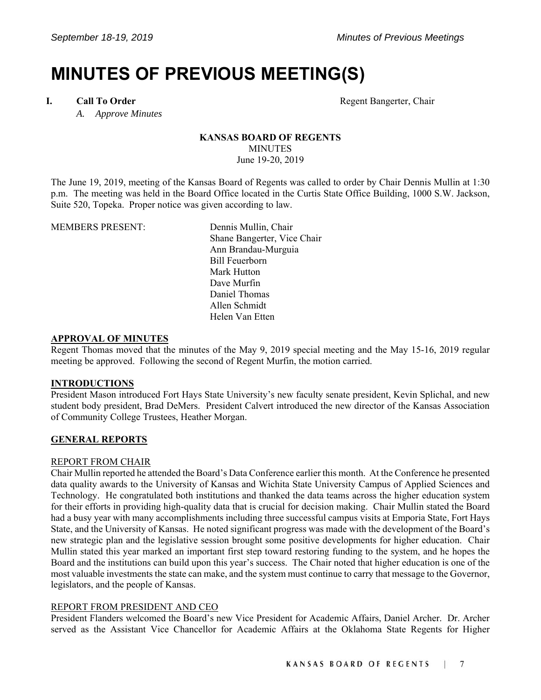# **MINUTES OF PREVIOUS MEETING(S)**

 *A. Approve Minutes* 

**I.** Call To Order **Call To Order Regent Bangerter, Chair** 

### **KANSAS BOARD OF REGENTS MINUTES** June 19-20, 2019

The June 19, 2019, meeting of the Kansas Board of Regents was called to order by Chair Dennis Mullin at 1:30 p.m. The meeting was held in the Board Office located in the Curtis State Office Building, 1000 S.W. Jackson, Suite 520, Topeka. Proper notice was given according to law.

| <b>MEMBERS PRESENT:</b> | Dennis Mullin, Chair        |
|-------------------------|-----------------------------|
|                         | Shane Bangerter, Vice Chair |
|                         | Ann Brandau-Murguia         |
|                         | Bill Feuerborn              |
|                         | Mark Hutton                 |
|                         | Dave Murfin                 |
|                         | Daniel Thomas               |
|                         | Allen Schmidt               |
|                         | Helen Van Etten             |

#### **APPROVAL OF MINUTES**

Regent Thomas moved that the minutes of the May 9, 2019 special meeting and the May 15-16, 2019 regular meeting be approved. Following the second of Regent Murfin, the motion carried.

# **INTRODUCTIONS**

President Mason introduced Fort Hays State University's new faculty senate president, Kevin Splichal, and new student body president, Brad DeMers. President Calvert introduced the new director of the Kansas Association of Community College Trustees, Heather Morgan.

# **GENERAL REPORTS**

# REPORT FROM CHAIR

Chair Mullin reported he attended the Board's Data Conference earlier this month. At the Conference he presented data quality awards to the University of Kansas and Wichita State University Campus of Applied Sciences and Technology. He congratulated both institutions and thanked the data teams across the higher education system for their efforts in providing high-quality data that is crucial for decision making. Chair Mullin stated the Board had a busy year with many accomplishments including three successful campus visits at Emporia State, Fort Hays State, and the University of Kansas. He noted significant progress was made with the development of the Board's new strategic plan and the legislative session brought some positive developments for higher education. Chair Mullin stated this year marked an important first step toward restoring funding to the system, and he hopes the Board and the institutions can build upon this year's success. The Chair noted that higher education is one of the most valuable investments the state can make, and the system must continue to carry that message to the Governor, legislators, and the people of Kansas.

# REPORT FROM PRESIDENT AND CEO

President Flanders welcomed the Board's new Vice President for Academic Affairs, Daniel Archer. Dr. Archer served as the Assistant Vice Chancellor for Academic Affairs at the Oklahoma State Regents for Higher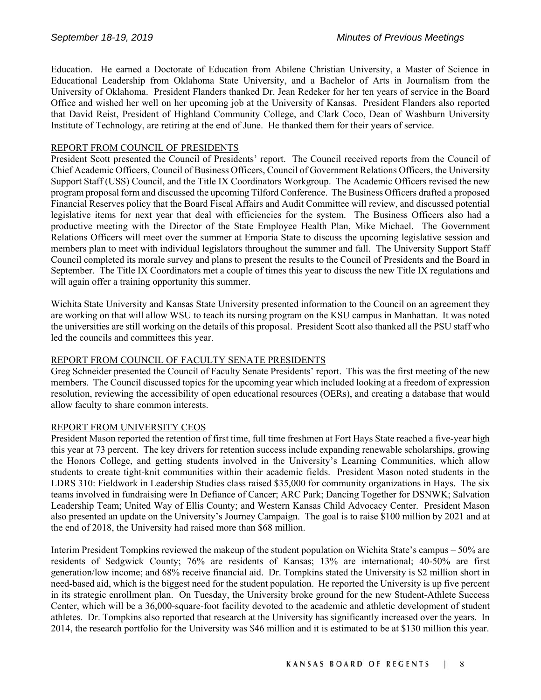Education. He earned a Doctorate of Education from Abilene Christian University, a Master of Science in Educational Leadership from Oklahoma State University, and a Bachelor of Arts in Journalism from the University of Oklahoma. President Flanders thanked Dr. Jean Redeker for her ten years of service in the Board Office and wished her well on her upcoming job at the University of Kansas. President Flanders also reported that David Reist, President of Highland Community College, and Clark Coco, Dean of Washburn University Institute of Technology, are retiring at the end of June. He thanked them for their years of service.

# REPORT FROM COUNCIL OF PRESIDENTS

President Scott presented the Council of Presidents' report. The Council received reports from the Council of Chief Academic Officers, Council of Business Officers, Council of Government Relations Officers, the University Support Staff (USS) Council, and the Title IX Coordinators Workgroup. The Academic Officers revised the new program proposal form and discussed the upcoming Tilford Conference. The Business Officers drafted a proposed Financial Reserves policy that the Board Fiscal Affairs and Audit Committee will review, and discussed potential legislative items for next year that deal with efficiencies for the system. The Business Officers also had a productive meeting with the Director of the State Employee Health Plan, Mike Michael. The Government Relations Officers will meet over the summer at Emporia State to discuss the upcoming legislative session and members plan to meet with individual legislators throughout the summer and fall. The University Support Staff Council completed its morale survey and plans to present the results to the Council of Presidents and the Board in September. The Title IX Coordinators met a couple of times this year to discuss the new Title IX regulations and will again offer a training opportunity this summer.

Wichita State University and Kansas State University presented information to the Council on an agreement they are working on that will allow WSU to teach its nursing program on the KSU campus in Manhattan. It was noted the universities are still working on the details of this proposal. President Scott also thanked all the PSU staff who led the councils and committees this year.

# REPORT FROM COUNCIL OF FACULTY SENATE PRESIDENTS

Greg Schneider presented the Council of Faculty Senate Presidents' report. This was the first meeting of the new members. The Council discussed topics for the upcoming year which included looking at a freedom of expression resolution, reviewing the accessibility of open educational resources (OERs), and creating a database that would allow faculty to share common interests.

#### REPORT FROM UNIVERSITY CEOS

President Mason reported the retention of first time, full time freshmen at Fort Hays State reached a five-year high this year at 73 percent. The key drivers for retention success include expanding renewable scholarships, growing the Honors College, and getting students involved in the University's Learning Communities, which allow students to create tight-knit communities within their academic fields. President Mason noted students in the LDRS 310: Fieldwork in Leadership Studies class raised \$35,000 for community organizations in Hays. The six teams involved in fundraising were In Defiance of Cancer; ARC Park; Dancing Together for DSNWK; Salvation Leadership Team; United Way of Ellis County; and Western Kansas Child Advocacy Center. President Mason also presented an update on the University's Journey Campaign. The goal is to raise \$100 million by 2021 and at the end of 2018, the University had raised more than \$68 million.

Interim President Tompkins reviewed the makeup of the student population on Wichita State's campus – 50% are residents of Sedgwick County; 76% are residents of Kansas; 13% are international; 40-50% are first generation/low income; and 68% receive financial aid. Dr. Tompkins stated the University is \$2 million short in need-based aid, which is the biggest need for the student population. He reported the University is up five percent in its strategic enrollment plan. On Tuesday, the University broke ground for the new Student-Athlete Success Center, which will be a 36,000-square-foot facility devoted to the academic and athletic development of student athletes. Dr. Tompkins also reported that research at the University has significantly increased over the years. In 2014, the research portfolio for the University was \$46 million and it is estimated to be at \$130 million this year.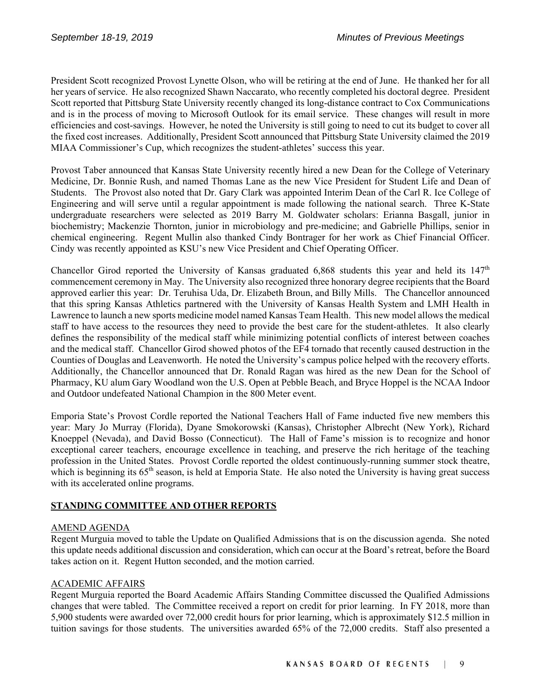President Scott recognized Provost Lynette Olson, who will be retiring at the end of June. He thanked her for all her years of service. He also recognized Shawn Naccarato, who recently completed his doctoral degree. President Scott reported that Pittsburg State University recently changed its long-distance contract to Cox Communications and is in the process of moving to Microsoft Outlook for its email service. These changes will result in more efficiencies and cost-savings. However, he noted the University is still going to need to cut its budget to cover all the fixed cost increases. Additionally, President Scott announced that Pittsburg State University claimed the 2019 MIAA Commissioner's Cup, which recognizes the student-athletes' success this year.

Provost Taber announced that Kansas State University recently hired a new Dean for the College of Veterinary Medicine, Dr. Bonnie Rush, and named Thomas Lane as the new Vice President for Student Life and Dean of Students. The Provost also noted that Dr. Gary Clark was appointed Interim Dean of the Carl R. Ice College of Engineering and will serve until a regular appointment is made following the national search. Three K-State undergraduate researchers were selected as 2019 Barry M. Goldwater scholars: Erianna Basgall, junior in biochemistry; Mackenzie Thornton, junior in microbiology and pre-medicine; and Gabrielle Phillips, senior in chemical engineering. Regent Mullin also thanked Cindy Bontrager for her work as Chief Financial Officer. Cindy was recently appointed as KSU's new Vice President and Chief Operating Officer.

Chancellor Girod reported the University of Kansas graduated 6,868 students this year and held its  $147<sup>th</sup>$ commencement ceremony in May. The University also recognized three honorary degree recipients that the Board approved earlier this year: Dr. Teruhisa Uda, Dr. Elizabeth Broun, and Billy Mills. The Chancellor announced that this spring Kansas Athletics partnered with the University of Kansas Health System and LMH Health in Lawrence to launch a new sports medicine model named Kansas Team Health. This new model allows the medical staff to have access to the resources they need to provide the best care for the student-athletes. It also clearly defines the responsibility of the medical staff while minimizing potential conflicts of interest between coaches and the medical staff. Chancellor Girod showed photos of the EF4 tornado that recently caused destruction in the Counties of Douglas and Leavenworth. He noted the University's campus police helped with the recovery efforts. Additionally, the Chancellor announced that Dr. Ronald Ragan was hired as the new Dean for the School of Pharmacy, KU alum Gary Woodland won the U.S. Open at Pebble Beach, and Bryce Hoppel is the NCAA Indoor and Outdoor undefeated National Champion in the 800 Meter event.

Emporia State's Provost Cordle reported the National Teachers Hall of Fame inducted five new members this year: Mary Jo Murray (Florida), Dyane Smokorowski (Kansas), Christopher Albrecht (New York), Richard Knoeppel (Nevada), and David Bosso (Connecticut). The Hall of Fame's mission is to recognize and honor exceptional career teachers, encourage excellence in teaching, and preserve the rich heritage of the teaching profession in the United States. Provost Cordle reported the oldest continuously-running summer stock theatre, which is beginning its  $65<sup>th</sup>$  season, is held at Emporia State. He also noted the University is having great success with its accelerated online programs.

# **STANDING COMMITTEE AND OTHER REPORTS**

# AMEND AGENDA

Regent Murguia moved to table the Update on Qualified Admissions that is on the discussion agenda. She noted this update needs additional discussion and consideration, which can occur at the Board's retreat, before the Board takes action on it. Regent Hutton seconded, and the motion carried.

# ACADEMIC AFFAIRS

Regent Murguia reported the Board Academic Affairs Standing Committee discussed the Qualified Admissions changes that were tabled. The Committee received a report on credit for prior learning. In FY 2018, more than 5,900 students were awarded over 72,000 credit hours for prior learning, which is approximately \$12.5 million in tuition savings for those students. The universities awarded 65% of the 72,000 credits. Staff also presented a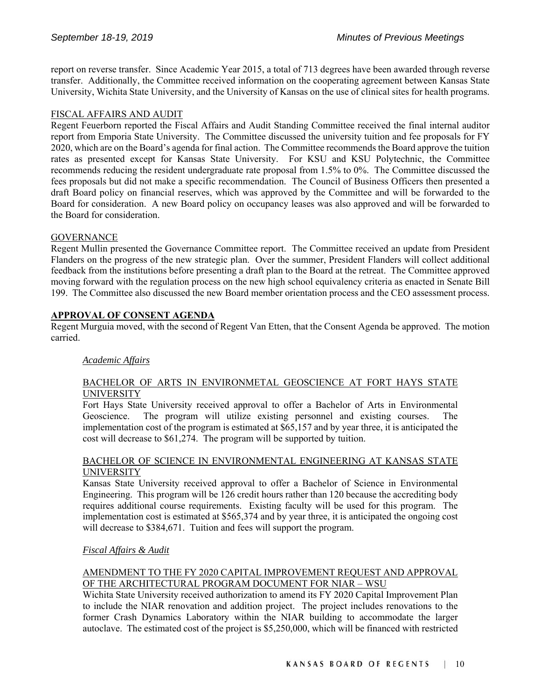report on reverse transfer. Since Academic Year 2015, a total of 713 degrees have been awarded through reverse transfer. Additionally, the Committee received information on the cooperating agreement between Kansas State University, Wichita State University, and the University of Kansas on the use of clinical sites for health programs.

# FISCAL AFFAIRS AND AUDIT

Regent Feuerborn reported the Fiscal Affairs and Audit Standing Committee received the final internal auditor report from Emporia State University. The Committee discussed the university tuition and fee proposals for FY 2020, which are on the Board's agenda for final action. The Committee recommends the Board approve the tuition rates as presented except for Kansas State University. For KSU and KSU Polytechnic, the Committee recommends reducing the resident undergraduate rate proposal from 1.5% to 0%. The Committee discussed the fees proposals but did not make a specific recommendation. The Council of Business Officers then presented a draft Board policy on financial reserves, which was approved by the Committee and will be forwarded to the Board for consideration. A new Board policy on occupancy leases was also approved and will be forwarded to the Board for consideration.

# **GOVERNANCE**

Regent Mullin presented the Governance Committee report. The Committee received an update from President Flanders on the progress of the new strategic plan. Over the summer, President Flanders will collect additional feedback from the institutions before presenting a draft plan to the Board at the retreat. The Committee approved moving forward with the regulation process on the new high school equivalency criteria as enacted in Senate Bill 199. The Committee also discussed the new Board member orientation process and the CEO assessment process.

# **APPROVAL OF CONSENT AGENDA**

Regent Murguia moved, with the second of Regent Van Etten, that the Consent Agenda be approved. The motion carried.

# *Academic Affairs*

# BACHELOR OF ARTS IN ENVIRONMETAL GEOSCIENCE AT FORT HAYS STATE UNIVERSITY

Fort Hays State University received approval to offer a Bachelor of Arts in Environmental Geoscience. The program will utilize existing personnel and existing courses. The implementation cost of the program is estimated at \$65,157 and by year three, it is anticipated the cost will decrease to \$61,274. The program will be supported by tuition.

#### BACHELOR OF SCIENCE IN ENVIRONMENTAL ENGINEERING AT KANSAS STATE UNIVERSITY

Kansas State University received approval to offer a Bachelor of Science in Environmental Engineering. This program will be 126 credit hours rather than 120 because the accrediting body requires additional course requirements. Existing faculty will be used for this program. The implementation cost is estimated at \$565,374 and by year three, it is anticipated the ongoing cost will decrease to \$384,671. Tuition and fees will support the program.

# *Fiscal Affairs & Audit*

# AMENDMENT TO THE FY 2020 CAPITAL IMPROVEMENT REQUEST AND APPROVAL OF THE ARCHITECTURAL PROGRAM DOCUMENT FOR NIAR – WSU

Wichita State University received authorization to amend its FY 2020 Capital Improvement Plan to include the NIAR renovation and addition project. The project includes renovations to the former Crash Dynamics Laboratory within the NIAR building to accommodate the larger autoclave. The estimated cost of the project is \$5,250,000, which will be financed with restricted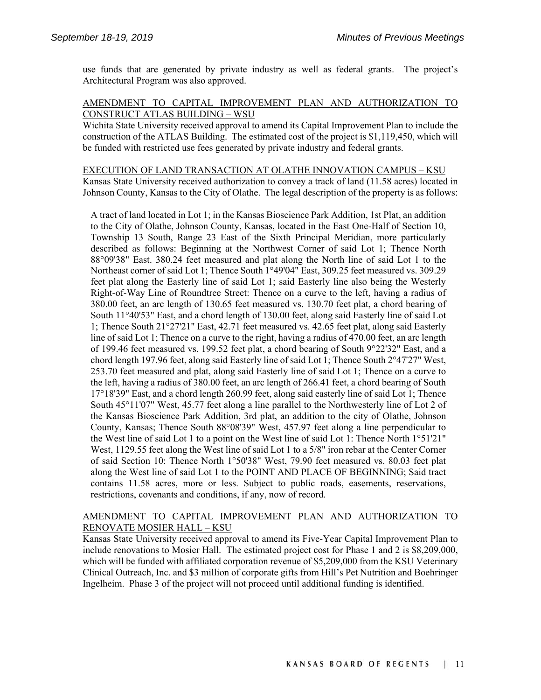use funds that are generated by private industry as well as federal grants. The project's Architectural Program was also approved.

# AMENDMENT TO CAPITAL IMPROVEMENT PLAN AND AUTHORIZATION TO CONSTRUCT ATLAS BUILDING – WSU

Wichita State University received approval to amend its Capital Improvement Plan to include the construction of the ATLAS Building. The estimated cost of the project is \$1,119,450, which will be funded with restricted use fees generated by private industry and federal grants.

EXECUTION OF LAND TRANSACTION AT OLATHE INNOVATION CAMPUS – KSU Kansas State University received authorization to convey a track of land (11.58 acres) located in Johnson County, Kansas to the City of Olathe. The legal description of the property is as follows:

A tract of land located in Lot 1; in the Kansas Bioscience Park Addition, 1st Plat, an addition to the City of Olathe, Johnson County, Kansas, located in the East One-Half of Section 10, Township 13 South, Range 23 East of the Sixth Principal Meridian, more particularly described as follows: Beginning at the Northwest Corner of said Lot 1; Thence North 88°09'38" East. 380.24 feet measured and plat along the North line of said Lot 1 to the Northeast corner of said Lot 1; Thence South 1°49'04" East, 309.25 feet measured vs. 309.29 feet plat along the Easterly line of said Lot 1; said Easterly line also being the Westerly Right-of-Way Line of Roundtree Street: Thence on a curve to the left, having a radius of 380.00 feet, an arc length of 130.65 feet measured vs. 130.70 feet plat, a chord bearing of South 11°40'53" East, and a chord length of 130.00 feet, along said Easterly line of said Lot 1; Thence South 21°27'21" East, 42.71 feet measured vs. 42.65 feet plat, along said Easterly line of said Lot 1; Thence on a curve to the right, having a radius of 470.00 feet, an arc length of 199.46 feet measured vs. 199.52 feet plat, a chord bearing of South 9°22'32" East, and a chord length 197.96 feet, along said Easterly line of said Lot 1; Thence South 2°47'27" West, 253.70 feet measured and plat, along said Easterly line of said Lot 1; Thence on a curve to the left, having a radius of 380.00 feet, an arc length of 266.41 feet, a chord bearing of South 17°18'39" East, and a chord length 260.99 feet, along said easterly line of said Lot 1; Thence South 45°11'07" West, 45.77 feet along a line parallel to the Northwesterly line of Lot 2 of the Kansas Bioscience Park Addition, 3rd plat, an addition to the city of Olathe, Johnson County, Kansas; Thence South 88°08'39" West, 457.97 feet along a line perpendicular to the West line of said Lot 1 to a point on the West line of said Lot 1: Thence North 1°51'21" West, 1129.55 feet along the West line of said Lot 1 to a 5/8" iron rebar at the Center Corner of said Section 10: Thence North 1°50'38" West, 79.90 feet measured vs. 80.03 feet plat along the West line of said Lot 1 to the POINT AND PLACE OF BEGINNING; Said tract contains 11.58 acres, more or less. Subject to public roads, easements, reservations, restrictions, covenants and conditions, if any, now of record.

# AMENDMENT TO CAPITAL IMPROVEMENT PLAN AND AUTHORIZATION TO RENOVATE MOSIER HALL – KSU

Kansas State University received approval to amend its Five-Year Capital Improvement Plan to include renovations to Mosier Hall. The estimated project cost for Phase 1 and 2 is \$8,209,000, which will be funded with affiliated corporation revenue of \$5,209,000 from the KSU Veterinary Clinical Outreach, Inc. and \$3 million of corporate gifts from Hill's Pet Nutrition and Boehringer Ingelheim. Phase 3 of the project will not proceed until additional funding is identified.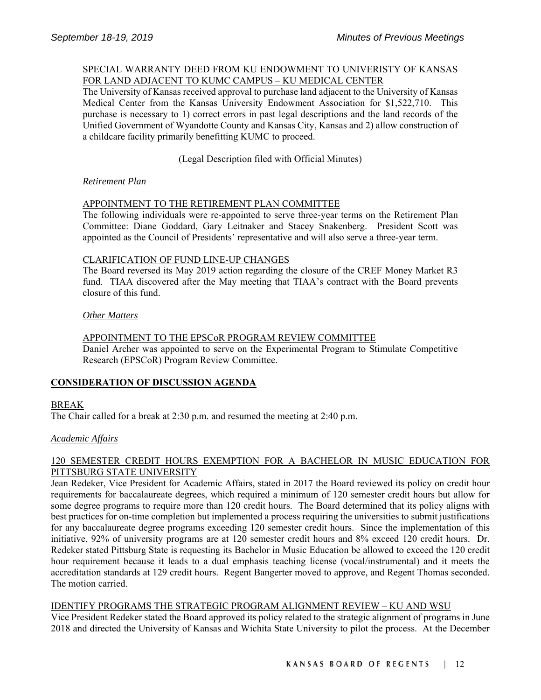#### SPECIAL WARRANTY DEED FROM KU ENDOWMENT TO UNIVERISTY OF KANSAS FOR LAND ADJACENT TO KUMC CAMPUS – KU MEDICAL CENTER

The University of Kansas received approval to purchase land adjacent to the University of Kansas Medical Center from the Kansas University Endowment Association for \$1,522,710. This purchase is necessary to 1) correct errors in past legal descriptions and the land records of the Unified Government of Wyandotte County and Kansas City, Kansas and 2) allow construction of a childcare facility primarily benefitting KUMC to proceed.

# (Legal Description filed with Official Minutes)

# *Retirement Plan*

# APPOINTMENT TO THE RETIREMENT PLAN COMMITTEE

The following individuals were re-appointed to serve three-year terms on the Retirement Plan Committee: Diane Goddard, Gary Leitnaker and Stacey Snakenberg. President Scott was appointed as the Council of Presidents' representative and will also serve a three-year term.

# CLARIFICATION OF FUND LINE-UP CHANGES

The Board reversed its May 2019 action regarding the closure of the CREF Money Market R3 fund. TIAA discovered after the May meeting that TIAA's contract with the Board prevents closure of this fund.

# *Other Matters*

# APPOINTMENT TO THE EPSCoR PROGRAM REVIEW COMMITTEE Daniel Archer was appointed to serve on the Experimental Program to Stimulate Competitive Research (EPSCoR) Program Review Committee.

# **CONSIDERATION OF DISCUSSION AGENDA**

# BREAK

The Chair called for a break at 2:30 p.m. and resumed the meeting at 2:40 p.m.

# *Academic Affairs*

# 120 SEMESTER CREDIT HOURS EXEMPTION FOR A BACHELOR IN MUSIC EDUCATION FOR PITTSBURG STATE UNIVERSITY

Jean Redeker, Vice President for Academic Affairs, stated in 2017 the Board reviewed its policy on credit hour requirements for baccalaureate degrees, which required a minimum of 120 semester credit hours but allow for some degree programs to require more than 120 credit hours. The Board determined that its policy aligns with best practices for on-time completion but implemented a process requiring the universities to submit justifications for any baccalaureate degree programs exceeding 120 semester credit hours. Since the implementation of this initiative, 92% of university programs are at 120 semester credit hours and 8% exceed 120 credit hours. Dr. Redeker stated Pittsburg State is requesting its Bachelor in Music Education be allowed to exceed the 120 credit hour requirement because it leads to a dual emphasis teaching license (vocal/instrumental) and it meets the accreditation standards at 129 credit hours. Regent Bangerter moved to approve, and Regent Thomas seconded. The motion carried.

# IDENTIFY PROGRAMS THE STRATEGIC PROGRAM ALIGNMENT REVIEW – KU AND WSU

Vice President Redeker stated the Board approved its policy related to the strategic alignment of programs in June 2018 and directed the University of Kansas and Wichita State University to pilot the process. At the December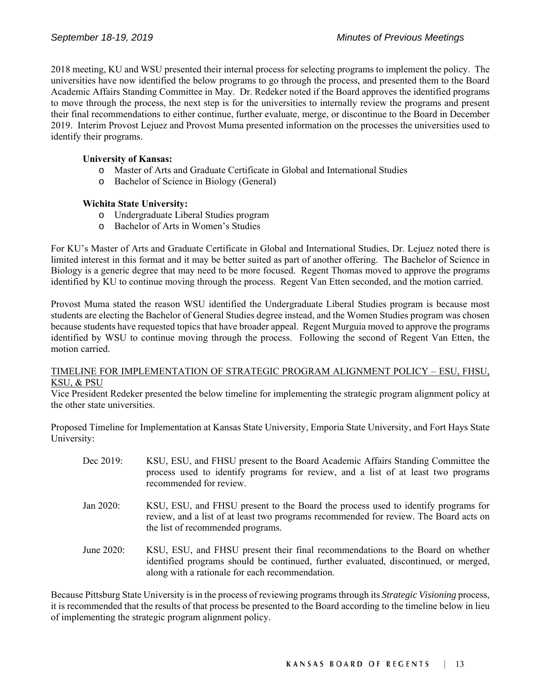2018 meeting, KU and WSU presented their internal process for selecting programs to implement the policy. The universities have now identified the below programs to go through the process, and presented them to the Board Academic Affairs Standing Committee in May. Dr. Redeker noted if the Board approves the identified programs to move through the process, the next step is for the universities to internally review the programs and present their final recommendations to either continue, further evaluate, merge, or discontinue to the Board in December 2019. Interim Provost Lejuez and Provost Muma presented information on the processes the universities used to identify their programs.

# **University of Kansas:**

- o Master of Arts and Graduate Certificate in Global and International Studies
- o Bachelor of Science in Biology (General)

# **Wichita State University:**

- o Undergraduate Liberal Studies program
- o Bachelor of Arts in Women's Studies

For KU's Master of Arts and Graduate Certificate in Global and International Studies, Dr. Lejuez noted there is limited interest in this format and it may be better suited as part of another offering. The Bachelor of Science in Biology is a generic degree that may need to be more focused. Regent Thomas moved to approve the programs identified by KU to continue moving through the process. Regent Van Etten seconded, and the motion carried.

Provost Muma stated the reason WSU identified the Undergraduate Liberal Studies program is because most students are electing the Bachelor of General Studies degree instead, and the Women Studies program was chosen because students have requested topics that have broader appeal. Regent Murguia moved to approve the programs identified by WSU to continue moving through the process. Following the second of Regent Van Etten, the motion carried.

#### TIMELINE FOR IMPLEMENTATION OF STRATEGIC PROGRAM ALIGNMENT POLICY – ESU, FHSU, KSU, & PSU

Vice President Redeker presented the below timeline for implementing the strategic program alignment policy at the other state universities.

Proposed Timeline for Implementation at Kansas State University, Emporia State University, and Fort Hays State University:

| Dec 2019:  | KSU, ESU, and FHSU present to the Board Academic Affairs Standing Committee the<br>process used to identify programs for review, and a list of at least two programs<br>recommended for review.                           |
|------------|---------------------------------------------------------------------------------------------------------------------------------------------------------------------------------------------------------------------------|
| Jan 2020:  | KSU, ESU, and FHSU present to the Board the process used to identify programs for<br>review, and a list of at least two programs recommended for review. The Board acts on<br>the list of recommended programs.           |
| June 2020: | KSU, ESU, and FHSU present their final recommendations to the Board on whether<br>identified programs should be continued, further evaluated, discontinued, or merged,<br>along with a rationale for each recommendation. |

Because Pittsburg State University is in the process of reviewing programs through its *Strategic Visioning* process, it is recommended that the results of that process be presented to the Board according to the timeline below in lieu of implementing the strategic program alignment policy.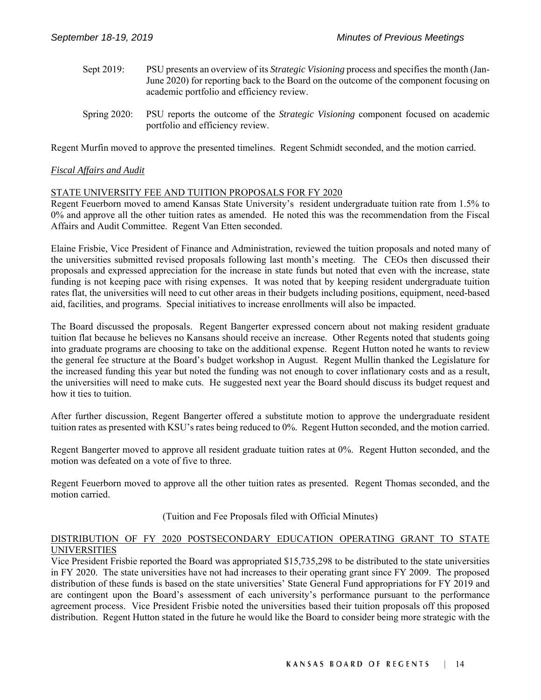- Sept 2019:PSU presents an overview of its *Strategic Visioning* process and specifies the month (Jan-June 2020) for reporting back to the Board on the outcome of the component focusing on academic portfolio and efficiency review.
- Spring 2020: PSU reports the outcome of the *Strategic Visioning* component focused on academic portfolio and efficiency review.

Regent Murfin moved to approve the presented timelines. Regent Schmidt seconded, and the motion carried.

# *Fiscal Affairs and Audit*

#### STATE UNIVERSITY FEE AND TUITION PROPOSALS FOR FY 2020

Regent Feuerborn moved to amend Kansas State University's resident undergraduate tuition rate from 1.5% to 0% and approve all the other tuition rates as amended. He noted this was the recommendation from the Fiscal Affairs and Audit Committee. Regent Van Etten seconded.

Elaine Frisbie, Vice President of Finance and Administration, reviewed the tuition proposals and noted many of the universities submitted revised proposals following last month's meeting. The CEOs then discussed their proposals and expressed appreciation for the increase in state funds but noted that even with the increase, state funding is not keeping pace with rising expenses. It was noted that by keeping resident undergraduate tuition rates flat, the universities will need to cut other areas in their budgets including positions, equipment, need-based aid, facilities, and programs. Special initiatives to increase enrollments will also be impacted.

The Board discussed the proposals. Regent Bangerter expressed concern about not making resident graduate tuition flat because he believes no Kansans should receive an increase. Other Regents noted that students going into graduate programs are choosing to take on the additional expense. Regent Hutton noted he wants to review the general fee structure at the Board's budget workshop in August. Regent Mullin thanked the Legislature for the increased funding this year but noted the funding was not enough to cover inflationary costs and as a result, the universities will need to make cuts. He suggested next year the Board should discuss its budget request and how it ties to tuition.

After further discussion, Regent Bangerter offered a substitute motion to approve the undergraduate resident tuition rates as presented with KSU's rates being reduced to 0%. Regent Hutton seconded, and the motion carried.

Regent Bangerter moved to approve all resident graduate tuition rates at 0%. Regent Hutton seconded, and the motion was defeated on a vote of five to three.

Regent Feuerborn moved to approve all the other tuition rates as presented. Regent Thomas seconded, and the motion carried.

# (Tuition and Fee Proposals filed with Official Minutes)

### DISTRIBUTION OF FY 2020 POSTSECONDARY EDUCATION OPERATING GRANT TO STATE UNIVERSITIES

Vice President Frisbie reported the Board was appropriated \$15,735,298 to be distributed to the state universities in FY 2020. The state universities have not had increases to their operating grant since FY 2009. The proposed distribution of these funds is based on the state universities' State General Fund appropriations for FY 2019 and are contingent upon the Board's assessment of each university's performance pursuant to the performance agreement process. Vice President Frisbie noted the universities based their tuition proposals off this proposed distribution. Regent Hutton stated in the future he would like the Board to consider being more strategic with the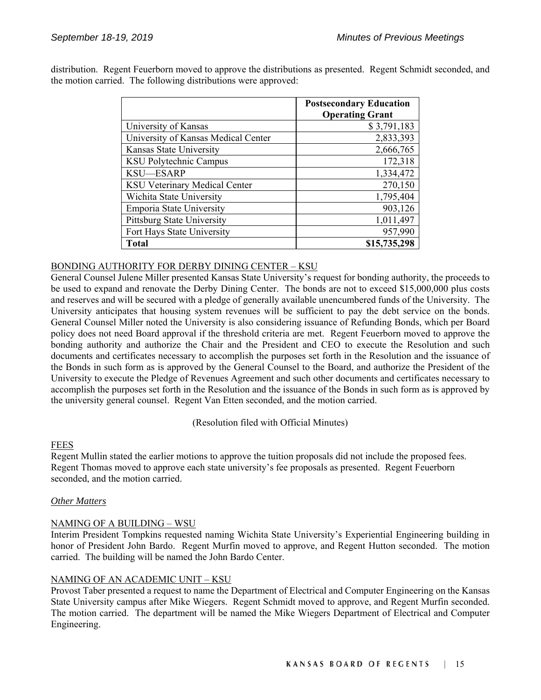|                                      | <b>Postsecondary Education</b><br><b>Operating Grant</b> |
|--------------------------------------|----------------------------------------------------------|
| University of Kansas                 | \$3,791,183                                              |
| University of Kansas Medical Center  | 2,833,393                                                |
| Kansas State University              | 2,666,765                                                |
| KSU Polytechnic Campus               | 172,318                                                  |
| KSU-ESARP                            | 1,334,472                                                |
| <b>KSU Veterinary Medical Center</b> | 270,150                                                  |
| Wichita State University             | 1,795,404                                                |
| <b>Emporia State University</b>      | 903,126                                                  |
| <b>Pittsburg State University</b>    | 1,011,497                                                |
| Fort Hays State University           | 957,990                                                  |
| Total                                | \$15,735,298                                             |

distribution. Regent Feuerborn moved to approve the distributions as presented. Regent Schmidt seconded, and the motion carried. The following distributions were approved:

# BONDING AUTHORITY FOR DERBY DINING CENTER – KSU

General Counsel Julene Miller presented Kansas State University's request for bonding authority, the proceeds to be used to expand and renovate the Derby Dining Center. The bonds are not to exceed \$15,000,000 plus costs and reserves and will be secured with a pledge of generally available unencumbered funds of the University. The University anticipates that housing system revenues will be sufficient to pay the debt service on the bonds. General Counsel Miller noted the University is also considering issuance of Refunding Bonds, which per Board policy does not need Board approval if the threshold criteria are met. Regent Feuerborn moved to approve the bonding authority and authorize the Chair and the President and CEO to execute the Resolution and such documents and certificates necessary to accomplish the purposes set forth in the Resolution and the issuance of the Bonds in such form as is approved by the General Counsel to the Board, and authorize the President of the University to execute the Pledge of Revenues Agreement and such other documents and certificates necessary to accomplish the purposes set forth in the Resolution and the issuance of the Bonds in such form as is approved by the university general counsel. Regent Van Etten seconded, and the motion carried.

(Resolution filed with Official Minutes)

# FEES

Regent Mullin stated the earlier motions to approve the tuition proposals did not include the proposed fees. Regent Thomas moved to approve each state university's fee proposals as presented. Regent Feuerborn seconded, and the motion carried.

#### *Other Matters*

# NAMING OF A BUILDING – WSU

Interim President Tompkins requested naming Wichita State University's Experiential Engineering building in honor of President John Bardo. Regent Murfin moved to approve, and Regent Hutton seconded. The motion carried. The building will be named the John Bardo Center.

# NAMING OF AN ACADEMIC UNIT – KSU

Provost Taber presented a request to name the Department of Electrical and Computer Engineering on the Kansas State University campus after Mike Wiegers. Regent Schmidt moved to approve, and Regent Murfin seconded. The motion carried. The department will be named the Mike Wiegers Department of Electrical and Computer Engineering.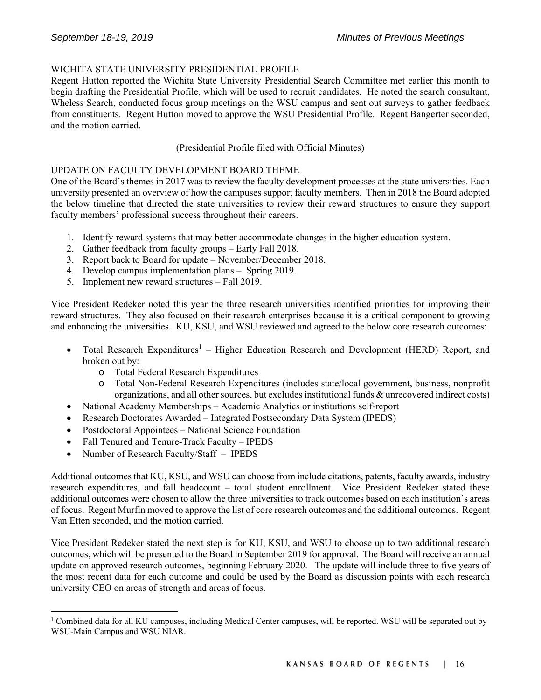# WICHITA STATE UNIVERSITY PRESIDENTIAL PROFILE

Regent Hutton reported the Wichita State University Presidential Search Committee met earlier this month to begin drafting the Presidential Profile, which will be used to recruit candidates. He noted the search consultant, Wheless Search, conducted focus group meetings on the WSU campus and sent out surveys to gather feedback from constituents. Regent Hutton moved to approve the WSU Presidential Profile. Regent Bangerter seconded, and the motion carried.

# (Presidential Profile filed with Official Minutes)

# UPDATE ON FACULTY DEVELOPMENT BOARD THEME

One of the Board's themes in 2017 was to review the faculty development processes at the state universities. Each university presented an overview of how the campuses support faculty members. Then in 2018 the Board adopted the below timeline that directed the state universities to review their reward structures to ensure they support faculty members' professional success throughout their careers.

- 1. Identify reward systems that may better accommodate changes in the higher education system.
- 2. Gather feedback from faculty groups Early Fall 2018.
- 3. Report back to Board for update November/December 2018.
- 4. Develop campus implementation plans Spring 2019.
- 5. Implement new reward structures Fall 2019.

Vice President Redeker noted this year the three research universities identified priorities for improving their reward structures. They also focused on their research enterprises because it is a critical component to growing and enhancing the universities. KU, KSU, and WSU reviewed and agreed to the below core research outcomes:

- Total Research Expenditures<sup>1</sup> Higher Education Research and Development (HERD) Report, and broken out by:
	- o Total Federal Research Expenditures
	- o Total Non-Federal Research Expenditures (includes state/local government, business, nonprofit organizations, and all other sources, but excludes institutional funds & unrecovered indirect costs)
- National Academy Memberships Academic Analytics or institutions self-report
- Research Doctorates Awarded Integrated Postsecondary Data System (IPEDS)
- Postdoctoral Appointees National Science Foundation
- Fall Tenured and Tenure-Track Faculty IPEDS
- Number of Research Faculty/Staff IPEDS

l

Additional outcomes that KU, KSU, and WSU can choose from include citations, patents, faculty awards, industry research expenditures, and fall headcount – total student enrollment. Vice President Redeker stated these additional outcomes were chosen to allow the three universities to track outcomes based on each institution's areas of focus. Regent Murfin moved to approve the list of core research outcomes and the additional outcomes. Regent Van Etten seconded, and the motion carried.

Vice President Redeker stated the next step is for KU, KSU, and WSU to choose up to two additional research outcomes, which will be presented to the Board in September 2019 for approval. The Board will receive an annual update on approved research outcomes, beginning February 2020. The update will include three to five years of the most recent data for each outcome and could be used by the Board as discussion points with each research university CEO on areas of strength and areas of focus.

<sup>&</sup>lt;sup>1</sup> Combined data for all KU campuses, including Medical Center campuses, will be reported. WSU will be separated out by WSU-Main Campus and WSU NIAR.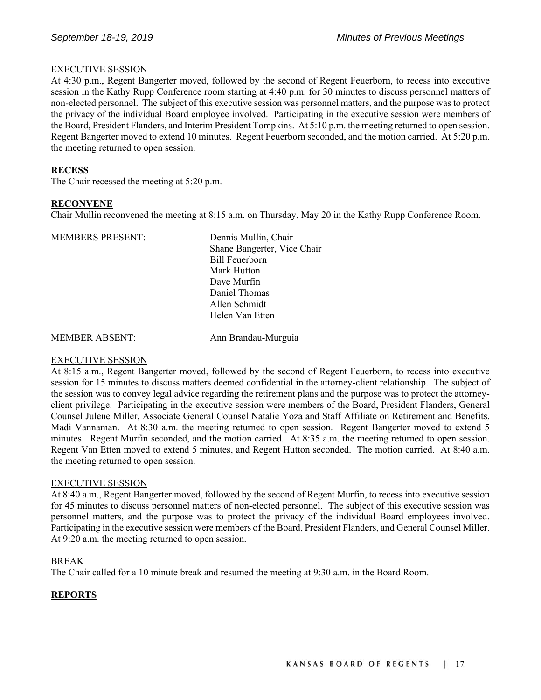#### EXECUTIVE SESSION

At 4:30 p.m., Regent Bangerter moved, followed by the second of Regent Feuerborn, to recess into executive session in the Kathy Rupp Conference room starting at 4:40 p.m. for 30 minutes to discuss personnel matters of non-elected personnel. The subject of this executive session was personnel matters, and the purpose was to protect the privacy of the individual Board employee involved. Participating in the executive session were members of the Board, President Flanders, and Interim President Tompkins. At 5:10 p.m. the meeting returned to open session. Regent Bangerter moved to extend 10 minutes. Regent Feuerborn seconded, and the motion carried. At 5:20 p.m. the meeting returned to open session.

### **RECESS**

The Chair recessed the meeting at 5:20 p.m.

#### **RECONVENE**

Chair Mullin reconvened the meeting at 8:15 a.m. on Thursday, May 20 in the Kathy Rupp Conference Room.

| <b>MEMBERS PRESENT:</b> | Dennis Mullin, Chair        |
|-------------------------|-----------------------------|
|                         | Shane Bangerter, Vice Chair |
|                         | <b>Bill Feuerborn</b>       |
|                         | Mark Hutton                 |
|                         | Dave Murfin                 |
|                         | Daniel Thomas               |
|                         | Allen Schmidt               |
|                         | Helen Van Etten             |
|                         |                             |

MEMBER ABSENT: Ann Brandau-Murguia

# EXECUTIVE SESSION

At 8:15 a.m., Regent Bangerter moved, followed by the second of Regent Feuerborn, to recess into executive session for 15 minutes to discuss matters deemed confidential in the attorney-client relationship. The subject of the session was to convey legal advice regarding the retirement plans and the purpose was to protect the attorneyclient privilege. Participating in the executive session were members of the Board, President Flanders, General Counsel Julene Miller, Associate General Counsel Natalie Yoza and Staff Affiliate on Retirement and Benefits, Madi Vannaman. At 8:30 a.m. the meeting returned to open session. Regent Bangerter moved to extend 5 minutes. Regent Murfin seconded, and the motion carried. At 8:35 a.m. the meeting returned to open session. Regent Van Etten moved to extend 5 minutes, and Regent Hutton seconded. The motion carried. At 8:40 a.m. the meeting returned to open session.

# EXECUTIVE SESSION

At 8:40 a.m., Regent Bangerter moved, followed by the second of Regent Murfin, to recess into executive session for 45 minutes to discuss personnel matters of non-elected personnel. The subject of this executive session was personnel matters, and the purpose was to protect the privacy of the individual Board employees involved. Participating in the executive session were members of the Board, President Flanders, and General Counsel Miller. At 9:20 a.m. the meeting returned to open session.

#### BREAK

The Chair called for a 10 minute break and resumed the meeting at 9:30 a.m. in the Board Room.

# **REPORTS**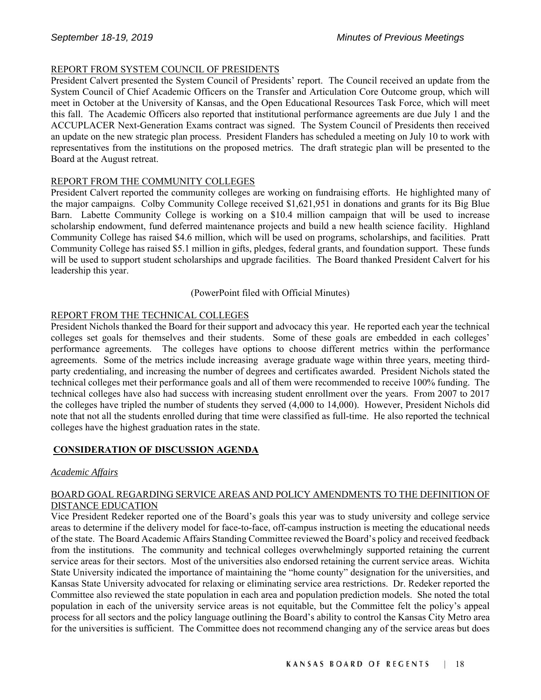# REPORT FROM SYSTEM COUNCIL OF PRESIDENTS

President Calvert presented the System Council of Presidents' report. The Council received an update from the System Council of Chief Academic Officers on the Transfer and Articulation Core Outcome group, which will meet in October at the University of Kansas, and the Open Educational Resources Task Force, which will meet this fall. The Academic Officers also reported that institutional performance agreements are due July 1 and the ACCUPLACER Next-Generation Exams contract was signed. The System Council of Presidents then received an update on the new strategic plan process. President Flanders has scheduled a meeting on July 10 to work with representatives from the institutions on the proposed metrics. The draft strategic plan will be presented to the Board at the August retreat.

# REPORT FROM THE COMMUNITY COLLEGES

President Calvert reported the community colleges are working on fundraising efforts. He highlighted many of the major campaigns. Colby Community College received \$1,621,951 in donations and grants for its Big Blue Barn. Labette Community College is working on a \$10.4 million campaign that will be used to increase scholarship endowment, fund deferred maintenance projects and build a new health science facility. Highland Community College has raised \$4.6 million, which will be used on programs, scholarships, and facilities. Pratt Community College has raised \$5.1 million in gifts, pledges, federal grants, and foundation support. These funds will be used to support student scholarships and upgrade facilities. The Board thanked President Calvert for his leadership this year.

# (PowerPoint filed with Official Minutes)

# REPORT FROM THE TECHNICAL COLLEGES

President Nichols thanked the Board for their support and advocacy this year. He reported each year the technical colleges set goals for themselves and their students. Some of these goals are embedded in each colleges' performance agreements. The colleges have options to choose different metrics within the performance agreements. Some of the metrics include increasing average graduate wage within three years, meeting thirdparty credentialing, and increasing the number of degrees and certificates awarded. President Nichols stated the technical colleges met their performance goals and all of them were recommended to receive 100% funding. The technical colleges have also had success with increasing student enrollment over the years. From 2007 to 2017 the colleges have tripled the number of students they served (4,000 to 14,000). However, President Nichols did note that not all the students enrolled during that time were classified as full-time. He also reported the technical colleges have the highest graduation rates in the state.

# **CONSIDERATION OF DISCUSSION AGENDA**

# *Academic Affairs*

# BOARD GOAL REGARDING SERVICE AREAS AND POLICY AMENDMENTS TO THE DEFINITION OF DISTANCE EDUCATION

Vice President Redeker reported one of the Board's goals this year was to study university and college service areas to determine if the delivery model for face-to-face, off-campus instruction is meeting the educational needs of the state. The Board Academic Affairs Standing Committee reviewed the Board's policy and received feedback from the institutions. The community and technical colleges overwhelmingly supported retaining the current service areas for their sectors. Most of the universities also endorsed retaining the current service areas. Wichita State University indicated the importance of maintaining the "home county" designation for the universities, and Kansas State University advocated for relaxing or eliminating service area restrictions. Dr. Redeker reported the Committee also reviewed the state population in each area and population prediction models. She noted the total population in each of the university service areas is not equitable, but the Committee felt the policy's appeal process for all sectors and the policy language outlining the Board's ability to control the Kansas City Metro area for the universities is sufficient. The Committee does not recommend changing any of the service areas but does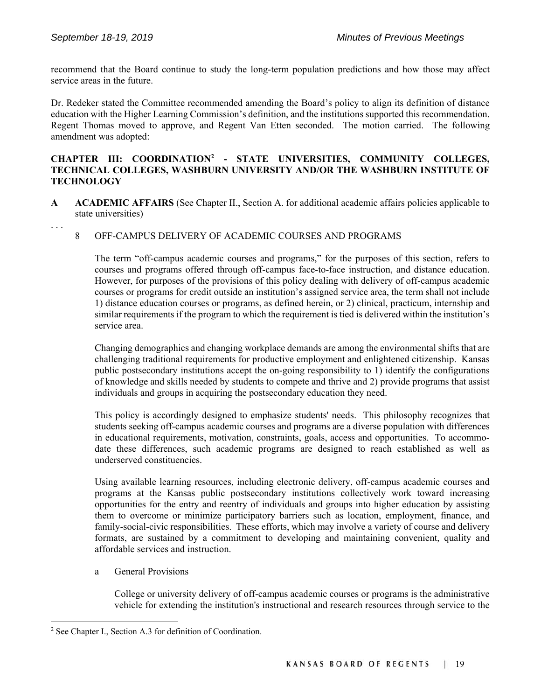. . .

l

recommend that the Board continue to study the long-term population predictions and how those may affect service areas in the future.

Dr. Redeker stated the Committee recommended amending the Board's policy to align its definition of distance education with the Higher Learning Commission's definition, and the institutions supported this recommendation. Regent Thomas moved to approve, and Regent Van Etten seconded. The motion carried. The following amendment was adopted:

# **CHAPTER III: COORDINATION2 - STATE UNIVERSITIES, COMMUNITY COLLEGES, TECHNICAL COLLEGES, WASHBURN UNIVERSITY AND/OR THE WASHBURN INSTITUTE OF TECHNOLOGY**

- **A ACADEMIC AFFAIRS** (See Chapter II., Section A. for additional academic affairs policies applicable to state universities)
	- 8 OFF-CAMPUS DELIVERY OF ACADEMIC COURSES AND PROGRAMS

The term "off-campus academic courses and programs," for the purposes of this section, refers to courses and programs offered through off-campus face-to-face instruction, and distance education. However, for purposes of the provisions of this policy dealing with delivery of off-campus academic courses or programs for credit outside an institution's assigned service area, the term shall not include 1) distance education courses or programs, as defined herein, or 2) clinical, practicum, internship and similar requirements if the program to which the requirement is tied is delivered within the institution's service area.

Changing demographics and changing workplace demands are among the environmental shifts that are challenging traditional requirements for productive employment and enlightened citizenship. Kansas public postsecondary institutions accept the on-going responsibility to 1) identify the configurations of knowledge and skills needed by students to compete and thrive and 2) provide programs that assist individuals and groups in acquiring the postsecondary education they need.

This policy is accordingly designed to emphasize students' needs. This philosophy recognizes that students seeking off-campus academic courses and programs are a diverse population with differences in educational requirements, motivation, constraints, goals, access and opportunities. To accommodate these differences, such academic programs are designed to reach established as well as underserved constituencies.

Using available learning resources, including electronic delivery, off-campus academic courses and programs at the Kansas public postsecondary institutions collectively work toward increasing opportunities for the entry and reentry of individuals and groups into higher education by assisting them to overcome or minimize participatory barriers such as location, employment, finance, and family-social-civic responsibilities. These efforts, which may involve a variety of course and delivery formats, are sustained by a commitment to developing and maintaining convenient, quality and affordable services and instruction.

a General Provisions

College or university delivery of off-campus academic courses or programs is the administrative vehicle for extending the institution's instructional and research resources through service to the

<sup>&</sup>lt;sup>2</sup> See Chapter I., Section A.3 for definition of Coordination.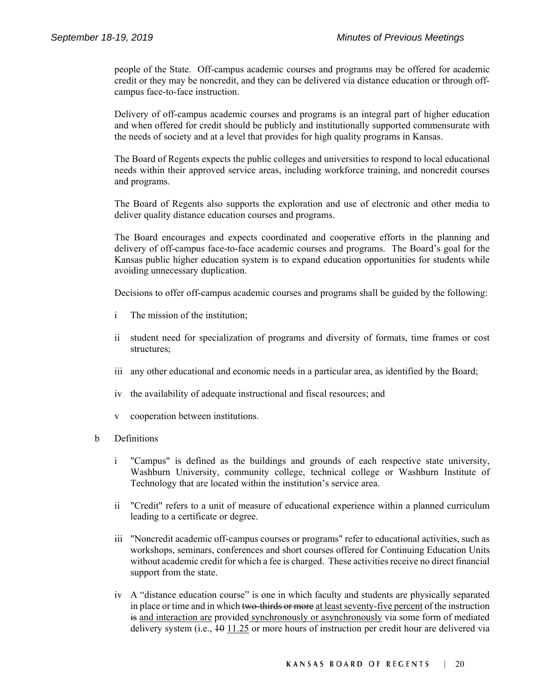people of the State. Off-campus academic courses and programs may be offered for academic credit or they may be noncredit, and they can be delivered via distance education or through offcampus face-to-face instruction.

Delivery of off-campus academic courses and programs is an integral part of higher education and when offered for credit should be publicly and institutionally supported commensurate with the needs of society and at a level that provides for high quality programs in Kansas.

The Board of Regents expects the public colleges and universities to respond to local educational needs within their approved service areas, including workforce training, and noncredit courses and programs.

The Board of Regents also supports the exploration and use of electronic and other media to deliver quality distance education courses and programs.

The Board encourages and expects coordinated and cooperative efforts in the planning and delivery of off-campus face-to-face academic courses and programs. The Board's goal for the Kansas public higher education system is to expand education opportunities for students while avoiding unnecessary duplication.

Decisions to offer off-campus academic courses and programs shall be guided by the following:

- i The mission of the institution;
- ii student need for specialization of programs and diversity of formats, time frames or cost structures;
- iii any other educational and economic needs in a particular area, as identified by the Board;
- iv the availability of adequate instructional and fiscal resources; and
- v cooperation between institutions.
- b Definitions
	- i "Campus" is defined as the buildings and grounds of each respective state university, Washburn University, community college, technical college or Washburn Institute of Technology that are located within the institution's service area.
	- ii "Credit" refers to a unit of measure of educational experience within a planned curriculum leading to a certificate or degree.
	- iii "Noncredit academic off-campus courses or programs" refer to educational activities, such as workshops, seminars, conferences and short courses offered for Continuing Education Units without academic credit for which a fee is charged. These activities receive no direct financial support from the state.
	- iv A "distance education course" is one in which faculty and students are physically separated in place or time and in which two-thirds or more at least seventy-five percent of the instruction is and interaction are provided synchronously or asynchronously via some form of mediated delivery system (i.e.,  $10 \frac{11.25}{11.25}$  or more hours of instruction per credit hour are delivered via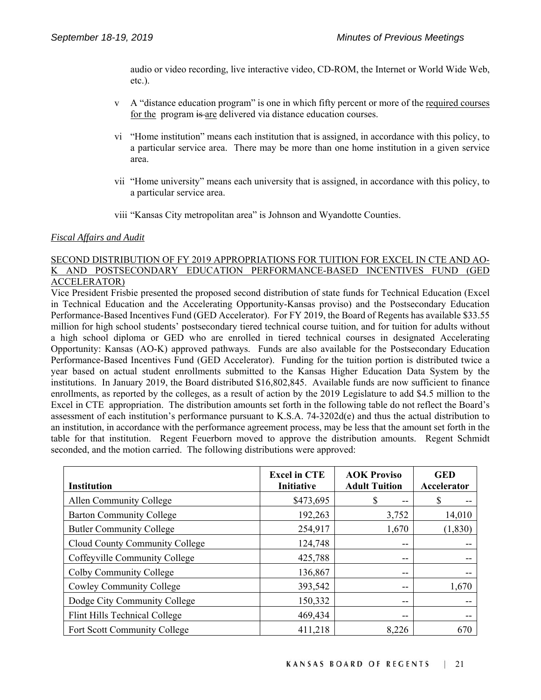audio or video recording, live interactive video, CD-ROM, the Internet or World Wide Web, etc.).

- v A "distance education program" is one in which fifty percent or more of the required courses for the program is are delivered via distance education courses.
- vi "Home institution" means each institution that is assigned, in accordance with this policy, to a particular service area. There may be more than one home institution in a given service area.
- vii "Home university" means each university that is assigned, in accordance with this policy, to a particular service area.
- viii "Kansas City metropolitan area" is Johnson and Wyandotte Counties.

#### *Fiscal Affairs and Audit*

# SECOND DISTRIBUTION OF FY 2019 APPROPRIATIONS FOR TUITION FOR EXCEL IN CTE AND AO-K AND POSTSECONDARY EDUCATION PERFORMANCE-BASED INCENTIVES FUND (GED ACCELERATOR)

Vice President Frisbie presented the proposed second distribution of state funds for Technical Education (Excel in Technical Education and the Accelerating Opportunity-Kansas proviso) and the Postsecondary Education Performance-Based Incentives Fund (GED Accelerator). For FY 2019, the Board of Regents has available \$33.55 million for high school students' postsecondary tiered technical course tuition, and for tuition for adults without a high school diploma or GED who are enrolled in tiered technical courses in designated Accelerating Opportunity: Kansas (AO-K) approved pathways. Funds are also available for the Postsecondary Education Performance-Based Incentives Fund (GED Accelerator). Funding for the tuition portion is distributed twice a year based on actual student enrollments submitted to the Kansas Higher Education Data System by the institutions. In January 2019, the Board distributed \$16,802,845. Available funds are now sufficient to finance enrollments, as reported by the colleges, as a result of action by the 2019 Legislature to add \$4.5 million to the Excel in CTE appropriation. The distribution amounts set forth in the following table do not reflect the Board's assessment of each institution's performance pursuant to K.S.A. 74-3202d(e) and thus the actual distribution to an institution, in accordance with the performance agreement process, may be less that the amount set forth in the table for that institution. Regent Feuerborn moved to approve the distribution amounts. Regent Schmidt seconded, and the motion carried. The following distributions were approved:

| <b>Institution</b>                  | <b>Excel in CTE</b><br>Initiative | <b>AOK Proviso</b><br><b>Adult Tuition</b> | <b>GED</b><br><b>Accelerator</b> |
|-------------------------------------|-----------------------------------|--------------------------------------------|----------------------------------|
| Allen Community College             | \$473,695                         | S<br>--                                    | S                                |
| <b>Barton Community College</b>     | 192,263                           | 3,752                                      | 14,010                           |
| <b>Butler Community College</b>     | 254,917                           | 1,670                                      | (1, 830)                         |
| Cloud County Community College      | 124,748                           | --                                         |                                  |
| Coffeyville Community College       | 425,788                           | --                                         |                                  |
| Colby Community College             | 136,867                           | --                                         |                                  |
| Cowley Community College            | 393,542                           | --                                         | 1,670                            |
| Dodge City Community College        | 150,332                           | $- -$                                      |                                  |
| Flint Hills Technical College       | 469,434                           | --                                         |                                  |
| <b>Fort Scott Community College</b> | 411,218                           | 8,226                                      | 670                              |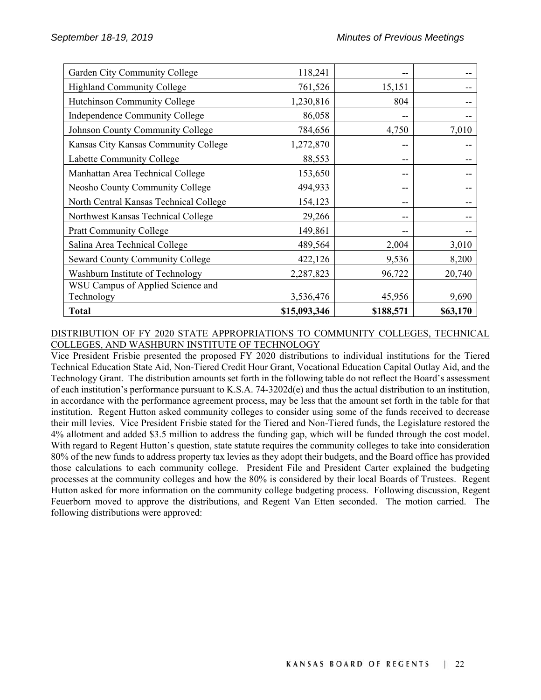| Garden City Community College          | 118,241      |           |          |
|----------------------------------------|--------------|-----------|----------|
| <b>Highland Community College</b>      | 761,526      | 15,151    |          |
| Hutchinson Community College           | 1,230,816    | 804       |          |
| Independence Community College         | 86,058       |           |          |
| Johnson County Community College       | 784,656      | 4,750     | 7,010    |
| Kansas City Kansas Community College   | 1,272,870    |           |          |
| Labette Community College              | 88,553       | --        |          |
| Manhattan Area Technical College       | 153,650      | --        |          |
| Neosho County Community College        | 494,933      | --        |          |
| North Central Kansas Technical College | 154,123      | --        |          |
| Northwest Kansas Technical College     | 29,266       |           |          |
| <b>Pratt Community College</b>         | 149,861      |           |          |
| Salina Area Technical College          | 489,564      | 2,004     | 3,010    |
| <b>Seward County Community College</b> | 422,126      | 9,536     | 8,200    |
| Washburn Institute of Technology       | 2,287,823    | 96,722    | 20,740   |
| WSU Campus of Applied Science and      |              |           |          |
| Technology                             | 3,536,476    | 45,956    | 9,690    |
| <b>Total</b>                           | \$15,093,346 | \$188,571 | \$63,170 |

# DISTRIBUTION OF FY 2020 STATE APPROPRIATIONS TO COMMUNITY COLLEGES, TECHNICAL COLLEGES, AND WASHBURN INSTITUTE OF TECHNOLOGY

Vice President Frisbie presented the proposed FY 2020 distributions to individual institutions for the Tiered Technical Education State Aid, Non-Tiered Credit Hour Grant, Vocational Education Capital Outlay Aid, and the Technology Grant. The distribution amounts set forth in the following table do not reflect the Board's assessment of each institution's performance pursuant to K.S.A. 74-3202d(e) and thus the actual distribution to an institution, in accordance with the performance agreement process, may be less that the amount set forth in the table for that institution. Regent Hutton asked community colleges to consider using some of the funds received to decrease their mill levies. Vice President Frisbie stated for the Tiered and Non-Tiered funds, the Legislature restored the 4% allotment and added \$3.5 million to address the funding gap, which will be funded through the cost model. With regard to Regent Hutton's question, state statute requires the community colleges to take into consideration 80% of the new funds to address property tax levies as they adopt their budgets, and the Board office has provided those calculations to each community college. President File and President Carter explained the budgeting processes at the community colleges and how the 80% is considered by their local Boards of Trustees. Regent Hutton asked for more information on the community college budgeting process. Following discussion, Regent Feuerborn moved to approve the distributions, and Regent Van Etten seconded. The motion carried. The following distributions were approved: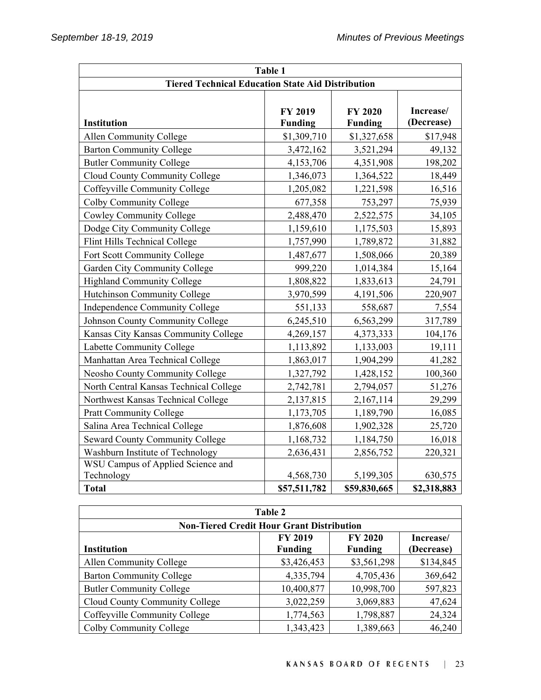| Table 1                                                  |                           |                                  |                         |
|----------------------------------------------------------|---------------------------|----------------------------------|-------------------------|
| <b>Tiered Technical Education State Aid Distribution</b> |                           |                                  |                         |
| Institution                                              | FY 2019<br><b>Funding</b> | <b>FY 2020</b><br><b>Funding</b> | Increase/<br>(Decrease) |
| Allen Community College                                  | \$1,309,710               | \$1,327,658                      | \$17,948                |
| <b>Barton Community College</b>                          | 3,472,162                 | 3,521,294                        | 49,132                  |
| <b>Butler Community College</b>                          | 4,153,706                 | 4,351,908                        | 198,202                 |
| Cloud County Community College                           | 1,346,073                 | 1,364,522                        | 18,449                  |
| Coffeyville Community College                            | 1,205,082                 | 1,221,598                        | 16,516                  |
| Colby Community College                                  | 677,358                   | 753,297                          | 75,939                  |
| <b>Cowley Community College</b>                          | 2,488,470                 | 2,522,575                        | 34,105                  |
| Dodge City Community College                             | 1,159,610                 | 1,175,503                        | 15,893                  |
| Flint Hills Technical College                            | 1,757,990                 | 1,789,872                        | 31,882                  |
| Fort Scott Community College                             | 1,487,677                 | 1,508,066                        | 20,389                  |
| Garden City Community College                            | 999,220                   | 1,014,384                        | 15,164                  |
| <b>Highland Community College</b>                        | 1,808,822                 | 1,833,613                        | 24,791                  |
| Hutchinson Community College                             | 3,970,599                 | 4,191,506                        | 220,907                 |
| Independence Community College                           | 551,133                   | 558,687                          | 7,554                   |
| Johnson County Community College                         | 6,245,510                 | 6,563,299                        | 317,789                 |
| Kansas City Kansas Community College                     | 4,269,157                 | 4,373,333                        | 104,176                 |
| Labette Community College                                | 1,113,892                 | 1,133,003                        | 19,111                  |
| Manhattan Area Technical College                         | 1,863,017                 | 1,904,299                        | 41,282                  |
| Neosho County Community College                          | 1,327,792                 | 1,428,152                        | 100,360                 |
| North Central Kansas Technical College                   | 2,742,781                 | 2,794,057                        | 51,276                  |
| Northwest Kansas Technical College                       | 2,137,815                 | 2,167,114                        | 29,299                  |
| <b>Pratt Community College</b>                           | 1,173,705                 | 1,189,790                        | 16,085                  |
| Salina Area Technical College                            | 1,876,608                 | 1,902,328                        | 25,720                  |
| <b>Seward County Community College</b>                   | 1,168,732                 | 1,184,750                        | 16,018                  |
| Washburn Institute of Technology                         | 2,636,431                 | 2,856,752                        | 220,321                 |
| WSU Campus of Applied Science and                        |                           |                                  |                         |
| Technology                                               | 4,568,730                 | 5,199,305                        | 630,575                 |
| <b>Total</b>                                             | \$57,511,782              | \$59,830,665                     | \$2,318,883             |

| Table 2                                          |                |                |            |
|--------------------------------------------------|----------------|----------------|------------|
| <b>Non-Tiered Credit Hour Grant Distribution</b> |                |                |            |
|                                                  | <b>FY 2019</b> | <b>FY 2020</b> | Increase/  |
| <b>Institution</b>                               | <b>Funding</b> | <b>Funding</b> | (Decrease) |
| Allen Community College                          | \$3,426,453    | \$3,561,298    | \$134,845  |
| <b>Barton Community College</b>                  | 4,335,794      | 4,705,436      | 369,642    |
| <b>Butler Community College</b>                  | 10,400,877     | 10,998,700     | 597,823    |
| Cloud County Community College                   | 3,022,259      | 3,069,883      | 47,624     |
| Coffeyville Community College                    | 1,774,563      | 1,798,887      | 24,324     |
| Colby Community College                          | 1,343,423      | 1,389,663      | 46,240     |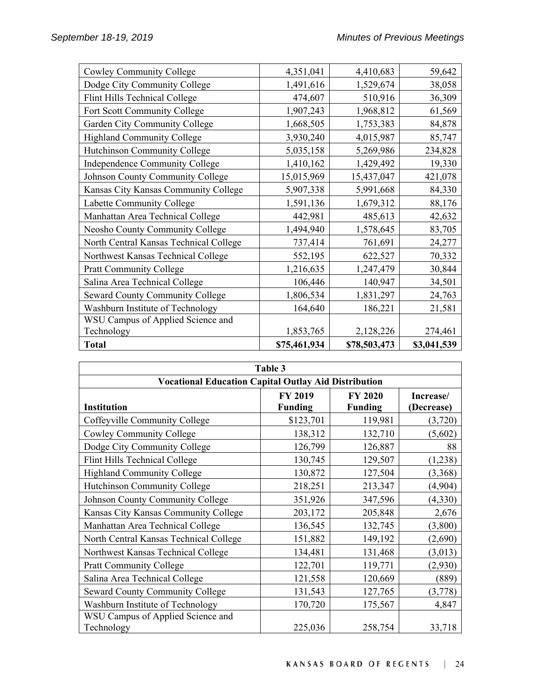| Cowley Community College               | 4,351,041    | 4,410,683    | 59,642      |
|----------------------------------------|--------------|--------------|-------------|
| Dodge City Community College           | 1,491,616    | 1,529,674    | 38,058      |
| Flint Hills Technical College          | 474,607      | 510,916      | 36,309      |
| Fort Scott Community College           | 1,907,243    | 1,968,812    | 61,569      |
| Garden City Community College          | 1,668,505    | 1,753,383    | 84,878      |
| <b>Highland Community College</b>      | 3,930,240    | 4,015,987    | 85,747      |
| Hutchinson Community College           | 5,035,158    | 5,269,986    | 234,828     |
| Independence Community College         | 1,410,162    | 1,429,492    | 19,330      |
| Johnson County Community College       | 15,015,969   | 15,437,047   | 421,078     |
| Kansas City Kansas Community College   | 5,907,338    | 5,991,668    | 84,330      |
| Labette Community College              | 1,591,136    | 1,679,312    | 88,176      |
| Manhattan Area Technical College       | 442,981      | 485,613      | 42,632      |
| Neosho County Community College        | 1,494,940    | 1,578,645    | 83,705      |
| North Central Kansas Technical College | 737,414      | 761,691      | 24,277      |
| Northwest Kansas Technical College     | 552,195      | 622,527      | 70,332      |
| <b>Pratt Community College</b>         | 1,216,635    | 1,247,479    | 30,844      |
| Salina Area Technical College          | 106,446      | 140,947      | 34,501      |
| <b>Seward County Community College</b> | 1,806,534    | 1,831,297    | 24,763      |
| Washburn Institute of Technology       | 164,640      | 186,221      | 21,581      |
| WSU Campus of Applied Science and      |              |              |             |
| Technology                             | 1,853,765    | 2,128,226    | 274,461     |
| <b>Total</b>                           | \$75,461,934 | \$78,503,473 | \$3,041,539 |

| Table 3                                                     |                                  |                                  |                         |
|-------------------------------------------------------------|----------------------------------|----------------------------------|-------------------------|
| <b>Vocational Education Capital Outlay Aid Distribution</b> |                                  |                                  |                         |
| <b>Institution</b>                                          | <b>FY 2019</b><br><b>Funding</b> | <b>FY 2020</b><br><b>Funding</b> | Increase/<br>(Decrease) |
| Coffeyville Community College                               | \$123,701                        | 119,981                          | (3,720)                 |
| Cowley Community College                                    | 138,312                          | 132,710                          | (5,602)                 |
| Dodge City Community College                                | 126,799                          | 126,887                          | 88                      |
| Flint Hills Technical College                               | 130,745                          | 129,507                          | (1,238)                 |
| <b>Highland Community College</b>                           | 130,872                          | 127,504                          | (3,368)                 |
| Hutchinson Community College                                | 218,251                          | 213,347                          | (4,904)                 |
| Johnson County Community College                            | 351,926                          | 347,596                          | (4,330)                 |
| Kansas City Kansas Community College                        | 203,172                          | 205,848                          | 2,676                   |
| Manhattan Area Technical College                            | 136,545                          | 132,745                          | (3,800)                 |
| North Central Kansas Technical College                      | 151,882                          | 149,192                          | (2,690)                 |
| Northwest Kansas Technical College                          | 134,481                          | 131,468                          | (3,013)                 |
| <b>Pratt Community College</b>                              | 122,701                          | 119,771                          | (2,930)                 |
| Salina Area Technical College                               | 121,558                          | 120,669                          | (889)                   |
| <b>Seward County Community College</b>                      | 131,543                          | 127,765                          | (3,778)                 |
| Washburn Institute of Technology                            | 170,720                          | 175,567                          | 4,847                   |
| WSU Campus of Applied Science and<br>Technology             | 225,036                          | 258,754                          | 33,718                  |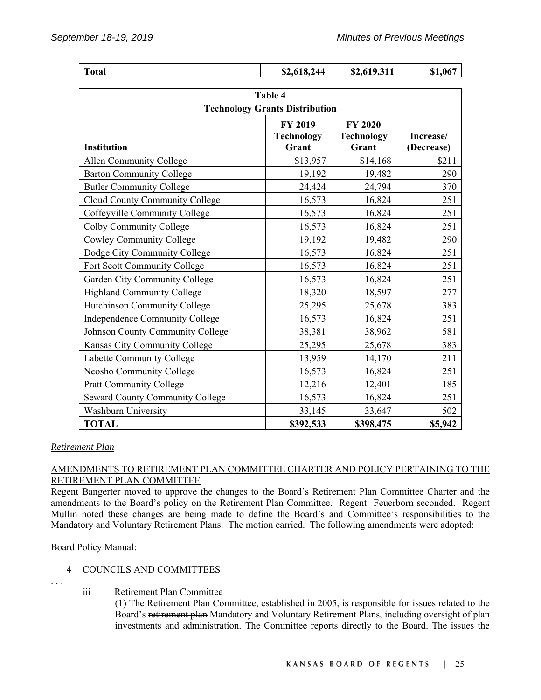| <b>Total</b>                                     | \$2,618,244                  | \$2,619,311                | \$1,067    |
|--------------------------------------------------|------------------------------|----------------------------|------------|
|                                                  |                              |                            |            |
| Table 4<br><b>Technology Grants Distribution</b> |                              |                            |            |
|                                                  |                              |                            |            |
|                                                  | FY 2019<br><b>Technology</b> | <b>FY 2020</b>             | Increase/  |
| Institution                                      | Grant                        | <b>Technology</b><br>Grant | (Decrease) |
| Allen Community College                          | \$13,957                     | \$14,168                   | \$211      |
| <b>Barton Community College</b>                  | 19,192                       | 19,482                     | 290        |
| <b>Butler Community College</b>                  | 24,424                       | 24,794                     | 370        |
| Cloud County Community College                   | 16,573                       | 16,824                     | 251        |
| Coffeyville Community College                    | 16,573                       | 16,824                     | 251        |
| Colby Community College                          | 16,573                       | 16,824                     | 251        |
| <b>Cowley Community College</b>                  | 19,192                       | 19,482                     | 290        |
| Dodge City Community College                     | 16,573                       | 16,824                     | 251        |
| Fort Scott Community College                     | 16,573                       | 16,824                     | 251        |
| Garden City Community College                    | 16,573                       | 16,824                     | 251        |
| Highland Community College                       | 18,320                       | 18,597                     | 277        |
| Hutchinson Community College                     | 25,295                       | 25,678                     | 383        |
| Independence Community College                   | 16,573                       | 16,824                     | 251        |
| Johnson County Community College                 | 38,381                       | 38,962                     | 581        |
| Kansas City Community College                    | 25,295                       | 25,678                     | 383        |
| Labette Community College                        | 13,959                       | 14,170                     | 211        |
| Neosho Community College                         | 16,573                       | 16,824                     | 251        |
| <b>Pratt Community College</b>                   | 12,216                       | 12,401                     | 185        |
| <b>Seward County Community College</b>           | 16,573                       | 16,824                     | 251        |
| <b>Washburn University</b>                       | 33,145                       | 33,647                     | 502        |
| <b>TOTAL</b>                                     | \$392,533                    | \$398,475                  | \$5,942    |

# *Retirement Plan*

# AMENDMENTS TO RETIREMENT PLAN COMMITTEE CHARTER AND POLICY PERTAINING TO THE RETIREMENT PLAN COMMITTEE

Regent Bangerter moved to approve the changes to the Board's Retirement Plan Committee Charter and the amendments to the Board's policy on the Retirement Plan Committee. Regent Feuerborn seconded. Regent Mullin noted these changes are being made to define the Board's and Committee's responsibilities to the Mandatory and Voluntary Retirement Plans. The motion carried. The following amendments were adopted:

Board Policy Manual:

# 4 COUNCILS AND COMMITTEES

. . .

iii Retirement Plan Committee

(1) The Retirement Plan Committee, established in 2005, is responsible for issues related to the Board's retirement plan Mandatory and Voluntary Retirement Plans, including oversight of plan investments and administration. The Committee reports directly to the Board. The issues the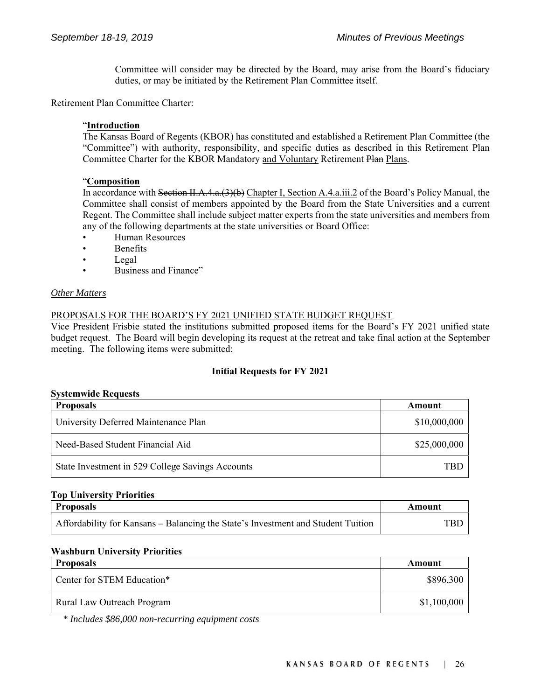Committee will consider may be directed by the Board, may arise from the Board's fiduciary duties, or may be initiated by the Retirement Plan Committee itself.

Retirement Plan Committee Charter:

#### "**Introduction**

The Kansas Board of Regents (KBOR) has constituted and established a Retirement Plan Committee (the "Committee") with authority, responsibility, and specific duties as described in this Retirement Plan Committee Charter for the KBOR Mandatory and Voluntary Retirement Plan Plans.

#### "**Composition**

In accordance with Section II.A.4.a.(3)(b) Chapter I, Section A.4.a.iii.2 of the Board's Policy Manual, the Committee shall consist of members appointed by the Board from the State Universities and a current Regent. The Committee shall include subject matter experts from the state universities and members from any of the following departments at the state universities or Board Office:

- Human Resources
- **Benefits**
- Legal
- Business and Finance"

#### *Other Matters*

# PROPOSALS FOR THE BOARD'S FY 2021 UNIFIED STATE BUDGET REQUEST

Vice President Frisbie stated the institutions submitted proposed items for the Board's FY 2021 unified state budget request. The Board will begin developing its request at the retreat and take final action at the September meeting. The following items were submitted:

#### **Initial Requests for FY 2021**

#### **Systemwide Requests**

| <b>Proposals</b>                                 | Amount       |
|--------------------------------------------------|--------------|
| University Deferred Maintenance Plan             | \$10,000,000 |
| Need-Based Student Financial Aid                 | \$25,000,000 |
| State Investment in 529 College Savings Accounts | TBF          |

#### **Top University Priorities**

| <b>Proposals</b>                                                                 | Amount |
|----------------------------------------------------------------------------------|--------|
| Affordability for Kansans – Balancing the State's Investment and Student Tuition | TBD    |

#### **Washburn University Priorities**

| <b>Proposals</b>           | Amount      |
|----------------------------|-------------|
| Center for STEM Education* | \$896,300   |
| Rural Law Outreach Program | \$1,100,000 |

 *\* Includes \$86,000 non-recurring equipment costs*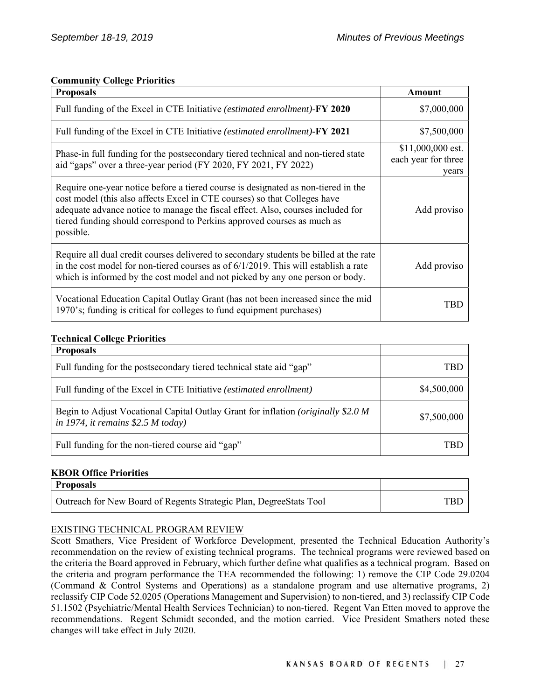# **Community College Priorities**

| <b>Proposals</b>                                                                                                                                                                                                                                                                                                                          | Amount                                            |
|-------------------------------------------------------------------------------------------------------------------------------------------------------------------------------------------------------------------------------------------------------------------------------------------------------------------------------------------|---------------------------------------------------|
| Full funding of the Excel in CTE Initiative (estimated enrollment)-FY 2020                                                                                                                                                                                                                                                                | \$7,000,000                                       |
| Full funding of the Excel in CTE Initiative (estimated enrollment)-FY 2021                                                                                                                                                                                                                                                                | \$7,500,000                                       |
| Phase-in full funding for the postsecondary tiered technical and non-tiered state<br>aid "gaps" over a three-year period (FY 2020, FY 2021, FY 2022)                                                                                                                                                                                      | \$11,000,000 est.<br>each year for three<br>vears |
| Require one-year notice before a tiered course is designated as non-tiered in the<br>cost model (this also affects Excel in CTE courses) so that Colleges have<br>adequate advance notice to manage the fiscal effect. Also, courses included for<br>tiered funding should correspond to Perkins approved courses as much as<br>possible. | Add proviso                                       |
| Require all dual credit courses delivered to secondary students be billed at the rate<br>in the cost model for non-tiered courses as of $6/1/2019$ . This will establish a rate<br>which is informed by the cost model and not picked by any one person or body.                                                                          | Add proviso                                       |
| Vocational Education Capital Outlay Grant (has not been increased since the mid<br>1970's; funding is critical for colleges to fund equipment purchases)                                                                                                                                                                                  | TRD                                               |

# **Technical College Priorities**

| <b>Proposals</b>                                                                                                                 |             |
|----------------------------------------------------------------------------------------------------------------------------------|-------------|
| Full funding for the postsecondary tiered technical state aid "gap"                                                              | TBE         |
| Full funding of the Excel in CTE Initiative (estimated enrollment)                                                               | \$4,500,000 |
| Begin to Adjust Vocational Capital Outlay Grant for inflation ( <i>originally</i> \$2.0 M<br>in 1974, it remains $$2.5$ M today) | \$7,500,000 |
| Full funding for the non-tiered course aid "gap"                                                                                 | TRI         |

# **KBOR Office Priorities**

| <b>Proposals</b>                                                   |     |
|--------------------------------------------------------------------|-----|
| Outreach for New Board of Regents Strategic Plan, DegreeStats Tool | TBL |

# EXISTING TECHNICAL PROGRAM REVIEW

Scott Smathers, Vice President of Workforce Development, presented the Technical Education Authority's recommendation on the review of existing technical programs. The technical programs were reviewed based on the criteria the Board approved in February, which further define what qualifies as a technical program. Based on the criteria and program performance the TEA recommended the following: 1) remove the CIP Code 29.0204 (Command & Control Systems and Operations) as a standalone program and use alternative programs, 2) reclassify CIP Code 52.0205 (Operations Management and Supervision) to non-tiered, and 3) reclassify CIP Code 51.1502 (Psychiatric/Mental Health Services Technician) to non-tiered. Regent Van Etten moved to approve the recommendations. Regent Schmidt seconded, and the motion carried. Vice President Smathers noted these changes will take effect in July 2020.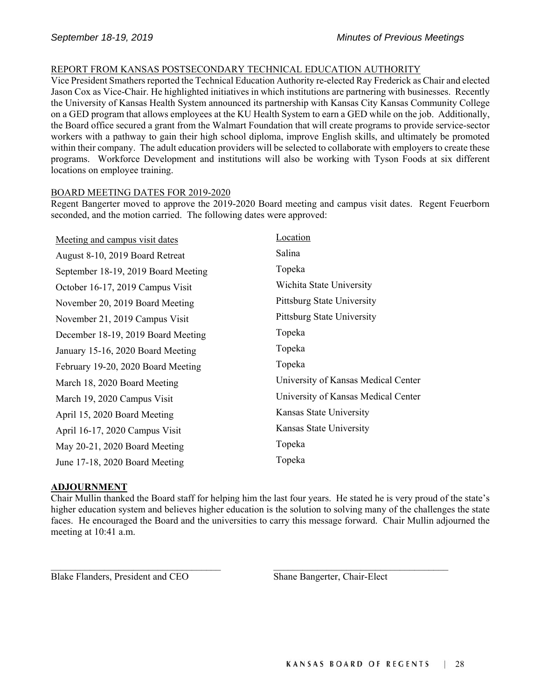# REPORT FROM KANSAS POSTSECONDARY TECHNICAL EDUCATION AUTHORITY

Vice President Smathers reported the Technical Education Authority re-elected Ray Frederick as Chair and elected Jason Cox as Vice-Chair. He highlighted initiatives in which institutions are partnering with businesses. Recently the University of Kansas Health System announced its partnership with Kansas City Kansas Community College on a GED program that allows employees at the KU Health System to earn a GED while on the job. Additionally, the Board office secured a grant from the Walmart Foundation that will create programs to provide service-sector workers with a pathway to gain their high school diploma, improve English skills, and ultimately be promoted within their company. The adult education providers will be selected to collaborate with employers to create these programs. Workforce Development and institutions will also be working with Tyson Foods at six different locations on employee training.

# BOARD MEETING DATES FOR 2019-2020

Regent Bangerter moved to approve the 2019-2020 Board meeting and campus visit dates. Regent Feuerborn seconded, and the motion carried. The following dates were approved:

| Meeting and campus visit dates      | Location                            |
|-------------------------------------|-------------------------------------|
| August 8-10, 2019 Board Retreat     | Salina                              |
| September 18-19, 2019 Board Meeting | Topeka                              |
| October 16-17, 2019 Campus Visit    | Wichita State University            |
| November 20, 2019 Board Meeting     | Pittsburg State University          |
| November 21, 2019 Campus Visit      | <b>Pittsburg State University</b>   |
| December 18-19, 2019 Board Meeting  | Topeka                              |
| January 15-16, 2020 Board Meeting   | Topeka                              |
| February 19-20, 2020 Board Meeting  | Topeka                              |
| March 18, 2020 Board Meeting        | University of Kansas Medical Center |
| March 19, 2020 Campus Visit         | University of Kansas Medical Center |
| April 15, 2020 Board Meeting        | Kansas State University             |
| April 16-17, 2020 Campus Visit      | Kansas State University             |
| May 20-21, 2020 Board Meeting       | Topeka                              |
| June 17-18, 2020 Board Meeting      | Topeka                              |

# **ADJOURNMENT**

Chair Mullin thanked the Board staff for helping him the last four years. He stated he is very proud of the state's higher education system and believes higher education is the solution to solving many of the challenges the state faces. He encouraged the Board and the universities to carry this message forward. Chair Mullin adjourned the meeting at 10:41 a.m.

Blake Flanders, President and CEO Shane Bangerter, Chair-Elect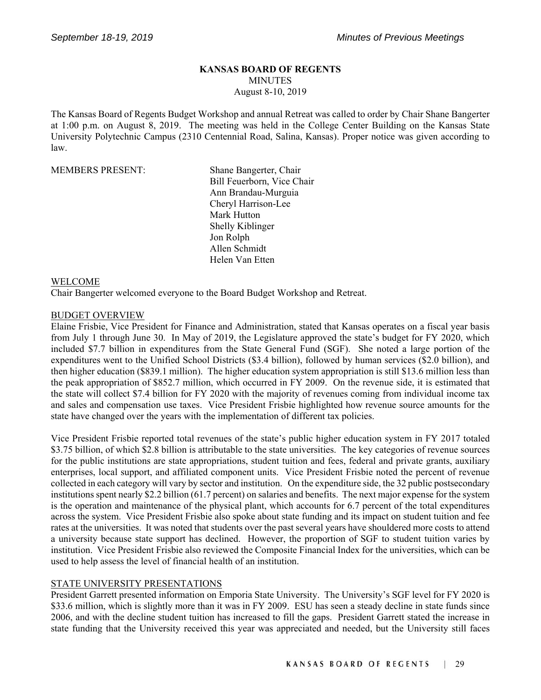# **KANSAS BOARD OF REGENTS** MINUTES August 8-10, 2019

The Kansas Board of Regents Budget Workshop and annual Retreat was called to order by Chair Shane Bangerter at 1:00 p.m. on August 8, 2019. The meeting was held in the College Center Building on the Kansas State University Polytechnic Campus (2310 Centennial Road, Salina, Kansas). Proper notice was given according to law.

#### MEMBERS PRESENT: Shane Bangerter, Chair

Bill Feuerborn, Vice Chair Ann Brandau-Murguia Cheryl Harrison-Lee Mark Hutton Shelly Kiblinger Jon Rolph Allen Schmidt Helen Van Etten

#### WELCOME

Chair Bangerter welcomed everyone to the Board Budget Workshop and Retreat.

#### BUDGET OVERVIEW

Elaine Frisbie, Vice President for Finance and Administration, stated that Kansas operates on a fiscal year basis from July 1 through June 30. In May of 2019, the Legislature approved the state's budget for FY 2020, which included \$7.7 billion in expenditures from the State General Fund (SGF). She noted a large portion of the expenditures went to the Unified School Districts (\$3.4 billion), followed by human services (\$2.0 billion), and then higher education (\$839.1 million). The higher education system appropriation is still \$13.6 million less than the peak appropriation of \$852.7 million, which occurred in FY 2009. On the revenue side, it is estimated that the state will collect \$7.4 billion for FY 2020 with the majority of revenues coming from individual income tax and sales and compensation use taxes. Vice President Frisbie highlighted how revenue source amounts for the state have changed over the years with the implementation of different tax policies.

Vice President Frisbie reported total revenues of the state's public higher education system in FY 2017 totaled \$3.75 billion, of which \$2.8 billion is attributable to the state universities. The key categories of revenue sources for the public institutions are state appropriations, student tuition and fees, federal and private grants, auxiliary enterprises, local support, and affiliated component units. Vice President Frisbie noted the percent of revenue collected in each category will vary by sector and institution. On the expenditure side, the 32 public postsecondary institutions spent nearly \$2.2 billion (61.7 percent) on salaries and benefits. The next major expense for the system is the operation and maintenance of the physical plant, which accounts for 6.7 percent of the total expenditures across the system. Vice President Frisbie also spoke about state funding and its impact on student tuition and fee rates at the universities. It was noted that students over the past several years have shouldered more costs to attend a university because state support has declined. However, the proportion of SGF to student tuition varies by institution. Vice President Frisbie also reviewed the Composite Financial Index for the universities, which can be used to help assess the level of financial health of an institution.

# STATE UNIVERSITY PRESENTATIONS

President Garrett presented information on Emporia State University. The University's SGF level for FY 2020 is \$33.6 million, which is slightly more than it was in FY 2009. ESU has seen a steady decline in state funds since 2006, and with the decline student tuition has increased to fill the gaps. President Garrett stated the increase in state funding that the University received this year was appreciated and needed, but the University still faces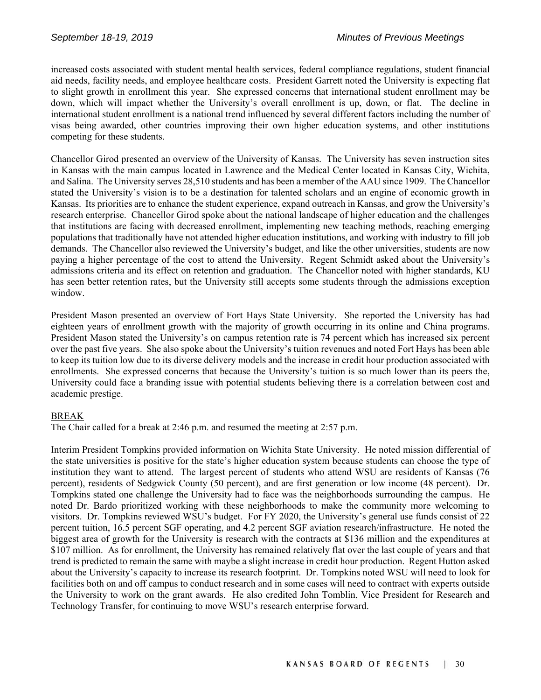increased costs associated with student mental health services, federal compliance regulations, student financial aid needs, facility needs, and employee healthcare costs. President Garrett noted the University is expecting flat to slight growth in enrollment this year. She expressed concerns that international student enrollment may be down, which will impact whether the University's overall enrollment is up, down, or flat. The decline in international student enrollment is a national trend influenced by several different factors including the number of visas being awarded, other countries improving their own higher education systems, and other institutions competing for these students.

Chancellor Girod presented an overview of the University of Kansas. The University has seven instruction sites in Kansas with the main campus located in Lawrence and the Medical Center located in Kansas City, Wichita, and Salina. The University serves 28,510 students and has been a member of the AAU since 1909. The Chancellor stated the University's vision is to be a destination for talented scholars and an engine of economic growth in Kansas. Its priorities are to enhance the student experience, expand outreach in Kansas, and grow the University's research enterprise. Chancellor Girod spoke about the national landscape of higher education and the challenges that institutions are facing with decreased enrollment, implementing new teaching methods, reaching emerging populations that traditionally have not attended higher education institutions, and working with industry to fill job demands. The Chancellor also reviewed the University's budget, and like the other universities, students are now paying a higher percentage of the cost to attend the University. Regent Schmidt asked about the University's admissions criteria and its effect on retention and graduation. The Chancellor noted with higher standards, KU has seen better retention rates, but the University still accepts some students through the admissions exception window.

President Mason presented an overview of Fort Hays State University. She reported the University has had eighteen years of enrollment growth with the majority of growth occurring in its online and China programs. President Mason stated the University's on campus retention rate is 74 percent which has increased six percent over the past five years. She also spoke about the University's tuition revenues and noted Fort Hays has been able to keep its tuition low due to its diverse delivery models and the increase in credit hour production associated with enrollments. She expressed concerns that because the University's tuition is so much lower than its peers the, University could face a branding issue with potential students believing there is a correlation between cost and academic prestige.

# BREAK

The Chair called for a break at 2:46 p.m. and resumed the meeting at 2:57 p.m.

Interim President Tompkins provided information on Wichita State University. He noted mission differential of the state universities is positive for the state's higher education system because students can choose the type of institution they want to attend. The largest percent of students who attend WSU are residents of Kansas (76 percent), residents of Sedgwick County (50 percent), and are first generation or low income (48 percent). Dr. Tompkins stated one challenge the University had to face was the neighborhoods surrounding the campus. He noted Dr. Bardo prioritized working with these neighborhoods to make the community more welcoming to visitors. Dr. Tompkins reviewed WSU's budget. For FY 2020, the University's general use funds consist of 22 percent tuition, 16.5 percent SGF operating, and 4.2 percent SGF aviation research/infrastructure. He noted the biggest area of growth for the University is research with the contracts at \$136 million and the expenditures at \$107 million. As for enrollment, the University has remained relatively flat over the last couple of years and that trend is predicted to remain the same with maybe a slight increase in credit hour production. Regent Hutton asked about the University's capacity to increase its research footprint. Dr. Tompkins noted WSU will need to look for facilities both on and off campus to conduct research and in some cases will need to contract with experts outside the University to work on the grant awards. He also credited John Tomblin, Vice President for Research and Technology Transfer, for continuing to move WSU's research enterprise forward.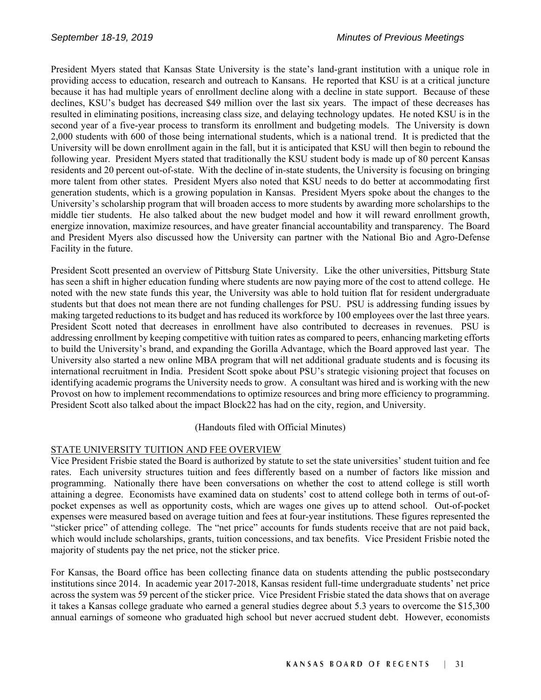President Myers stated that Kansas State University is the state's land-grant institution with a unique role in providing access to education, research and outreach to Kansans. He reported that KSU is at a critical juncture because it has had multiple years of enrollment decline along with a decline in state support. Because of these declines, KSU's budget has decreased \$49 million over the last six years. The impact of these decreases has resulted in eliminating positions, increasing class size, and delaying technology updates. He noted KSU is in the second year of a five-year process to transform its enrollment and budgeting models. The University is down 2,000 students with 600 of those being international students, which is a national trend. It is predicted that the University will be down enrollment again in the fall, but it is anticipated that KSU will then begin to rebound the following year. President Myers stated that traditionally the KSU student body is made up of 80 percent Kansas residents and 20 percent out-of-state. With the decline of in-state students, the University is focusing on bringing more talent from other states. President Myers also noted that KSU needs to do better at accommodating first generation students, which is a growing population in Kansas. President Myers spoke about the changes to the University's scholarship program that will broaden access to more students by awarding more scholarships to the middle tier students. He also talked about the new budget model and how it will reward enrollment growth, energize innovation, maximize resources, and have greater financial accountability and transparency. The Board and President Myers also discussed how the University can partner with the National Bio and Agro-Defense Facility in the future.

President Scott presented an overview of Pittsburg State University. Like the other universities, Pittsburg State has seen a shift in higher education funding where students are now paying more of the cost to attend college. He noted with the new state funds this year, the University was able to hold tuition flat for resident undergraduate students but that does not mean there are not funding challenges for PSU. PSU is addressing funding issues by making targeted reductions to its budget and has reduced its workforce by 100 employees over the last three years. President Scott noted that decreases in enrollment have also contributed to decreases in revenues. PSU is addressing enrollment by keeping competitive with tuition rates as compared to peers, enhancing marketing efforts to build the University's brand, and expanding the Gorilla Advantage, which the Board approved last year. The University also started a new online MBA program that will net additional graduate students and is focusing its international recruitment in India. President Scott spoke about PSU's strategic visioning project that focuses on identifying academic programs the University needs to grow. A consultant was hired and is working with the new Provost on how to implement recommendations to optimize resources and bring more efficiency to programming. President Scott also talked about the impact Block22 has had on the city, region, and University.

(Handouts filed with Official Minutes)

# STATE UNIVERSITY TUITION AND FEE OVERVIEW

Vice President Frisbie stated the Board is authorized by statute to set the state universities' student tuition and fee rates. Each university structures tuition and fees differently based on a number of factors like mission and programming. Nationally there have been conversations on whether the cost to attend college is still worth attaining a degree. Economists have examined data on students' cost to attend college both in terms of out-ofpocket expenses as well as opportunity costs, which are wages one gives up to attend school. Out-of-pocket expenses were measured based on average tuition and fees at four-year institutions. These figures represented the "sticker price" of attending college. The "net price" accounts for funds students receive that are not paid back, which would include scholarships, grants, tuition concessions, and tax benefits. Vice President Frisbie noted the majority of students pay the net price, not the sticker price.

For Kansas, the Board office has been collecting finance data on students attending the public postsecondary institutions since 2014. In academic year 2017-2018, Kansas resident full-time undergraduate students' net price across the system was 59 percent of the sticker price. Vice President Frisbie stated the data shows that on average it takes a Kansas college graduate who earned a general studies degree about 5.3 years to overcome the \$15,300 annual earnings of someone who graduated high school but never accrued student debt. However, economists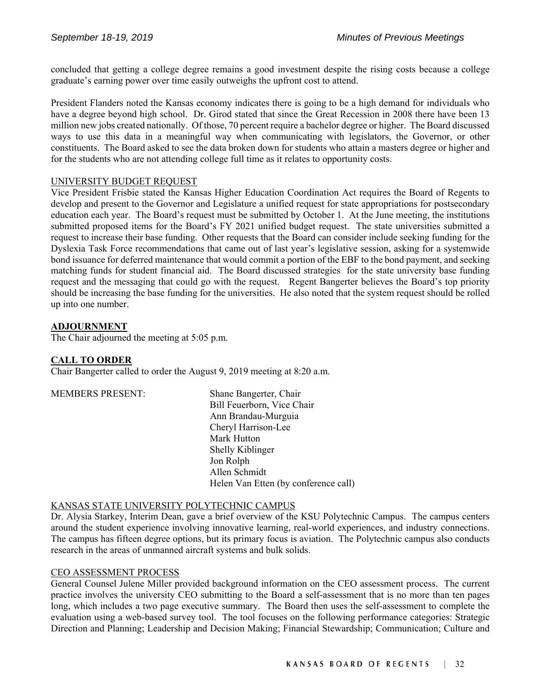concluded that getting a college degree remains a good investment despite the rising costs because a college graduate's earning power over time easily outweighs the upfront cost to attend.

President Flanders noted the Kansas economy indicates there is going to be a high demand for individuals who have a degree beyond high school. Dr. Girod stated that since the Great Recession in 2008 there have been 13 million new jobs created nationally. Of those, 70 percent require a bachelor degree or higher. The Board discussed ways to use this data in a meaningful way when communicating with legislators, the Governor, or other constituents. The Board asked to see the data broken down for students who attain a masters degree or higher and for the students who are not attending college full time as it relates to opportunity costs.

# UNIVERSITY BUDGET REQUEST

Vice President Frisbie stated the Kansas Higher Education Coordination Act requires the Board of Regents to develop and present to the Governor and Legislature a unified request for state appropriations for postsecondary education each year. The Board's request must be submitted by October 1. At the June meeting, the institutions submitted proposed items for the Board's FY 2021 unified budget request. The state universities submitted a request to increase their base funding. Other requests that the Board can consider include seeking funding for the Dyslexia Task Force recommendations that came out of last year's legislative session, asking for a systemwide bond issuance for deferred maintenance that would commit a portion of the EBF to the bond payment, and seeking matching funds for student financial aid. The Board discussed strategies for the state university base funding request and the messaging that could go with the request. Regent Bangerter believes the Board's top priority should be increasing the base funding for the universities. He also noted that the system request should be rolled up into one number.

#### **ADJOURNMENT**

The Chair adjourned the meeting at 5:05 p.m.

# **CALL TO ORDER**

Chair Bangerter called to order the August 9, 2019 meeting at 8:20 a.m.

MEMBERS PRESENT: Shane Bangerter, Chair Bill Feuerborn, Vice Chair Ann Brandau-Murguia Cheryl Harrison-Lee Mark Hutton Shelly Kiblinger Jon Rolph Allen Schmidt Helen Van Etten (by conference call)

# KANSAS STATE UNIVERSITY POLYTECHNIC CAMPUS

Dr. Alysia Starkey, Interim Dean, gave a brief overview of the KSU Polytechnic Campus. The campus centers around the student experience involving innovative learning, real-world experiences, and industry connections. The campus has fifteen degree options, but its primary focus is aviation. The Polytechnic campus also conducts research in the areas of unmanned aircraft systems and bulk solids.

#### CEO ASSESSMENT PROCESS

General Counsel Julene Miller provided background information on the CEO assessment process. The current practice involves the university CEO submitting to the Board a self-assessment that is no more than ten pages long, which includes a two page executive summary. The Board then uses the self-assessment to complete the evaluation using a web-based survey tool. The tool focuses on the following performance categories: Strategic Direction and Planning; Leadership and Decision Making; Financial Stewardship; Communication; Culture and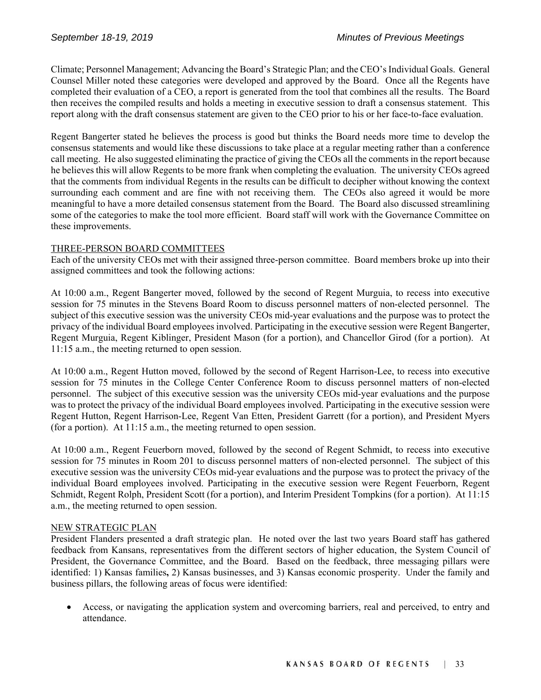Climate; Personnel Management; Advancing the Board's Strategic Plan; and the CEO's Individual Goals. General Counsel Miller noted these categories were developed and approved by the Board. Once all the Regents have completed their evaluation of a CEO, a report is generated from the tool that combines all the results. The Board then receives the compiled results and holds a meeting in executive session to draft a consensus statement. This report along with the draft consensus statement are given to the CEO prior to his or her face-to-face evaluation.

Regent Bangerter stated he believes the process is good but thinks the Board needs more time to develop the consensus statements and would like these discussions to take place at a regular meeting rather than a conference call meeting. He also suggested eliminating the practice of giving the CEOs all the comments in the report because he believes this will allow Regents to be more frank when completing the evaluation. The university CEOs agreed that the comments from individual Regents in the results can be difficult to decipher without knowing the context surrounding each comment and are fine with not receiving them. The CEOs also agreed it would be more meaningful to have a more detailed consensus statement from the Board. The Board also discussed streamlining some of the categories to make the tool more efficient. Board staff will work with the Governance Committee on these improvements.

# THREE-PERSON BOARD COMMITTEES

Each of the university CEOs met with their assigned three-person committee. Board members broke up into their assigned committees and took the following actions:

At 10:00 a.m., Regent Bangerter moved, followed by the second of Regent Murguia, to recess into executive session for 75 minutes in the Stevens Board Room to discuss personnel matters of non-elected personnel. The subject of this executive session was the university CEOs mid-year evaluations and the purpose was to protect the privacy of the individual Board employees involved. Participating in the executive session were Regent Bangerter, Regent Murguia, Regent Kiblinger, President Mason (for a portion), and Chancellor Girod (for a portion). At 11:15 a.m., the meeting returned to open session.

At 10:00 a.m., Regent Hutton moved, followed by the second of Regent Harrison-Lee, to recess into executive session for 75 minutes in the College Center Conference Room to discuss personnel matters of non-elected personnel. The subject of this executive session was the university CEOs mid-year evaluations and the purpose was to protect the privacy of the individual Board employees involved. Participating in the executive session were Regent Hutton, Regent Harrison-Lee, Regent Van Etten, President Garrett (for a portion), and President Myers (for a portion). At 11:15 a.m., the meeting returned to open session.

At 10:00 a.m., Regent Feuerborn moved, followed by the second of Regent Schmidt, to recess into executive session for 75 minutes in Room 201 to discuss personnel matters of non-elected personnel. The subject of this executive session was the university CEOs mid-year evaluations and the purpose was to protect the privacy of the individual Board employees involved. Participating in the executive session were Regent Feuerborn, Regent Schmidt, Regent Rolph, President Scott (for a portion), and Interim President Tompkins (for a portion). At 11:15 a.m., the meeting returned to open session.

# NEW STRATEGIC PLAN

President Flanders presented a draft strategic plan. He noted over the last two years Board staff has gathered feedback from Kansans, representatives from the different sectors of higher education, the System Council of President, the Governance Committee, and the Board. Based on the feedback, three messaging pillars were identified: 1) Kansas families**,** 2) Kansas businesses, and 3) Kansas economic prosperity. Under the family and business pillars, the following areas of focus were identified:

 Access, or navigating the application system and overcoming barriers, real and perceived, to entry and attendance.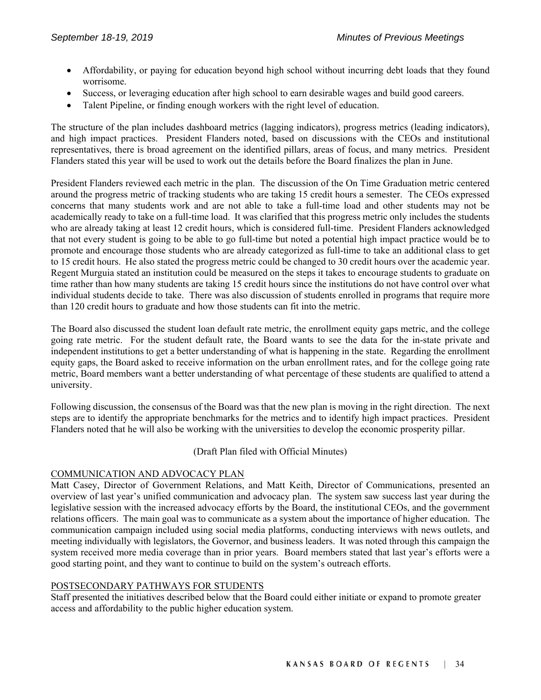- Affordability, or paying for education beyond high school without incurring debt loads that they found worrisome.
- Success, or leveraging education after high school to earn desirable wages and build good careers.
- Talent Pipeline, or finding enough workers with the right level of education.

The structure of the plan includes dashboard metrics (lagging indicators), progress metrics (leading indicators), and high impact practices. President Flanders noted, based on discussions with the CEOs and institutional representatives, there is broad agreement on the identified pillars, areas of focus, and many metrics. President Flanders stated this year will be used to work out the details before the Board finalizes the plan in June.

President Flanders reviewed each metric in the plan. The discussion of the On Time Graduation metric centered around the progress metric of tracking students who are taking 15 credit hours a semester. The CEOs expressed concerns that many students work and are not able to take a full-time load and other students may not be academically ready to take on a full-time load. It was clarified that this progress metric only includes the students who are already taking at least 12 credit hours, which is considered full-time. President Flanders acknowledged that not every student is going to be able to go full-time but noted a potential high impact practice would be to promote and encourage those students who are already categorized as full-time to take an additional class to get to 15 credit hours. He also stated the progress metric could be changed to 30 credit hours over the academic year. Regent Murguia stated an institution could be measured on the steps it takes to encourage students to graduate on time rather than how many students are taking 15 credit hours since the institutions do not have control over what individual students decide to take. There was also discussion of students enrolled in programs that require more than 120 credit hours to graduate and how those students can fit into the metric.

The Board also discussed the student loan default rate metric, the enrollment equity gaps metric, and the college going rate metric. For the student default rate, the Board wants to see the data for the in-state private and independent institutions to get a better understanding of what is happening in the state. Regarding the enrollment equity gaps, the Board asked to receive information on the urban enrollment rates, and for the college going rate metric, Board members want a better understanding of what percentage of these students are qualified to attend a university.

Following discussion, the consensus of the Board was that the new plan is moving in the right direction. The next steps are to identify the appropriate benchmarks for the metrics and to identify high impact practices. President Flanders noted that he will also be working with the universities to develop the economic prosperity pillar.

(Draft Plan filed with Official Minutes)

# COMMUNICATION AND ADVOCACY PLAN

Matt Casey, Director of Government Relations, and Matt Keith, Director of Communications, presented an overview of last year's unified communication and advocacy plan. The system saw success last year during the legislative session with the increased advocacy efforts by the Board, the institutional CEOs, and the government relations officers. The main goal was to communicate as a system about the importance of higher education. The communication campaign included using social media platforms, conducting interviews with news outlets, and meeting individually with legislators, the Governor, and business leaders. It was noted through this campaign the system received more media coverage than in prior years. Board members stated that last year's efforts were a good starting point, and they want to continue to build on the system's outreach efforts.

# POSTSECONDARY PATHWAYS FOR STUDENTS

Staff presented the initiatives described below that the Board could either initiate or expand to promote greater access and affordability to the public higher education system.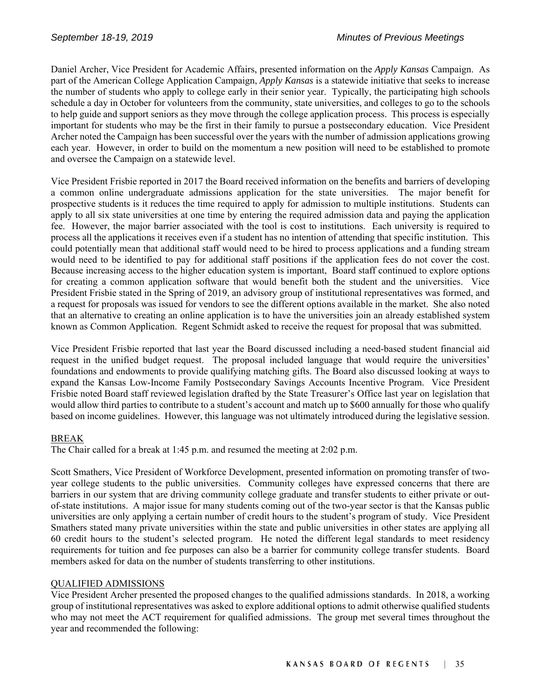Daniel Archer, Vice President for Academic Affairs, presented information on the *Apply Kansas* Campaign. As part of the American College Application Campaign, *Apply Kansas* is a statewide initiative that seeks to increase the number of students who apply to college early in their senior year. Typically, the participating high schools schedule a day in October for volunteers from the community, state universities, and colleges to go to the schools to help guide and support seniors as they move through the college application process. This process is especially important for students who may be the first in their family to pursue a postsecondary education. Vice President Archer noted the Campaign has been successful over the years with the number of admission applications growing each year. However, in order to build on the momentum a new position will need to be established to promote and oversee the Campaign on a statewide level.

Vice President Frisbie reported in 2017 the Board received information on the benefits and barriers of developing a common online undergraduate admissions application for the state universities. The major benefit for prospective students is it reduces the time required to apply for admission to multiple institutions. Students can apply to all six state universities at one time by entering the required admission data and paying the application fee. However, the major barrier associated with the tool is cost to institutions. Each university is required to process all the applications it receives even if a student has no intention of attending that specific institution. This could potentially mean that additional staff would need to be hired to process applications and a funding stream would need to be identified to pay for additional staff positions if the application fees do not cover the cost. Because increasing access to the higher education system is important, Board staff continued to explore options for creating a common application software that would benefit both the student and the universities. Vice President Frisbie stated in the Spring of 2019, an advisory group of institutional representatives was formed, and a request for proposals was issued for vendors to see the different options available in the market. She also noted that an alternative to creating an online application is to have the universities join an already established system known as Common Application. Regent Schmidt asked to receive the request for proposal that was submitted.

Vice President Frisbie reported that last year the Board discussed including a need-based student financial aid request in the unified budget request. The proposal included language that would require the universities' foundations and endowments to provide qualifying matching gifts. The Board also discussed looking at ways to expand the Kansas Low-Income Family Postsecondary Savings Accounts Incentive Program. Vice President Frisbie noted Board staff reviewed legislation drafted by the State Treasurer's Office last year on legislation that would allow third parties to contribute to a student's account and match up to \$600 annually for those who qualify based on income guidelines. However, this language was not ultimately introduced during the legislative session.

# BREAK

The Chair called for a break at 1:45 p.m. and resumed the meeting at 2:02 p.m.

Scott Smathers, Vice President of Workforce Development, presented information on promoting transfer of twoyear college students to the public universities. Community colleges have expressed concerns that there are barriers in our system that are driving community college graduate and transfer students to either private or outof-state institutions. A major issue for many students coming out of the two-year sector is that the Kansas public universities are only applying a certain number of credit hours to the student's program of study. Vice President Smathers stated many private universities within the state and public universities in other states are applying all 60 credit hours to the student's selected program. He noted the different legal standards to meet residency requirements for tuition and fee purposes can also be a barrier for community college transfer students. Board members asked for data on the number of students transferring to other institutions.

#### QUALIFIED ADMISSIONS

Vice President Archer presented the proposed changes to the qualified admissions standards. In 2018, a working group of institutional representatives was asked to explore additional options to admit otherwise qualified students who may not meet the ACT requirement for qualified admissions. The group met several times throughout the year and recommended the following: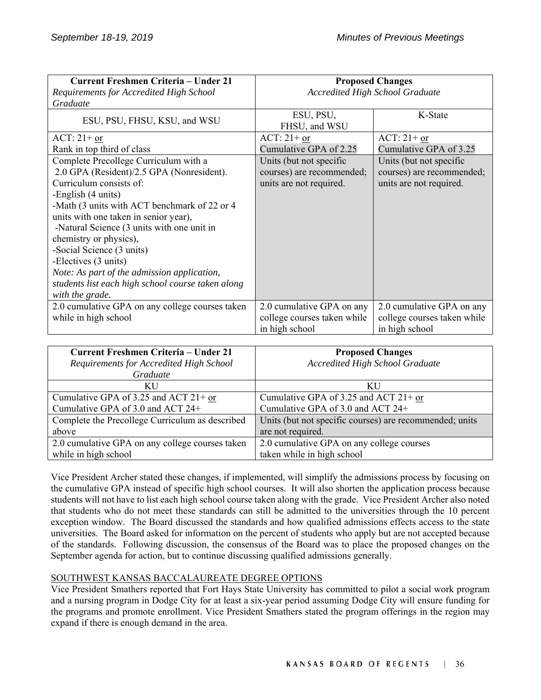| <b>Current Freshmen Criteria – Under 21</b>       | <b>Proposed Changes</b>                |                             |
|---------------------------------------------------|----------------------------------------|-----------------------------|
| Requirements for Accredited High School           | <b>Accredited High School Graduate</b> |                             |
| Graduate                                          |                                        |                             |
| ESU, PSU, FHSU, KSU, and WSU                      | ESU, PSU,                              | K-State                     |
|                                                   | FHSU, and WSU                          |                             |
| $ACT: 21+$ or                                     | $ACT: 21+ or$                          | $ACT: 21+ or$               |
| Rank in top third of class                        | Cumulative GPA of 2.25                 | Cumulative GPA of 3.25      |
| Complete Precollege Curriculum with a             | Units (but not specific                | Units (but not specific     |
| 2.0 GPA (Resident)/2.5 GPA (Nonresident).         | courses) are recommended;              | courses) are recommended;   |
| Curriculum consists of:                           | units are not required.                | units are not required.     |
| -English (4 units)                                |                                        |                             |
| -Math (3 units with ACT benchmark of 22 or 4      |                                        |                             |
| units with one taken in senior year),             |                                        |                             |
| -Natural Science (3 units with one unit in        |                                        |                             |
| chemistry or physics),                            |                                        |                             |
| -Social Science (3 units)                         |                                        |                             |
| -Electives (3 units)                              |                                        |                             |
| Note: As part of the admission application,       |                                        |                             |
| students list each high school course taken along |                                        |                             |
| with the grade.                                   |                                        |                             |
| 2.0 cumulative GPA on any college courses taken   | 2.0 cumulative GPA on any              | 2.0 cumulative GPA on any   |
| while in high school                              | college courses taken while            | college courses taken while |
|                                                   | in high school                         | in high school              |

| <b>Current Freshmen Criteria - Under 21</b>     | <b>Proposed Changes</b>                                 |
|-------------------------------------------------|---------------------------------------------------------|
| Requirements for Accredited High School         | <b>Accredited High School Graduate</b>                  |
| Graduate                                        |                                                         |
| KU                                              | KU                                                      |
| Cumulative GPA of 3.25 and ACT $21+$ or         | Cumulative GPA of 3.25 and ACT $21+$ or                 |
| Cumulative GPA of 3.0 and ACT 24+               | Cumulative GPA of 3.0 and ACT 24+                       |
| Complete the Precollege Curriculum as described | Units (but not specific courses) are recommended; units |
| above                                           | are not required.                                       |
| 2.0 cumulative GPA on any college courses taken | 2.0 cumulative GPA on any college courses               |
| while in high school                            | taken while in high school                              |

Vice President Archer stated these changes, if implemented, will simplify the admissions process by focusing on the cumulative GPA instead of specific high school courses. It will also shorten the application process because students will not have to list each high school course taken along with the grade. Vice President Archer also noted that students who do not meet these standards can still be admitted to the universities through the 10 percent exception window. The Board discussed the standards and how qualified admissions effects access to the state universities. The Board asked for information on the percent of students who apply but are not accepted because of the standards. Following discussion, the consensus of the Board was to place the proposed changes on the September agenda for action, but to continue discussing qualified admissions generally.

# SOUTHWEST KANSAS BACCALAUREATE DEGREE OPTIONS

Vice President Smathers reported that Fort Hays State University has committed to pilot a social work program and a nursing program in Dodge City for at least a six-year period assuming Dodge City will ensure funding for the programs and promote enrollment. Vice President Smathers stated the program offerings in the region may expand if there is enough demand in the area.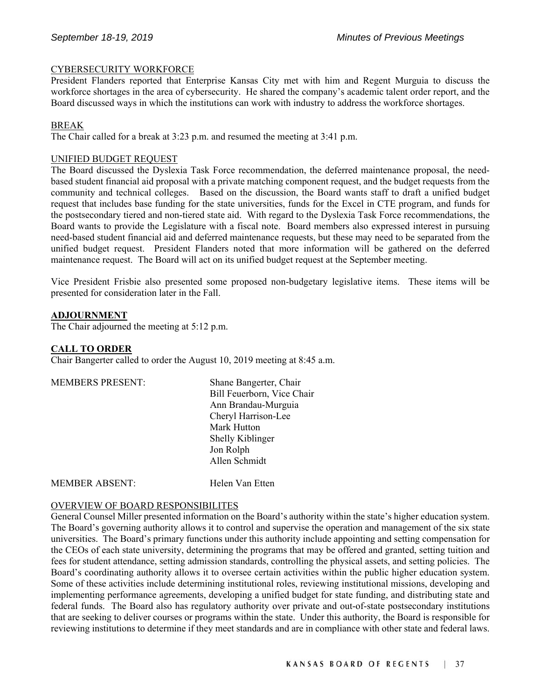#### CYBERSECURITY WORKFORCE

President Flanders reported that Enterprise Kansas City met with him and Regent Murguia to discuss the workforce shortages in the area of cybersecurity. He shared the company's academic talent order report, and the Board discussed ways in which the institutions can work with industry to address the workforce shortages.

#### BREAK

The Chair called for a break at 3:23 p.m. and resumed the meeting at 3:41 p.m.

#### UNIFIED BUDGET REQUEST

The Board discussed the Dyslexia Task Force recommendation, the deferred maintenance proposal, the needbased student financial aid proposal with a private matching component request, and the budget requests from the community and technical colleges. Based on the discussion, the Board wants staff to draft a unified budget request that includes base funding for the state universities, funds for the Excel in CTE program, and funds for the postsecondary tiered and non-tiered state aid. With regard to the Dyslexia Task Force recommendations, the Board wants to provide the Legislature with a fiscal note. Board members also expressed interest in pursuing need-based student financial aid and deferred maintenance requests, but these may need to be separated from the unified budget request. President Flanders noted that more information will be gathered on the deferred maintenance request. The Board will act on its unified budget request at the September meeting.

Vice President Frisbie also presented some proposed non-budgetary legislative items. These items will be presented for consideration later in the Fall.

#### **ADJOURNMENT**

The Chair adjourned the meeting at 5:12 p.m.

#### **CALL TO ORDER**

Chair Bangerter called to order the August 10, 2019 meeting at 8:45 a.m.

| <b>MEMBERS PRESENT:</b> | Shane Bangerter, Chair     |
|-------------------------|----------------------------|
|                         | Bill Feuerborn, Vice Chair |
|                         | Ann Brandau-Murguia        |
|                         | Cheryl Harrison-Lee        |
|                         | Mark Hutton                |
|                         | Shelly Kiblinger           |
|                         | Jon Rolph                  |
|                         | Allen Schmidt              |
|                         |                            |

MEMBER ABSENT: Helen Van Etten

#### OVERVIEW OF BOARD RESPONSIBILITES

General Counsel Miller presented information on the Board's authority within the state's higher education system. The Board's governing authority allows it to control and supervise the operation and management of the six state universities. The Board's primary functions under this authority include appointing and setting compensation for the CEOs of each state university, determining the programs that may be offered and granted, setting tuition and fees for student attendance, setting admission standards, controlling the physical assets, and setting policies. The Board's coordinating authority allows it to oversee certain activities within the public higher education system. Some of these activities include determining institutional roles, reviewing institutional missions, developing and implementing performance agreements, developing a unified budget for state funding, and distributing state and federal funds. The Board also has regulatory authority over private and out-of-state postsecondary institutions that are seeking to deliver courses or programs within the state. Under this authority, the Board is responsible for reviewing institutions to determine if they meet standards and are in compliance with other state and federal laws.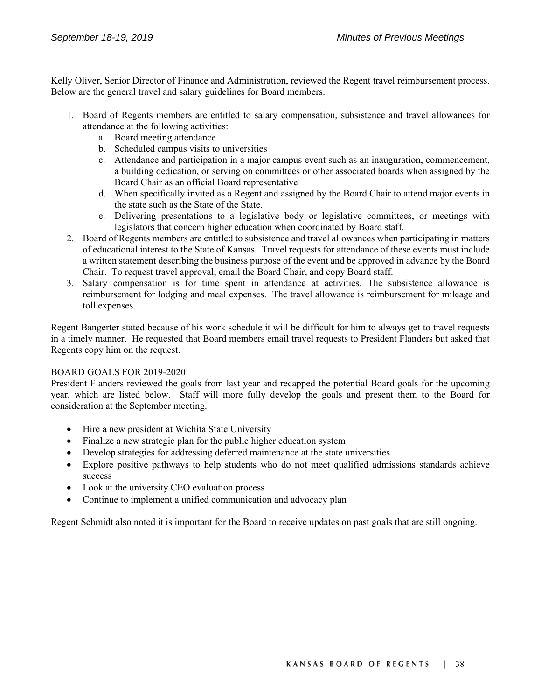Kelly Oliver, Senior Director of Finance and Administration, reviewed the Regent travel reimbursement process. Below are the general travel and salary guidelines for Board members.

- 1. Board of Regents members are entitled to salary compensation, subsistence and travel allowances for attendance at the following activities:
	- a. Board meeting attendance
	- b. Scheduled campus visits to universities
	- c. Attendance and participation in a major campus event such as an inauguration, commencement, a building dedication, or serving on committees or other associated boards when assigned by the Board Chair as an official Board representative
	- d. When specifically invited as a Regent and assigned by the Board Chair to attend major events in the state such as the State of the State.
	- e. Delivering presentations to a legislative body or legislative committees, or meetings with legislators that concern higher education when coordinated by Board staff.
- 2. Board of Regents members are entitled to subsistence and travel allowances when participating in matters of educational interest to the State of Kansas. Travel requests for attendance of these events must include a written statement describing the business purpose of the event and be approved in advance by the Board Chair. To request travel approval, email the Board Chair, and copy Board staff.
- 3. Salary compensation is for time spent in attendance at activities. The subsistence allowance is reimbursement for lodging and meal expenses. The travel allowance is reimbursement for mileage and toll expenses.

Regent Bangerter stated because of his work schedule it will be difficult for him to always get to travel requests in a timely manner. He requested that Board members email travel requests to President Flanders but asked that Regents copy him on the request.

#### BOARD GOALS FOR 2019-2020

President Flanders reviewed the goals from last year and recapped the potential Board goals for the upcoming year, which are listed below. Staff will more fully develop the goals and present them to the Board for consideration at the September meeting.

- Hire a new president at Wichita State University
- Finalize a new strategic plan for the public higher education system
- Develop strategies for addressing deferred maintenance at the state universities
- Explore positive pathways to help students who do not meet qualified admissions standards achieve success
- Look at the university CEO evaluation process
- Continue to implement a unified communication and advocacy plan

Regent Schmidt also noted it is important for the Board to receive updates on past goals that are still ongoing.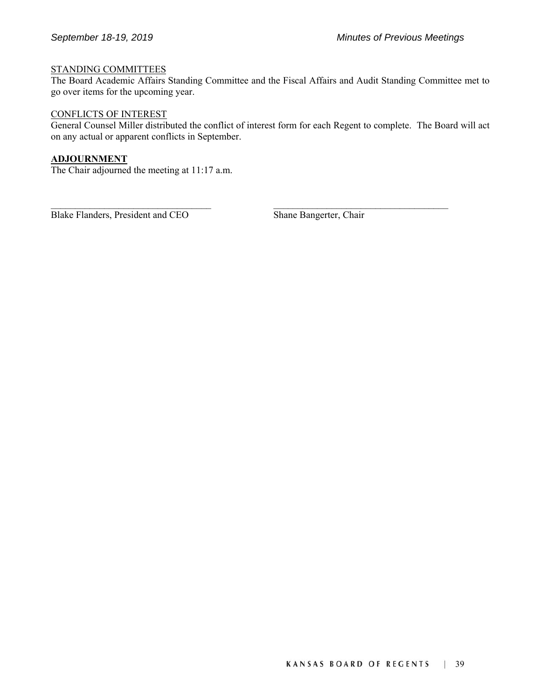#### STANDING COMMITTEES

The Board Academic Affairs Standing Committee and the Fiscal Affairs and Audit Standing Committee met to go over items for the upcoming year.

#### CONFLICTS OF INTEREST

General Counsel Miller distributed the conflict of interest form for each Regent to complete. The Board will act on any actual or apparent conflicts in September.

 $\mathcal{L}_\text{max} = \mathcal{L}_\text{max} = \mathcal{L}_\text{max} = \mathcal{L}_\text{max} = \mathcal{L}_\text{max} = \mathcal{L}_\text{max} = \mathcal{L}_\text{max} = \mathcal{L}_\text{max} = \mathcal{L}_\text{max} = \mathcal{L}_\text{max} = \mathcal{L}_\text{max} = \mathcal{L}_\text{max} = \mathcal{L}_\text{max} = \mathcal{L}_\text{max} = \mathcal{L}_\text{max} = \mathcal{L}_\text{max} = \mathcal{L}_\text{max} = \mathcal{L}_\text{max} = \mathcal{$ 

# **ADJOURNMENT**

The Chair adjourned the meeting at 11:17 a.m.

Blake Flanders, President and CEO Shane Bangerter, Chair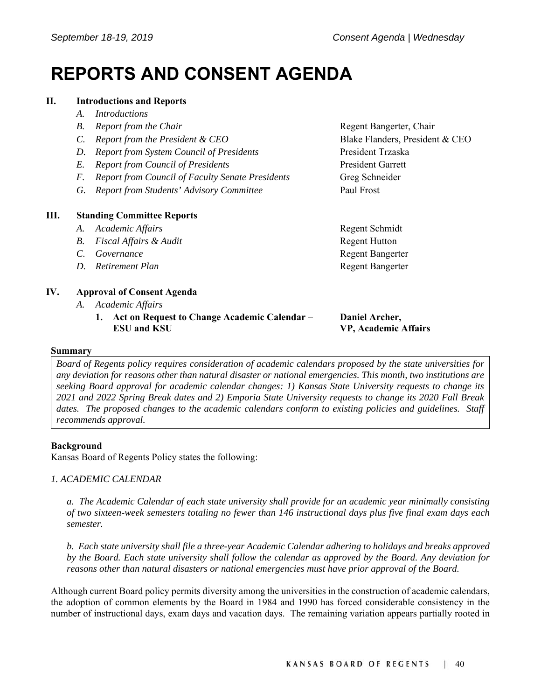# **REPORTS AND CONSENT AGENDA**

### **II. Introductions and Reports**

- *A. Introductions*
- *B.* Report from the Chair **Regent Bangerter, Chair Regent Bangerter**, Chair
- *C. Report from the President & CEO* Blake Flanders, President & CEO
- *D. Report from System Council of Presidents* President Trzaska
- *E. Report from Council of Presidents* President Garrett
- *F. Report from Council of Faculty Senate Presidents* Greg Schneider
- *G. Report from Students' Advisory Committee* Paul Frost

# **III. Standing Committee Reports**

- A. Academic Affairs **Regent Schmidt**
- *B.* Fiscal Affairs & Audit **Regent Hutton**
- **C.** Governance **Regent Bangerter Regent Bangerter**
- *D. Retirement Plan* **Regent Bangerter Regent Bangerter**

# **IV. Approval of Consent Agenda**

- *A. Academic Affairs* 
	- **1. Act on Request to Change Academic Calendar ESU and KSU**

**Daniel Archer,** 

**VP, Academic Affairs** 

#### **Summary**

*Board of Regents policy requires consideration of academic calendars proposed by the state universities for any deviation for reasons other than natural disaster or national emergencies. This month, two institutions are seeking Board approval for academic calendar changes: 1) Kansas State University requests to change its 2021 and 2022 Spring Break dates and 2) Emporia State University requests to change its 2020 Fall Break dates. The proposed changes to the academic calendars conform to existing policies and guidelines. Staff recommends approval.* 

#### **Background**

Kansas Board of Regents Policy states the following:

# *1. ACADEMIC CALENDAR*

*a. The Academic Calendar of each state university shall provide for an academic year minimally consisting of two sixteen-week semesters totaling no fewer than 146 instructional days plus five final exam days each semester.* 

*b. Each state university shall file a three-year Academic Calendar adhering to holidays and breaks approved by the Board. Each state university shall follow the calendar as approved by the Board. Any deviation for reasons other than natural disasters or national emergencies must have prior approval of the Board.* 

Although current Board policy permits diversity among the universities in the construction of academic calendars, the adoption of common elements by the Board in 1984 and 1990 has forced considerable consistency in the number of instructional days, exam days and vacation days. The remaining variation appears partially rooted in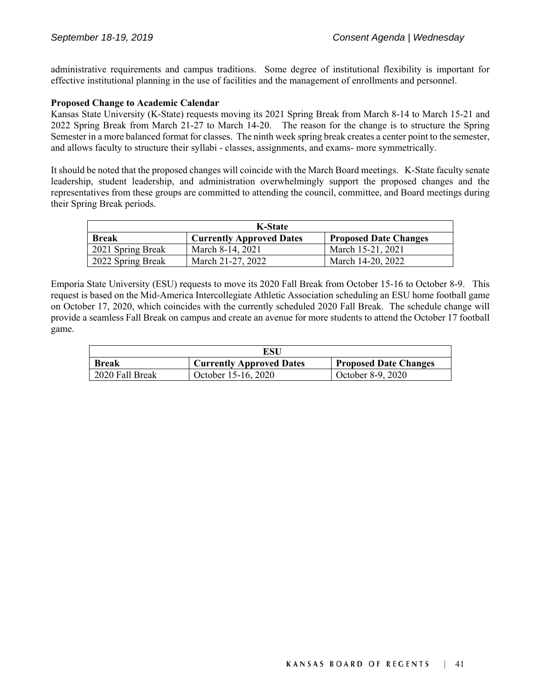administrative requirements and campus traditions. Some degree of institutional flexibility is important for effective institutional planning in the use of facilities and the management of enrollments and personnel.

#### **Proposed Change to Academic Calendar**

Kansas State University (K-State) requests moving its 2021 Spring Break from March 8-14 to March 15-21 and 2022 Spring Break from March 21-27 to March 14-20. The reason for the change is to structure the Spring Semester in a more balanced format for classes. The ninth week spring break creates a center point to the semester, and allows faculty to structure their syllabi - classes, assignments, and exams- more symmetrically.

It should be noted that the proposed changes will coincide with the March Board meetings. K-State faculty senate leadership, student leadership, and administration overwhelmingly support the proposed changes and the representatives from these groups are committed to attending the council, committee, and Board meetings during their Spring Break periods.

| <b>K-State</b>    |                                 |                              |  |
|-------------------|---------------------------------|------------------------------|--|
| <b>Break</b>      | <b>Currently Approved Dates</b> | <b>Proposed Date Changes</b> |  |
| 2021 Spring Break | March 8-14, 2021                | March 15-21, 2021            |  |
| 2022 Spring Break | March 21-27, 2022               | March 14-20, 2022            |  |

Emporia State University (ESU) requests to move its 2020 Fall Break from October 15-16 to October 8-9. This request is based on the Mid-America Intercollegiate Athletic Association scheduling an ESU home football game on October 17, 2020, which coincides with the currently scheduled 2020 Fall Break. The schedule change will provide a seamless Fall Break on campus and create an avenue for more students to attend the October 17 football game.

| ESU             |                                 |                              |  |
|-----------------|---------------------------------|------------------------------|--|
| <b>Break</b>    | <b>Currently Approved Dates</b> | <b>Proposed Date Changes</b> |  |
| 2020 Fall Break | October 15-16, 2020             | October 8-9, 2020            |  |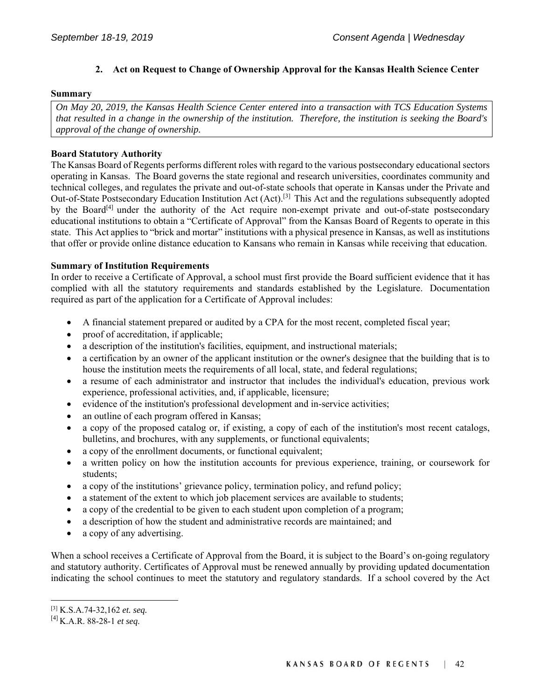# **2. Act on Request to Change of Ownership Approval for the Kansas Health Science Center**

#### **Summary**

*On May 20, 2019, the Kansas Health Science Center entered into a transaction with TCS Education Systems that resulted in a change in the ownership of the institution. Therefore, the institution is seeking the Board's approval of the change of ownership.* 

### **Board Statutory Authority**

The Kansas Board of Regents performs different roles with regard to the various postsecondary educational sectors operating in Kansas. The Board governs the state regional and research universities, coordinates community and technical colleges, and regulates the private and out-of-state schools that operate in Kansas under the Private and Out-of-State Postsecondary Education Institution Act (Act).[3] This Act and the regulations subsequently adopted by the Board<sup>[4]</sup> under the authority of the Act require non-exempt private and out-of-state postsecondary educational institutions to obtain a "Certificate of Approval" from the Kansas Board of Regents to operate in this state. This Act applies to "brick and mortar" institutions with a physical presence in Kansas, as well as institutions that offer or provide online distance education to Kansans who remain in Kansas while receiving that education.

#### **Summary of Institution Requirements**

In order to receive a Certificate of Approval, a school must first provide the Board sufficient evidence that it has complied with all the statutory requirements and standards established by the Legislature. Documentation required as part of the application for a Certificate of Approval includes:

- A financial statement prepared or audited by a CPA for the most recent, completed fiscal year;
- proof of accreditation, if applicable;
- a description of the institution's facilities, equipment, and instructional materials;
- a certification by an owner of the applicant institution or the owner's designee that the building that is to house the institution meets the requirements of all local, state, and federal regulations;
- a resume of each administrator and instructor that includes the individual's education, previous work experience, professional activities, and, if applicable, licensure;
- evidence of the institution's professional development and in-service activities;
- an outline of each program offered in Kansas;
- a copy of the proposed catalog or, if existing, a copy of each of the institution's most recent catalogs, bulletins, and brochures, with any supplements, or functional equivalents;
- a copy of the enrollment documents, or functional equivalent;
- a written policy on how the institution accounts for previous experience, training, or coursework for students;
- a copy of the institutions' grievance policy, termination policy, and refund policy;
- a statement of the extent to which job placement services are available to students;
- a copy of the credential to be given to each student upon completion of a program;
- a description of how the student and administrative records are maintained; and
- a copy of any advertising.

When a school receives a Certificate of Approval from the Board, it is subject to the Board's on-going regulatory and statutory authority. Certificates of Approval must be renewed annually by providing updated documentation indicating the school continues to meet the statutory and regulatory standards. If a school covered by the Act

 $\overline{\phantom{a}}$ 

<sup>[3]</sup> K.S.A.74-32,162 *et. seq.*

<sup>[4]</sup> K.A.R. 88-28-1 *et seq*.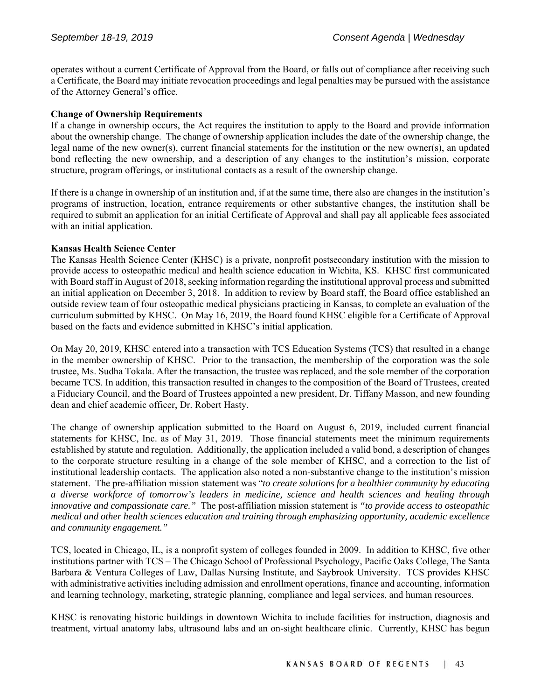operates without a current Certificate of Approval from the Board, or falls out of compliance after receiving such a Certificate, the Board may initiate revocation proceedings and legal penalties may be pursued with the assistance of the Attorney General's office.

#### **Change of Ownership Requirements**

If a change in ownership occurs, the Act requires the institution to apply to the Board and provide information about the ownership change. The change of ownership application includes the date of the ownership change, the legal name of the new owner(s), current financial statements for the institution or the new owner(s), an updated bond reflecting the new ownership, and a description of any changes to the institution's mission, corporate structure, program offerings, or institutional contacts as a result of the ownership change.

If there is a change in ownership of an institution and, if at the same time, there also are changes in the institution's programs of instruction, location, entrance requirements or other substantive changes, the institution shall be required to submit an application for an initial Certificate of Approval and shall pay all applicable fees associated with an initial application.

#### **Kansas Health Science Center**

The Kansas Health Science Center (KHSC) is a private, nonprofit postsecondary institution with the mission to provide access to osteopathic medical and health science education in Wichita, KS. KHSC first communicated with Board staff in August of 2018, seeking information regarding the institutional approval process and submitted an initial application on December 3, 2018. In addition to review by Board staff, the Board office established an outside review team of four osteopathic medical physicians practicing in Kansas, to complete an evaluation of the curriculum submitted by KHSC. On May 16, 2019, the Board found KHSC eligible for a Certificate of Approval based on the facts and evidence submitted in KHSC's initial application.

On May 20, 2019, KHSC entered into a transaction with TCS Education Systems (TCS) that resulted in a change in the member ownership of KHSC. Prior to the transaction, the membership of the corporation was the sole trustee, Ms. Sudha Tokala. After the transaction, the trustee was replaced, and the sole member of the corporation became TCS. In addition, this transaction resulted in changes to the composition of the Board of Trustees, created a Fiduciary Council, and the Board of Trustees appointed a new president, Dr. Tiffany Masson, and new founding dean and chief academic officer, Dr. Robert Hasty.

The change of ownership application submitted to the Board on August 6, 2019, included current financial statements for KHSC, Inc. as of May 31, 2019. Those financial statements meet the minimum requirements established by statute and regulation. Additionally, the application included a valid bond, a description of changes to the corporate structure resulting in a change of the sole member of KHSC, and a correction to the list of institutional leadership contacts. The application also noted a non-substantive change to the institution's mission statement. The pre-affiliation mission statement was "*to create solutions for a healthier community by educating a diverse workforce of tomorrow's leaders in medicine, science and health sciences and healing through innovative and compassionate care."* The post-affiliation mission statement is *"to provide access to osteopathic medical and other health sciences education and training through emphasizing opportunity, academic excellence and community engagement."*

TCS, located in Chicago, IL, is a nonprofit system of colleges founded in 2009. In addition to KHSC, five other institutions partner with TCS – The Chicago School of Professional Psychology, Pacific Oaks College, The Santa Barbara & Ventura Colleges of Law, Dallas Nursing Institute, and Saybrook University. TCS provides KHSC with administrative activities including admission and enrollment operations, finance and accounting, information and learning technology, marketing, strategic planning, compliance and legal services, and human resources.

KHSC is renovating historic buildings in downtown Wichita to include facilities for instruction, diagnosis and treatment, virtual anatomy labs, ultrasound labs and an on-sight healthcare clinic. Currently, KHSC has begun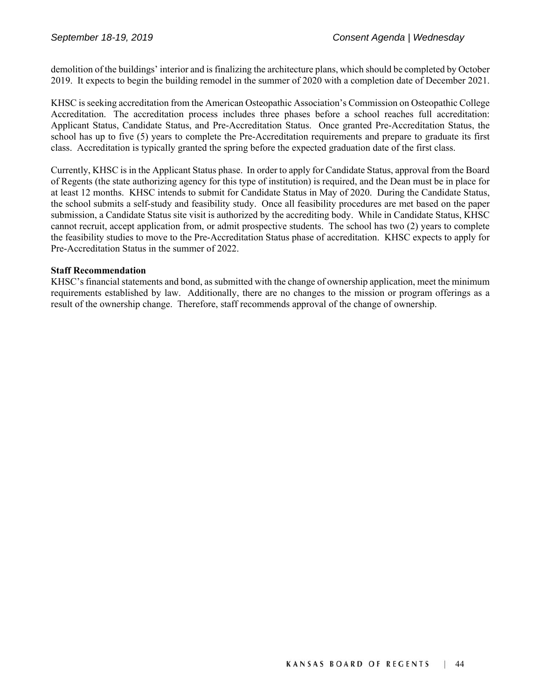demolition of the buildings' interior and is finalizing the architecture plans, which should be completed by October 2019. It expects to begin the building remodel in the summer of 2020 with a completion date of December 2021.

KHSC is seeking accreditation from the American Osteopathic Association's Commission on Osteopathic College Accreditation. The accreditation process includes three phases before a school reaches full accreditation: Applicant Status, Candidate Status, and Pre-Accreditation Status. Once granted Pre-Accreditation Status, the school has up to five (5) years to complete the Pre-Accreditation requirements and prepare to graduate its first class. Accreditation is typically granted the spring before the expected graduation date of the first class.

Currently, KHSC is in the Applicant Status phase. In order to apply for Candidate Status, approval from the Board of Regents (the state authorizing agency for this type of institution) is required, and the Dean must be in place for at least 12 months. KHSC intends to submit for Candidate Status in May of 2020. During the Candidate Status, the school submits a self-study and feasibility study. Once all feasibility procedures are met based on the paper submission, a Candidate Status site visit is authorized by the accrediting body. While in Candidate Status, KHSC cannot recruit, accept application from, or admit prospective students. The school has two (2) years to complete the feasibility studies to move to the Pre-Accreditation Status phase of accreditation. KHSC expects to apply for Pre-Accreditation Status in the summer of 2022.

# **Staff Recommendation**

KHSC's financial statements and bond, as submitted with the change of ownership application, meet the minimum requirements established by law. Additionally, there are no changes to the mission or program offerings as a result of the ownership change. Therefore, staff recommends approval of the change of ownership.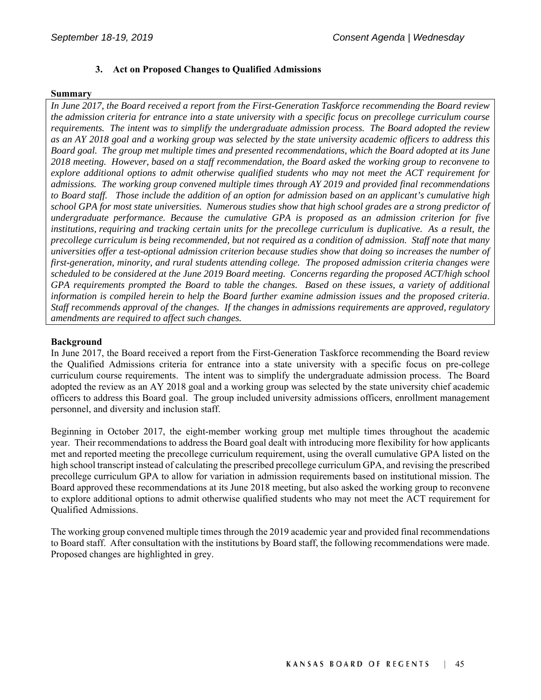# **3. Act on Proposed Changes to Qualified Admissions**

#### **Summary**

*In June 2017, the Board received a report from the First-Generation Taskforce recommending the Board review the admission criteria for entrance into a state university with a specific focus on precollege curriculum course requirements. The intent was to simplify the undergraduate admission process. The Board adopted the review as an AY 2018 goal and a working group was selected by the state university academic officers to address this Board goal. The group met multiple times and presented recommendations, which the Board adopted at its June 2018 meeting. However, based on a staff recommendation, the Board asked the working group to reconvene to explore additional options to admit otherwise qualified students who may not meet the ACT requirement for admissions. The working group convened multiple times through AY 2019 and provided final recommendations to Board staff. Those include the addition of an option for admission based on an applicant's cumulative high school GPA for most state universities. Numerous studies show that high school grades are a strong predictor of undergraduate performance. Because the cumulative GPA is proposed as an admission criterion for five institutions, requiring and tracking certain units for the precollege curriculum is duplicative. As a result, the precollege curriculum is being recommended, but not required as a condition of admission. Staff note that many universities offer a test-optional admission criterion because studies show that doing so increases the number of first-generation, minority, and rural students attending college. The proposed admission criteria changes were scheduled to be considered at the June 2019 Board meeting. Concerns regarding the proposed ACT/high school GPA requirements prompted the Board to table the changes. Based on these issues, a variety of additional information is compiled herein to help the Board further examine admission issues and the proposed criteria*. *Staff recommends approval of the changes. If the changes in admissions requirements are approved, regulatory amendments are required to affect such changes.*

#### **Background**

In June 2017, the Board received a report from the First-Generation Taskforce recommending the Board review the Qualified Admissions criteria for entrance into a state university with a specific focus on pre-college curriculum course requirements. The intent was to simplify the undergraduate admission process. The Board adopted the review as an AY 2018 goal and a working group was selected by the state university chief academic officers to address this Board goal. The group included university admissions officers, enrollment management personnel, and diversity and inclusion staff.

Beginning in October 2017, the eight-member working group met multiple times throughout the academic year. Their recommendations to address the Board goal dealt with introducing more flexibility for how applicants met and reported meeting the precollege curriculum requirement, using the overall cumulative GPA listed on the high school transcript instead of calculating the prescribed precollege curriculum GPA, and revising the prescribed precollege curriculum GPA to allow for variation in admission requirements based on institutional mission. The Board approved these recommendations at its June 2018 meeting, but also asked the working group to reconvene to explore additional options to admit otherwise qualified students who may not meet the ACT requirement for Qualified Admissions.

The working group convened multiple times through the 2019 academic year and provided final recommendations to Board staff. After consultation with the institutions by Board staff, the following recommendations were made. Proposed changes are highlighted in grey.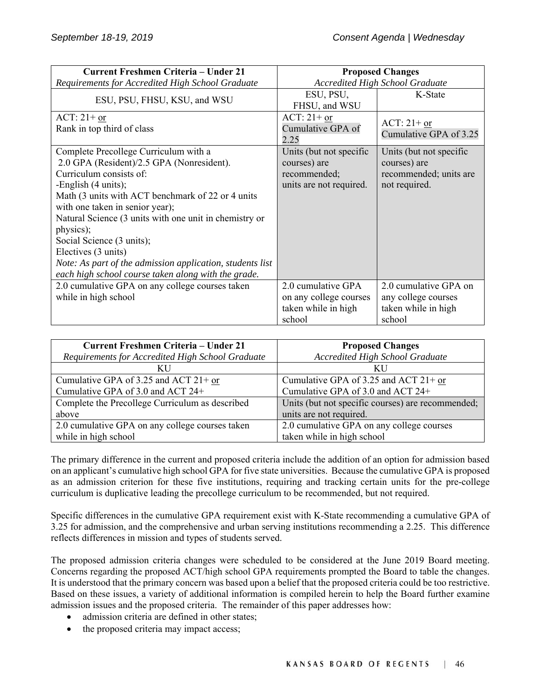| <b>Current Freshmen Criteria - Under 21</b>               | <b>Proposed Changes</b>                |                                         |
|-----------------------------------------------------------|----------------------------------------|-----------------------------------------|
| Requirements for Accredited High School Graduate          | <b>Accredited High School Graduate</b> |                                         |
|                                                           | ESU, PSU,                              | K-State                                 |
| ESU, PSU, FHSU, KSU, and WSU                              | FHSU, and WSU                          |                                         |
| $ACT: 21+ or$                                             | ACT: $21+$ or                          |                                         |
| Rank in top third of class                                | Cumulative GPA of                      | ACT: $21+$ or<br>Cumulative GPA of 3.25 |
|                                                           | 2.25                                   |                                         |
| Complete Precollege Curriculum with a                     | Units (but not specific                | Units (but not specific                 |
| 2.0 GPA (Resident)/2.5 GPA (Nonresident).                 | courses) are                           | courses) are                            |
| Curriculum consists of:                                   | recommended;                           | recommended; units are                  |
| -English (4 units);                                       | units are not required.                | not required.                           |
| Math (3 units with ACT benchmark of 22 or 4 units         |                                        |                                         |
| with one taken in senior year);                           |                                        |                                         |
| Natural Science (3 units with one unit in chemistry or    |                                        |                                         |
| physics);                                                 |                                        |                                         |
| Social Science (3 units);                                 |                                        |                                         |
| Electives (3 units)                                       |                                        |                                         |
| Note: As part of the admission application, students list |                                        |                                         |
| each high school course taken along with the grade.       |                                        |                                         |
| 2.0 cumulative GPA on any college courses taken           | 2.0 cumulative GPA                     | 2.0 cumulative GPA on                   |
| while in high school                                      | on any college courses                 | any college courses                     |
|                                                           | taken while in high                    | taken while in high                     |
|                                                           | school                                 | school                                  |

| Current Freshmen Criteria - Under 21             | <b>Proposed Changes</b>                           |
|--------------------------------------------------|---------------------------------------------------|
| Requirements for Accredited High School Graduate | <b>Accredited High School Graduate</b>            |
| ΚU                                               | KU                                                |
| Cumulative GPA of 3.25 and ACT $21+$ or          | Cumulative GPA of 3.25 and ACT $21+$ or           |
| Cumulative GPA of 3.0 and ACT 24+                | Cumulative GPA of 3.0 and ACT 24+                 |
| Complete the Precollege Curriculum as described  | Units (but not specific courses) are recommended; |
| above                                            | units are not required.                           |
| 2.0 cumulative GPA on any college courses taken  | 2.0 cumulative GPA on any college courses         |
| while in high school                             | taken while in high school                        |

The primary difference in the current and proposed criteria include the addition of an option for admission based on an applicant's cumulative high school GPA for five state universities. Because the cumulative GPA is proposed as an admission criterion for these five institutions, requiring and tracking certain units for the pre-college curriculum is duplicative leading the precollege curriculum to be recommended, but not required.

Specific differences in the cumulative GPA requirement exist with K-State recommending a cumulative GPA of 3.25 for admission, and the comprehensive and urban serving institutions recommending a 2.25. This difference reflects differences in mission and types of students served.

The proposed admission criteria changes were scheduled to be considered at the June 2019 Board meeting. Concerns regarding the proposed ACT/high school GPA requirements prompted the Board to table the changes. It is understood that the primary concern was based upon a belief that the proposed criteria could be too restrictive. Based on these issues, a variety of additional information is compiled herein to help the Board further examine admission issues and the proposed criteria. The remainder of this paper addresses how:

- admission criteria are defined in other states;
- the proposed criteria may impact access;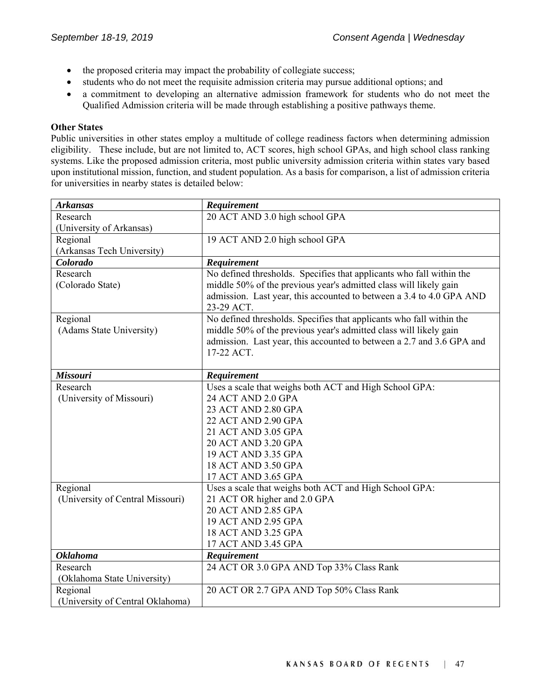- the proposed criteria may impact the probability of collegiate success;
- students who do not meet the requisite admission criteria may pursue additional options; and
- a commitment to developing an alternative admission framework for students who do not meet the Qualified Admission criteria will be made through establishing a positive pathways theme.

#### **Other States**

Public universities in other states employ a multitude of college readiness factors when determining admission eligibility. These include, but are not limited to, ACT scores, high school GPAs, and high school class ranking systems. Like the proposed admission criteria, most public university admission criteria within states vary based upon institutional mission, function, and student population. As a basis for comparison, a list of admission criteria for universities in nearby states is detailed below:

| <b>Arkansas</b>                  | Requirement                                                           |
|----------------------------------|-----------------------------------------------------------------------|
| Research                         | 20 ACT AND 3.0 high school GPA                                        |
| (University of Arkansas)         |                                                                       |
| Regional                         | 19 ACT AND 2.0 high school GPA                                        |
| (Arkansas Tech University)       |                                                                       |
| Colorado                         | Requirement                                                           |
| Research                         | No defined thresholds. Specifies that applicants who fall within the  |
| (Colorado State)                 | middle 50% of the previous year's admitted class will likely gain     |
|                                  | admission. Last year, this accounted to between a 3.4 to 4.0 GPA AND  |
|                                  | 23-29 ACT.                                                            |
| Regional                         | No defined thresholds. Specifies that applicants who fall within the  |
| (Adams State University)         | middle 50% of the previous year's admitted class will likely gain     |
|                                  | admission. Last year, this accounted to between a 2.7 and 3.6 GPA and |
|                                  | 17-22 ACT.                                                            |
|                                  |                                                                       |
| <b>Missouri</b>                  | Requirement                                                           |
| Research                         | Uses a scale that weighs both ACT and High School GPA:                |
| (University of Missouri)         | 24 ACT AND 2.0 GPA                                                    |
|                                  | 23 ACT AND 2.80 GPA                                                   |
|                                  | 22 ACT AND 2.90 GPA                                                   |
|                                  | 21 ACT AND 3.05 GPA                                                   |
|                                  | 20 ACT AND 3.20 GPA                                                   |
|                                  | 19 ACT AND 3.35 GPA                                                   |
|                                  | 18 ACT AND 3.50 GPA                                                   |
|                                  | 17 ACT AND 3.65 GPA                                                   |
| Regional                         | Uses a scale that weighs both ACT and High School GPA:                |
| (University of Central Missouri) | 21 ACT OR higher and 2.0 GPA                                          |
|                                  | 20 ACT AND 2.85 GPA                                                   |
|                                  | 19 ACT AND 2.95 GPA                                                   |
|                                  | 18 ACT AND 3.25 GPA                                                   |
| <b>Oklahoma</b>                  | 17 ACT AND 3.45 GPA                                                   |
| Research                         | Requirement                                                           |
|                                  | 24 ACT OR 3.0 GPA AND Top 33% Class Rank                              |
| (Oklahoma State University)      |                                                                       |
| Regional                         | 20 ACT OR 2.7 GPA AND Top 50% Class Rank                              |
| (University of Central Oklahoma) |                                                                       |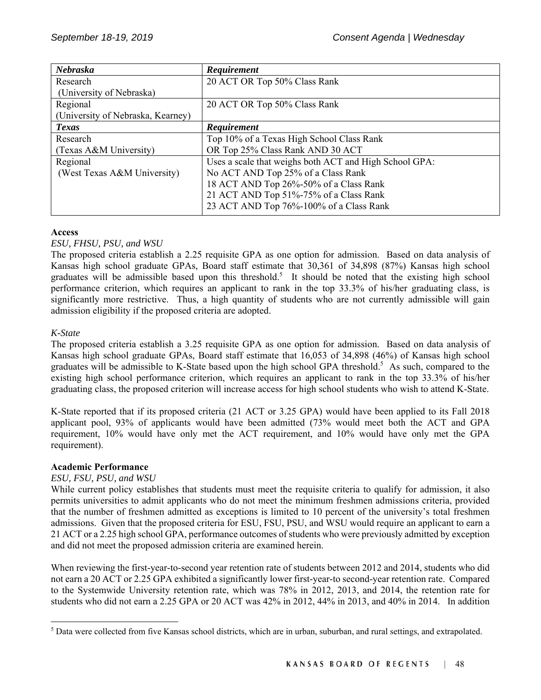| Nebraska                          | Requirement                                            |
|-----------------------------------|--------------------------------------------------------|
| Research                          | 20 ACT OR Top 50% Class Rank                           |
| (University of Nebraska)          |                                                        |
| Regional                          | 20 ACT OR Top 50% Class Rank                           |
| (University of Nebraska, Kearney) |                                                        |
| <b>Texas</b>                      | Requirement                                            |
| Research                          | Top 10% of a Texas High School Class Rank              |
| (Texas A&M University)            | OR Top 25% Class Rank AND 30 ACT                       |
| Regional                          | Uses a scale that weighs both ACT and High School GPA: |
| (West Texas A&M University)       | No ACT AND Top 25% of a Class Rank                     |
|                                   | 18 ACT AND Top 26%-50% of a Class Rank                 |
|                                   | 21 ACT AND Top 51%-75% of a Class Rank                 |
|                                   | 23 ACT AND Top 76%-100% of a Class Rank                |

#### **Access**

#### *ESU, FHSU, PSU, and WSU*

The proposed criteria establish a 2.25 requisite GPA as one option for admission. Based on data analysis of Kansas high school graduate GPAs, Board staff estimate that 30,361 of 34,898 (87%) Kansas high school graduates will be admissible based upon this threshold.<sup>5</sup> It should be noted that the existing high school performance criterion, which requires an applicant to rank in the top 33.3% of his/her graduating class, is significantly more restrictive. Thus, a high quantity of students who are not currently admissible will gain admission eligibility if the proposed criteria are adopted.

#### *K-State*

l

The proposed criteria establish a 3.25 requisite GPA as one option for admission. Based on data analysis of Kansas high school graduate GPAs, Board staff estimate that 16,053 of 34,898 (46%) of Kansas high school graduates will be admissible to K-State based upon the high school GPA threshold.<sup>5</sup> As such, compared to the existing high school performance criterion, which requires an applicant to rank in the top 33.3% of his/her graduating class, the proposed criterion will increase access for high school students who wish to attend K-State.

K-State reported that if its proposed criteria (21 ACT or 3.25 GPA) would have been applied to its Fall 2018 applicant pool, 93% of applicants would have been admitted (73% would meet both the ACT and GPA requirement, 10% would have only met the ACT requirement, and 10% would have only met the GPA requirement).

#### **Academic Performance**

#### *ESU, FSU, PSU, and WSU*

While current policy establishes that students must meet the requisite criteria to qualify for admission, it also permits universities to admit applicants who do not meet the minimum freshmen admissions criteria, provided that the number of freshmen admitted as exceptions is limited to 10 percent of the university's total freshmen admissions. Given that the proposed criteria for ESU, FSU, PSU, and WSU would require an applicant to earn a 21 ACT or a 2.25 high school GPA, performance outcomes of students who were previously admitted by exception and did not meet the proposed admission criteria are examined herein.

When reviewing the first-year-to-second year retention rate of students between 2012 and 2014, students who did not earn a 20 ACT or 2.25 GPA exhibited a significantly lower first-year-to second-year retention rate. Compared to the Systemwide University retention rate, which was 78% in 2012, 2013, and 2014, the retention rate for students who did not earn a 2.25 GPA or 20 ACT was 42% in 2012, 44% in 2013, and 40% in 2014. In addition

<sup>&</sup>lt;sup>5</sup> Data were collected from five Kansas school districts, which are in urban, suburban, and rural settings, and extrapolated.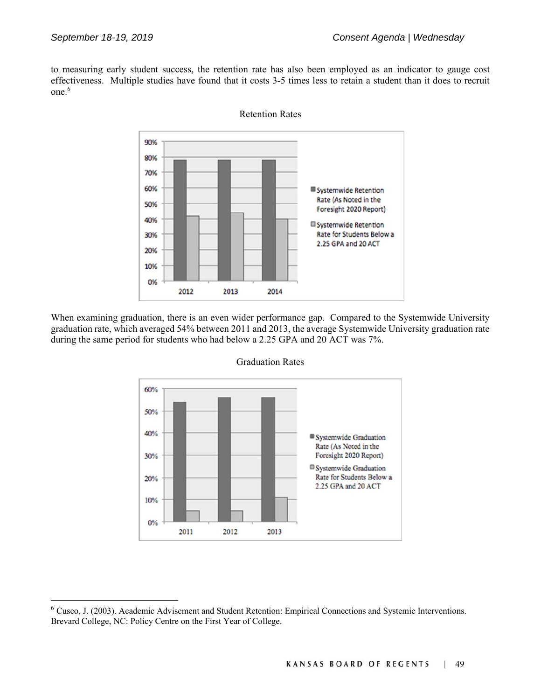l

to measuring early student success, the retention rate has also been employed as an indicator to gauge cost effectiveness. Multiple studies have found that it costs 3-5 times less to retain a student than it does to recruit one.<sup>6</sup>



Retention Rates

When examining graduation, there is an even wider performance gap. Compared to the Systemwide University graduation rate, which averaged 54% between 2011 and 2013, the average Systemwide University graduation rate during the same period for students who had below a 2.25 GPA and 20 ACT was 7%.



Graduation Rates

<sup>6</sup> Cuseo, J. (2003). Academic Advisement and Student Retention: Empirical Connections and Systemic Interventions. Brevard College, NC: Policy Centre on the First Year of College.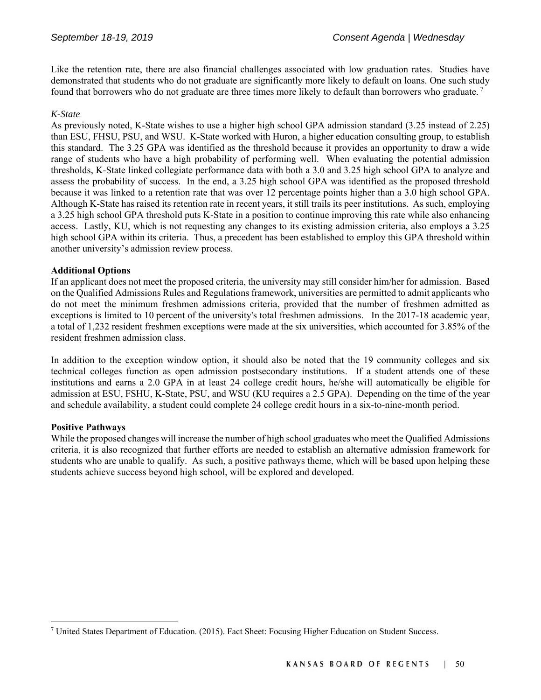Like the retention rate, there are also financial challenges associated with low graduation rates. Studies have demonstrated that students who do not graduate are significantly more likely to default on loans. One such study found that borrowers who do not graduate are three times more likely to default than borrowers who graduate. 7

#### *K-State*

As previously noted, K-State wishes to use a higher high school GPA admission standard (3.25 instead of 2.25) than ESU, FHSU, PSU, and WSU. K-State worked with Huron, a higher education consulting group, to establish this standard. The 3.25 GPA was identified as the threshold because it provides an opportunity to draw a wide range of students who have a high probability of performing well. When evaluating the potential admission thresholds, K-State linked collegiate performance data with both a 3.0 and 3.25 high school GPA to analyze and assess the probability of success. In the end, a 3.25 high school GPA was identified as the proposed threshold because it was linked to a retention rate that was over 12 percentage points higher than a 3.0 high school GPA. Although K-State has raised its retention rate in recent years, it still trails its peer institutions. As such, employing a 3.25 high school GPA threshold puts K-State in a position to continue improving this rate while also enhancing access. Lastly, KU, which is not requesting any changes to its existing admission criteria, also employs a 3.25 high school GPA within its criteria. Thus, a precedent has been established to employ this GPA threshold within another university's admission review process.

#### **Additional Options**

If an applicant does not meet the proposed criteria, the university may still consider him/her for admission. Based on the Qualified Admissions Rules and Regulations framework, universities are permitted to admit applicants who do not meet the minimum freshmen admissions criteria, provided that the number of freshmen admitted as exceptions is limited to 10 percent of the university's total freshmen admissions. In the 2017-18 academic year, a total of 1,232 resident freshmen exceptions were made at the six universities, which accounted for 3.85% of the resident freshmen admission class.

In addition to the exception window option, it should also be noted that the 19 community colleges and six technical colleges function as open admission postsecondary institutions. If a student attends one of these institutions and earns a 2.0 GPA in at least 24 college credit hours, he/she will automatically be eligible for admission at ESU, FSHU, K-State, PSU, and WSU (KU requires a 2.5 GPA). Depending on the time of the year and schedule availability, a student could complete 24 college credit hours in a six-to-nine-month period.

#### **Positive Pathways**

l

While the proposed changes will increase the number of high school graduates who meet the Qualified Admissions criteria, it is also recognized that further efforts are needed to establish an alternative admission framework for students who are unable to qualify. As such, a positive pathways theme, which will be based upon helping these students achieve success beyond high school, will be explored and developed.

<sup>7</sup> United States Department of Education. (2015). Fact Sheet: Focusing Higher Education on Student Success.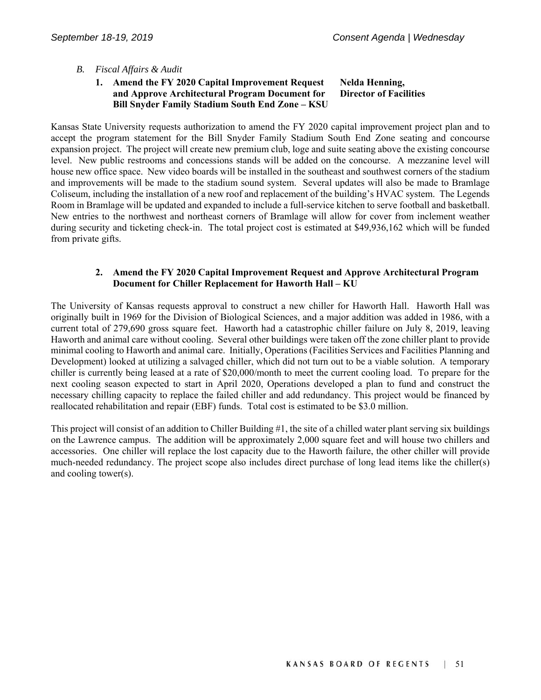#### *B. Fiscal Affairs & Audit*

#### **1. Amend the FY 2020 Capital Improvement Request and Approve Architectural Program Document for Bill Snyder Family Stadium South End Zone – KSU Nelda Henning, Director of Facilities**

Kansas State University requests authorization to amend the FY 2020 capital improvement project plan and to accept the program statement for the Bill Snyder Family Stadium South End Zone seating and concourse expansion project. The project will create new premium club, loge and suite seating above the existing concourse level. New public restrooms and concessions stands will be added on the concourse. A mezzanine level will house new office space. New video boards will be installed in the southeast and southwest corners of the stadium and improvements will be made to the stadium sound system. Several updates will also be made to Bramlage Coliseum, including the installation of a new roof and replacement of the building's HVAC system. The Legends Room in Bramlage will be updated and expanded to include a full-service kitchen to serve football and basketball. New entries to the northwest and northeast corners of Bramlage will allow for cover from inclement weather during security and ticketing check-in. The total project cost is estimated at \$49,936,162 which will be funded from private gifts.

#### **2. Amend the FY 2020 Capital Improvement Request and Approve Architectural Program Document for Chiller Replacement for Haworth Hall – KU**

The University of Kansas requests approval to construct a new chiller for Haworth Hall. Haworth Hall was originally built in 1969 for the Division of Biological Sciences, and a major addition was added in 1986, with a current total of 279,690 gross square feet. Haworth had a catastrophic chiller failure on July 8, 2019, leaving Haworth and animal care without cooling. Several other buildings were taken off the zone chiller plant to provide minimal cooling to Haworth and animal care. Initially, Operations (Facilities Services and Facilities Planning and Development) looked at utilizing a salvaged chiller, which did not turn out to be a viable solution. A temporary chiller is currently being leased at a rate of \$20,000/month to meet the current cooling load. To prepare for the next cooling season expected to start in April 2020, Operations developed a plan to fund and construct the necessary chilling capacity to replace the failed chiller and add redundancy. This project would be financed by reallocated rehabilitation and repair (EBF) funds. Total cost is estimated to be \$3.0 million.

This project will consist of an addition to Chiller Building #1, the site of a chilled water plant serving six buildings on the Lawrence campus. The addition will be approximately 2,000 square feet and will house two chillers and accessories. One chiller will replace the lost capacity due to the Haworth failure, the other chiller will provide much-needed redundancy. The project scope also includes direct purchase of long lead items like the chiller(s) and cooling tower(s).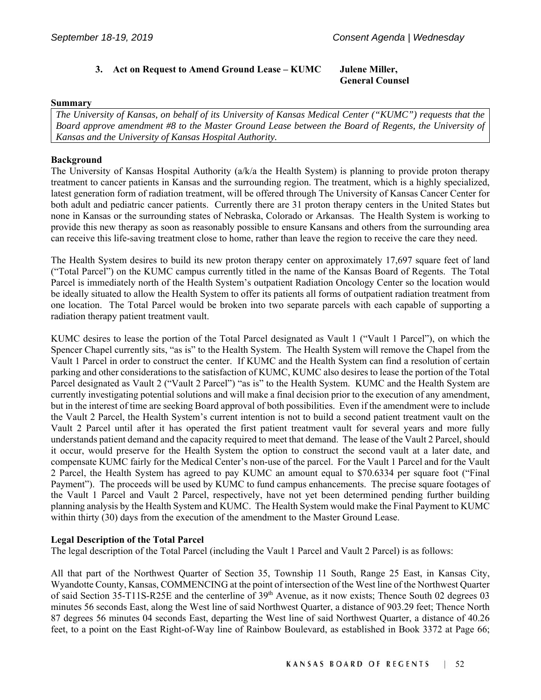# **3. Act on Request to Amend Ground Lease – KUMC Julene Miller,**

# **General Counsel**

#### **Summary**

*The University of Kansas, on behalf of its University of Kansas Medical Center ("KUMC") requests that the Board approve amendment #8 to the Master Ground Lease between the Board of Regents, the University of Kansas and the University of Kansas Hospital Authority.* 

#### **Background**

The University of Kansas Hospital Authority (a/k/a the Health System) is planning to provide proton therapy treatment to cancer patients in Kansas and the surrounding region. The treatment, which is a highly specialized, latest generation form of radiation treatment, will be offered through The University of Kansas Cancer Center for both adult and pediatric cancer patients. Currently there are 31 proton therapy centers in the United States but none in Kansas or the surrounding states of Nebraska, Colorado or Arkansas. The Health System is working to provide this new therapy as soon as reasonably possible to ensure Kansans and others from the surrounding area can receive this life-saving treatment close to home, rather than leave the region to receive the care they need.

The Health System desires to build its new proton therapy center on approximately 17,697 square feet of land ("Total Parcel") on the KUMC campus currently titled in the name of the Kansas Board of Regents. The Total Parcel is immediately north of the Health System's outpatient Radiation Oncology Center so the location would be ideally situated to allow the Health System to offer its patients all forms of outpatient radiation treatment from one location. The Total Parcel would be broken into two separate parcels with each capable of supporting a radiation therapy patient treatment vault.

KUMC desires to lease the portion of the Total Parcel designated as Vault 1 ("Vault 1 Parcel"), on which the Spencer Chapel currently sits, "as is" to the Health System. The Health System will remove the Chapel from the Vault 1 Parcel in order to construct the center. If KUMC and the Health System can find a resolution of certain parking and other considerations to the satisfaction of KUMC, KUMC also desires to lease the portion of the Total Parcel designated as Vault 2 ("Vault 2 Parcel") "as is" to the Health System. KUMC and the Health System are currently investigating potential solutions and will make a final decision prior to the execution of any amendment, but in the interest of time are seeking Board approval of both possibilities. Even if the amendment were to include the Vault 2 Parcel, the Health System's current intention is not to build a second patient treatment vault on the Vault 2 Parcel until after it has operated the first patient treatment vault for several years and more fully understands patient demand and the capacity required to meet that demand. The lease of the Vault 2 Parcel, should it occur, would preserve for the Health System the option to construct the second vault at a later date, and compensate KUMC fairly for the Medical Center's non-use of the parcel. For the Vault 1 Parcel and for the Vault 2 Parcel, the Health System has agreed to pay KUMC an amount equal to \$70.6334 per square foot ("Final Payment"). The proceeds will be used by KUMC to fund campus enhancements. The precise square footages of the Vault 1 Parcel and Vault 2 Parcel, respectively, have not yet been determined pending further building planning analysis by the Health System and KUMC. The Health System would make the Final Payment to KUMC within thirty (30) days from the execution of the amendment to the Master Ground Lease.

#### **Legal Description of the Total Parcel**

The legal description of the Total Parcel (including the Vault 1 Parcel and Vault 2 Parcel) is as follows:

All that part of the Northwest Quarter of Section 35, Township 11 South, Range 25 East, in Kansas City, Wyandotte County, Kansas, COMMENCING at the point of intersection of the West line of the Northwest Quarter of said Section 35-T11S-R25E and the centerline of 39<sup>th</sup> Avenue, as it now exists; Thence South 02 degrees 03 minutes 56 seconds East, along the West line of said Northwest Quarter, a distance of 903.29 feet; Thence North 87 degrees 56 minutes 04 seconds East, departing the West line of said Northwest Quarter, a distance of 40.26 feet, to a point on the East Right-of-Way line of Rainbow Boulevard, as established in Book 3372 at Page 66;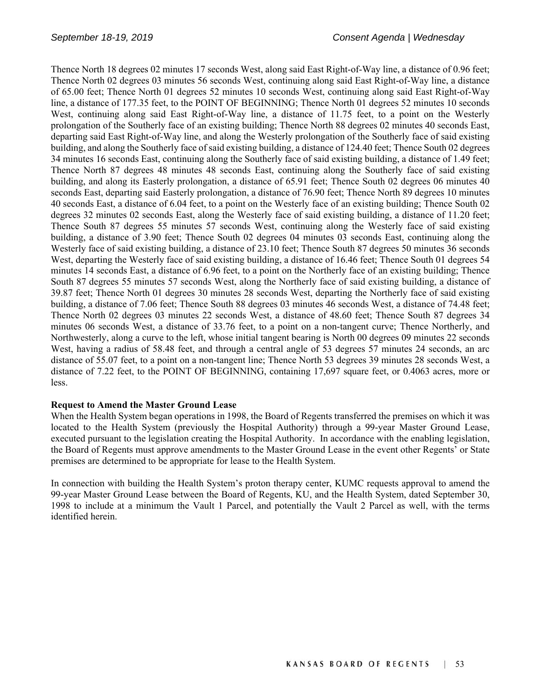Thence North 18 degrees 02 minutes 17 seconds West, along said East Right-of-Way line, a distance of 0.96 feet; Thence North 02 degrees 03 minutes 56 seconds West, continuing along said East Right-of-Way line, a distance of 65.00 feet; Thence North 01 degrees 52 minutes 10 seconds West, continuing along said East Right-of-Way line, a distance of 177.35 feet, to the POINT OF BEGINNING; Thence North 01 degrees 52 minutes 10 seconds West, continuing along said East Right-of-Way line, a distance of 11.75 feet, to a point on the Westerly prolongation of the Southerly face of an existing building; Thence North 88 degrees 02 minutes 40 seconds East, departing said East Right-of-Way line, and along the Westerly prolongation of the Southerly face of said existing building, and along the Southerly face of said existing building, a distance of 124.40 feet; Thence South 02 degrees 34 minutes 16 seconds East, continuing along the Southerly face of said existing building, a distance of 1.49 feet; Thence North 87 degrees 48 minutes 48 seconds East, continuing along the Southerly face of said existing building, and along its Easterly prolongation, a distance of 65.91 feet; Thence South 02 degrees 06 minutes 40 seconds East, departing said Easterly prolongation, a distance of 76.90 feet; Thence North 89 degrees 10 minutes 40 seconds East, a distance of 6.04 feet, to a point on the Westerly face of an existing building; Thence South 02 degrees 32 minutes 02 seconds East, along the Westerly face of said existing building, a distance of 11.20 feet; Thence South 87 degrees 55 minutes 57 seconds West, continuing along the Westerly face of said existing building, a distance of 3.90 feet; Thence South 02 degrees 04 minutes 03 seconds East, continuing along the Westerly face of said existing building, a distance of 23.10 feet; Thence South 87 degrees 50 minutes 36 seconds West, departing the Westerly face of said existing building, a distance of 16.46 feet; Thence South 01 degrees 54 minutes 14 seconds East, a distance of 6.96 feet, to a point on the Northerly face of an existing building; Thence South 87 degrees 55 minutes 57 seconds West, along the Northerly face of said existing building, a distance of 39.87 feet; Thence North 01 degrees 30 minutes 28 seconds West, departing the Northerly face of said existing building, a distance of 7.06 feet; Thence South 88 degrees 03 minutes 46 seconds West, a distance of 74.48 feet; Thence North 02 degrees 03 minutes 22 seconds West, a distance of 48.60 feet; Thence South 87 degrees 34 minutes 06 seconds West, a distance of 33.76 feet, to a point on a non-tangent curve; Thence Northerly, and Northwesterly, along a curve to the left, whose initial tangent bearing is North 00 degrees 09 minutes 22 seconds West, having a radius of 58.48 feet, and through a central angle of 53 degrees 57 minutes 24 seconds, an arc distance of 55.07 feet, to a point on a non-tangent line; Thence North 53 degrees 39 minutes 28 seconds West, a distance of 7.22 feet, to the POINT OF BEGINNING, containing 17,697 square feet, or 0.4063 acres, more or less.

#### **Request to Amend the Master Ground Lease**

When the Health System began operations in 1998, the Board of Regents transferred the premises on which it was located to the Health System (previously the Hospital Authority) through a 99-year Master Ground Lease, executed pursuant to the legislation creating the Hospital Authority. In accordance with the enabling legislation, the Board of Regents must approve amendments to the Master Ground Lease in the event other Regents' or State premises are determined to be appropriate for lease to the Health System.

In connection with building the Health System's proton therapy center, KUMC requests approval to amend the 99-year Master Ground Lease between the Board of Regents, KU, and the Health System, dated September 30, 1998 to include at a minimum the Vault 1 Parcel, and potentially the Vault 2 Parcel as well, with the terms identified herein.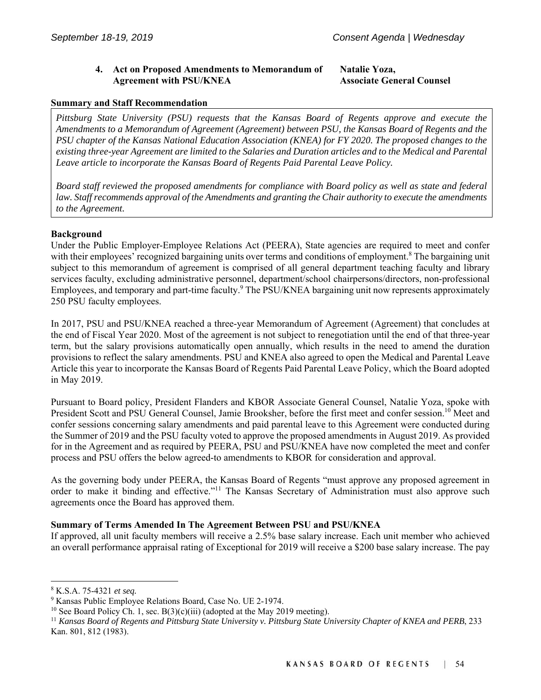### **4. Act on Proposed Amendments to Memorandum of Agreement with PSU/KNEA**

#### **Natalie Yoza, Associate General Counsel**

#### **Summary and Staff Recommendation**

*Pittsburg State University (PSU) requests that the Kansas Board of Regents approve and execute the Amendments to a Memorandum of Agreement (Agreement) between PSU, the Kansas Board of Regents and the PSU chapter of the Kansas National Education Association (KNEA) for FY 2020. The proposed changes to the existing three-year Agreement are limited to the Salaries and Duration articles and to the Medical and Parental Leave article to incorporate the Kansas Board of Regents Paid Parental Leave Policy.*

*Board staff reviewed the proposed amendments for compliance with Board policy as well as state and federal law. Staff recommends approval of the Amendments and granting the Chair authority to execute the amendments to the Agreement.*

#### **Background**

Under the Public Employer-Employee Relations Act (PEERA), State agencies are required to meet and confer with their employees' recognized bargaining units over terms and conditions of employment.<sup>8</sup> The bargaining unit subject to this memorandum of agreement is comprised of all general department teaching faculty and library services faculty, excluding administrative personnel, department/school chairpersons/directors, non-professional Employees, and temporary and part-time faculty. The PSU/KNEA bargaining unit now represents approximately 250 PSU faculty employees.

In 2017, PSU and PSU/KNEA reached a three-year Memorandum of Agreement (Agreement) that concludes at the end of Fiscal Year 2020. Most of the agreement is not subject to renegotiation until the end of that three-year term, but the salary provisions automatically open annually, which results in the need to amend the duration provisions to reflect the salary amendments. PSU and KNEA also agreed to open the Medical and Parental Leave Article this year to incorporate the Kansas Board of Regents Paid Parental Leave Policy, which the Board adopted in May 2019.

Pursuant to Board policy, President Flanders and KBOR Associate General Counsel, Natalie Yoza, spoke with President Scott and PSU General Counsel, Jamie Brooksher, before the first meet and confer session.<sup>10</sup> Meet and confer sessions concerning salary amendments and paid parental leave to this Agreement were conducted during the Summer of 2019 and the PSU faculty voted to approve the proposed amendments in August 2019. As provided for in the Agreement and as required by PEERA, PSU and PSU/KNEA have now completed the meet and confer process and PSU offers the below agreed-to amendments to KBOR for consideration and approval.

As the governing body under PEERA, the Kansas Board of Regents "must approve any proposed agreement in order to make it binding and effective."<sup>11</sup> The Kansas Secretary of Administration must also approve such agreements once the Board has approved them.

#### **Summary of Terms Amended In The Agreement Between PSU and PSU/KNEA**

If approved, all unit faculty members will receive a 2.5% base salary increase. Each unit member who achieved an overall performance appraisal rating of Exceptional for 2019 will receive a \$200 base salary increase. The pay

 $\overline{\phantom{a}}$ 

<sup>&</sup>lt;sup>8</sup> K.S.A. 75-4321 *et seq.*<br><sup>9</sup> Kansas Public Employe

<sup>&</sup>lt;sup>9</sup> Kansas Public Employee Relations Board, Case No. UE 2-1974.

<sup>&</sup>lt;sup>10</sup> See Board Policy Ch. 1, sec. B(3)(c)(iii) (adopted at the May 2019 meeting).<br><sup>11</sup> *Kansas Board of Regents and Pittsburg State University v. Pittsburg State University Chapter of KNEA and PERB*, 233 Kan. 801, 812 (1983).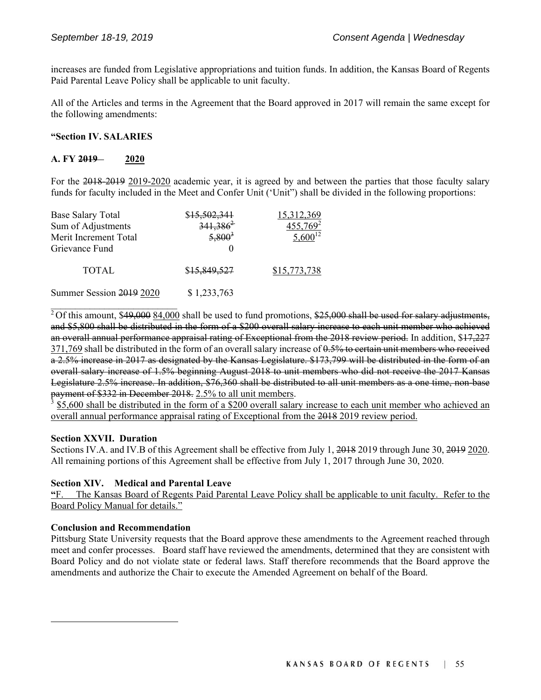increases are funded from Legislative appropriations and tuition funds. In addition, the Kansas Board of Regents Paid Parental Leave Policy shall be applicable to unit faculty.

All of the Articles and terms in the Agreement that the Board approved in 2017 will remain the same except for the following amendments:

#### **"Section IV. SALARIES**

#### **A. FY 2019 2020**

For the 2018-2019 2019-2020 academic year, it is agreed by and between the parties that those faculty salary funds for faculty included in the Meet and Confer Unit ('Unit") shall be divided in the following proportions:

| <b>Base Salary Total</b> | \$ <del>15,502,341</del> | 15,312,369           |
|--------------------------|--------------------------|----------------------|
| Sum of Adjustments       | $341,386^2$              | 455,769 <sup>2</sup> |
| Merit Increment Total    | $5,800^3$                | $5,600^{12}$         |
| Grievance Fund           |                          |                      |
| <b>TOTAL</b>             | \$15,849,527             | \$15,773,738         |
| Summer Session 2019 2020 | \$1,233,763              |                      |

 $2$ Of this amount, \$49,000  $84,000$  shall be used to fund promotions, \$25,000 shall be used for salary adjustments, and \$5,800 shall be distributed in the form of a \$200 overall salary increase to each unit member who achieved an overall annual performance appraisal rating of Exceptional from the 2018 review period. In addition, \$17,227 371,769 shall be distributed in the form of an overall salary increase of 0.5% to certain unit members who received a 2.5% increase in 2017 as designated by the Kansas Legislature. \$173,799 will be distributed in the form of an overall salary increase of 1.5% beginning August 2018 to unit members who did not receive the 2017 Kansas Legislature 2.5% increase. In addition, \$76,360 shall be distributed to all unit members as a one time, non-base payment of \$332 in December 2018. 2.5% to all unit members.

3 \$5,600 shall be distributed in the form of a \$200 overall salary increase to each unit member who achieved an overall annual performance appraisal rating of Exceptional from the 2018 2019 review period.

#### **Section XXVII. Duration**

 $\mathcal{L}_\text{max}$ 

Sections IV.A. and IV.B of this Agreement shall be effective from July 1, 2018 2019 through June 30, 2019 2020. All remaining portions of this Agreement shall be effective from July 1, 2017 through June 30, 2020.

#### **Section XIV. Medical and Parental Leave**

**"**F. The Kansas Board of Regents Paid Parental Leave Policy shall be applicable to unit faculty. Refer to the Board Policy Manual for details."

#### **Conclusion and Recommendation**

l

Pittsburg State University requests that the Board approve these amendments to the Agreement reached through meet and confer processes. Board staff have reviewed the amendments, determined that they are consistent with Board Policy and do not violate state or federal laws. Staff therefore recommends that the Board approve the amendments and authorize the Chair to execute the Amended Agreement on behalf of the Board.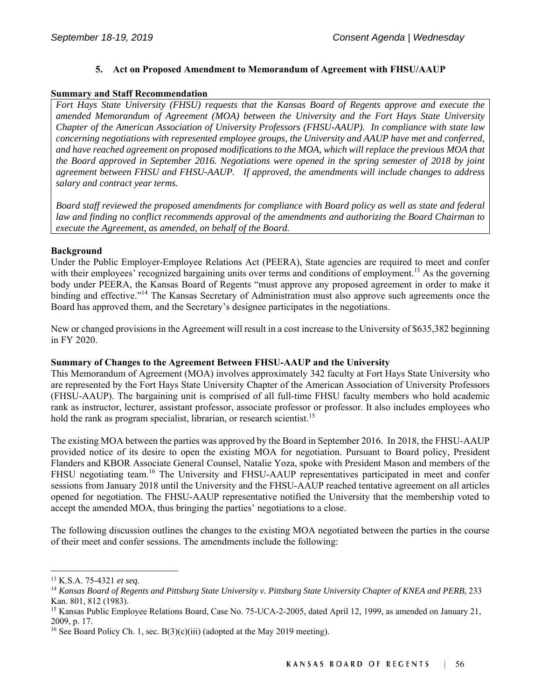# **5. Act on Proposed Amendment to Memorandum of Agreement with FHSU/AAUP**

#### **Summary and Staff Recommendation**

*Fort Hays State University (FHSU) requests that the Kansas Board of Regents approve and execute the amended Memorandum of Agreement (MOA) between the University and the Fort Hays State University Chapter of the American Association of University Professors (FHSU-AAUP). In compliance with state law concerning negotiations with represented employee groups, the University and AAUP have met and conferred, and have reached agreement on proposed modifications to the MOA, which will replace the previous MOA that the Board approved in September 2016. Negotiations were opened in the spring semester of 2018 by joint agreement between FHSU and FHSU-AAUP. If approved, the amendments will include changes to address salary and contract year terms.* 

*Board staff reviewed the proposed amendments for compliance with Board policy as well as state and federal law and finding no conflict recommends approval of the amendments and authorizing the Board Chairman to execute the Agreement, as amended, on behalf of the Board.* 

#### **Background**

Under the Public Employer-Employee Relations Act (PEERA), State agencies are required to meet and confer with their employees' recognized bargaining units over terms and conditions of employment.<sup>13</sup> As the governing body under PEERA, the Kansas Board of Regents "must approve any proposed agreement in order to make it binding and effective."<sup>14</sup> The Kansas Secretary of Administration must also approve such agreements once the Board has approved them, and the Secretary's designee participates in the negotiations.

New or changed provisions in the Agreement will result in a cost increase to the University of \$635,382 beginning in FY 2020.

#### **Summary of Changes to the Agreement Between FHSU-AAUP and the University**

This Memorandum of Agreement (MOA) involves approximately 342 faculty at Fort Hays State University who are represented by the Fort Hays State University Chapter of the American Association of University Professors (FHSU-AAUP). The bargaining unit is comprised of all full-time FHSU faculty members who hold academic rank as instructor, lecturer, assistant professor, associate professor or professor. It also includes employees who hold the rank as program specialist, librarian, or research scientist.<sup>15</sup>

The existing MOA between the parties was approved by the Board in September 2016. In 2018, the FHSU-AAUP provided notice of its desire to open the existing MOA for negotiation. Pursuant to Board policy, President Flanders and KBOR Associate General Counsel, Natalie Yoza, spoke with President Mason and members of the FHSU negotiating team.<sup>16</sup> The University and FHSU-AAUP representatives participated in meet and confer sessions from January 2018 until the University and the FHSU-AAUP reached tentative agreement on all articles opened for negotiation. The FHSU-AAUP representative notified the University that the membership voted to accept the amended MOA, thus bringing the parties' negotiations to a close.

The following discussion outlines the changes to the existing MOA negotiated between the parties in the course of their meet and confer sessions. The amendments include the following:

l

<sup>&</sup>lt;sup>13</sup> K.S.A. 75-4321 *et seq.*<br><sup>14</sup> *Kansas Board of Regents and Pittsburg State University v. Pittsburg State University Chapter of KNEA and PERB, 233* Kan. 801, 812 (1983).

<sup>&</sup>lt;sup>15</sup> Kansas Public Employee Relations Board, Case No. 75-UCA-2-2005, dated April 12, 1999, as amended on January 21, 2009, p. 17.

<sup>&</sup>lt;sup>16</sup> See Board Policy Ch. 1, sec. B(3)(c)(iii) (adopted at the May 2019 meeting).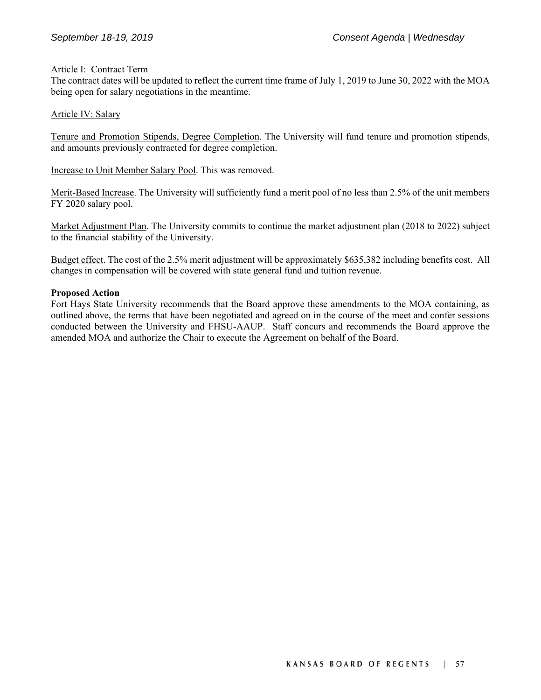#### Article I: Contract Term

The contract dates will be updated to reflect the current time frame of July 1, 2019 to June 30, 2022 with the MOA being open for salary negotiations in the meantime.

#### Article IV: Salary

Tenure and Promotion Stipends, Degree Completion. The University will fund tenure and promotion stipends, and amounts previously contracted for degree completion.

Increase to Unit Member Salary Pool. This was removed.

Merit-Based Increase. The University will sufficiently fund a merit pool of no less than 2.5% of the unit members FY 2020 salary pool.

Market Adjustment Plan. The University commits to continue the market adjustment plan (2018 to 2022) subject to the financial stability of the University.

Budget effect. The cost of the 2.5% merit adjustment will be approximately \$635,382 including benefits cost. All changes in compensation will be covered with state general fund and tuition revenue.

#### **Proposed Action**

Fort Hays State University recommends that the Board approve these amendments to the MOA containing, as outlined above, the terms that have been negotiated and agreed on in the course of the meet and confer sessions conducted between the University and FHSU-AAUP. Staff concurs and recommends the Board approve the amended MOA and authorize the Chair to execute the Agreement on behalf of the Board.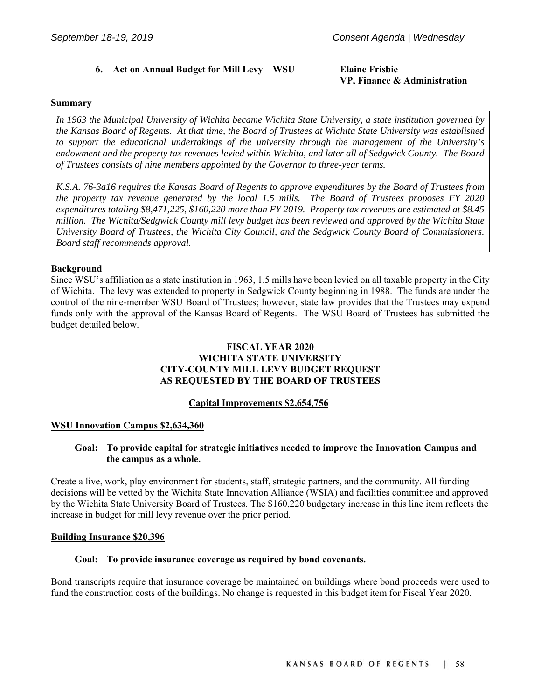# **6. Act on Annual Budget for Mill Levy – WSU Elaine Frisbie**

# **VP, Finance & Administration**

#### **Summary**

*In 1963 the Municipal University of Wichita became Wichita State University, a state institution governed by the Kansas Board of Regents. At that time, the Board of Trustees at Wichita State University was established to support the educational undertakings of the university through the management of the University's endowment and the property tax revenues levied within Wichita, and later all of Sedgwick County. The Board of Trustees consists of nine members appointed by the Governor to three-year terms.* 

*K.S.A. 76-3a16 requires the Kansas Board of Regents to approve expenditures by the Board of Trustees from the property tax revenue generated by the local 1.5 mills. The Board of Trustees proposes FY 2020 expenditures totaling \$8,471,225, \$160,220 more than FY 2019. Property tax revenues are estimated at \$8.45 million. The Wichita/Sedgwick County mill levy budget has been reviewed and approved by the Wichita State University Board of Trustees, the Wichita City Council, and the Sedgwick County Board of Commissioners. Board staff recommends approval.*

#### **Background**

Since WSU's affiliation as a state institution in 1963, 1.5 mills have been levied on all taxable property in the City of Wichita. The levy was extended to property in Sedgwick County beginning in 1988. The funds are under the control of the nine-member WSU Board of Trustees; however, state law provides that the Trustees may expend funds only with the approval of the Kansas Board of Regents. The WSU Board of Trustees has submitted the budget detailed below.

# **FISCAL YEAR 2020 WICHITA STATE UNIVERSITY CITY-COUNTY MILL LEVY BUDGET REQUEST AS REQUESTED BY THE BOARD OF TRUSTEES**

#### **Capital Improvements \$2,654,756**

#### **WSU Innovation Campus \$2,634,360**

#### **Goal: To provide capital for strategic initiatives needed to improve the Innovation Campus and the campus as a whole.**

Create a live, work, play environment for students, staff, strategic partners, and the community. All funding decisions will be vetted by the Wichita State Innovation Alliance (WSIA) and facilities committee and approved by the Wichita State University Board of Trustees. The \$160,220 budgetary increase in this line item reflects the increase in budget for mill levy revenue over the prior period.

#### **Building Insurance \$20,396**

#### **Goal: To provide insurance coverage as required by bond covenants.**

Bond transcripts require that insurance coverage be maintained on buildings where bond proceeds were used to fund the construction costs of the buildings. No change is requested in this budget item for Fiscal Year 2020.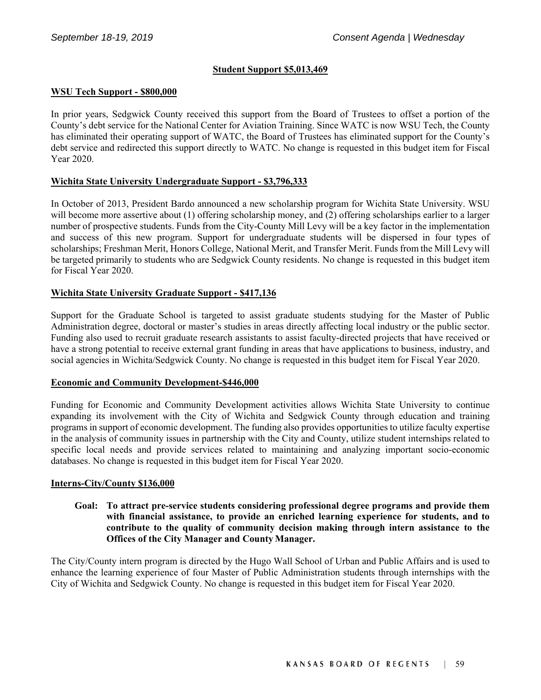# **Student Support \$5,013,469**

#### **WSU Tech Support ‐ \$800,000**

In prior years, Sedgwick County received this support from the Board of Trustees to offset a portion of the County's debt service for the National Center for Aviation Training. Since WATC is now WSU Tech, the County has eliminated their operating support of WATC, the Board of Trustees has eliminated support for the County's debt service and redirected this support directly to WATC. No change is requested in this budget item for Fiscal Year 2020.

#### **Wichita State University Undergraduate Support ‐ \$3,796,333**

In October of 2013, President Bardo announced a new scholarship program for Wichita State University. WSU will become more assertive about (1) offering scholarship money, and (2) offering scholarships earlier to a larger number of prospective students. Funds from the City‐County Mill Levy will be a key factor in the implementation and success of this new program. Support for undergraduate students will be dispersed in four types of scholarships; Freshman Merit, Honors College, National Merit, and Transfer Merit. Funds from the Mill Levy will be targeted primarily to students who are Sedgwick County residents. No change is requested in this budget item for Fiscal Year 2020.

#### **Wichita State University Graduate Support ‐ \$417,136**

Support for the Graduate School is targeted to assist graduate students studying for the Master of Public Administration degree, doctoral or master's studies in areas directly affecting local industry or the public sector. Funding also used to recruit graduate research assistants to assist faculty-directed projects that have received or have a strong potential to receive external grant funding in areas that have applications to business, industry, and social agencies in Wichita/Sedgwick County. No change is requested in this budget item for Fiscal Year 2020.

#### **Economic and Community Development‐\$446,000**

Funding for Economic and Community Development activities allows Wichita State University to continue expanding its involvement with the City of Wichita and Sedgwick County through education and training programs in support of economic development. The funding also provides opportunities to utilize faculty expertise in the analysis of community issues in partnership with the City and County, utilize student internships related to specific local needs and provide services related to maintaining and analyzing important socio–economic databases. No change is requested in this budget item for Fiscal Year 2020.

#### **Interns‐City/County \$136,000**

#### **Goal: To attract pre‐service students considering professional degree programs and provide them with financial assistance, to provide an enriched learning experience for students, and to contribute to the quality of community decision making through intern assistance to the Offices of the City Manager and County Manager.**

The City/County intern program is directed by the Hugo Wall School of Urban and Public Affairs and is used to enhance the learning experience of four Master of Public Administration students through internships with the City of Wichita and Sedgwick County. No change is requested in this budget item for Fiscal Year 2020.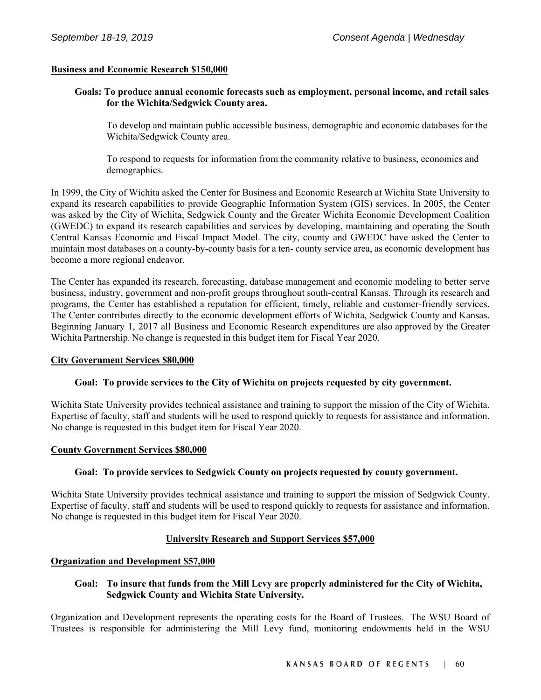#### **Business and Economic Research \$150,000**

#### **Goals: To produce annual economic forecasts such as employment, personal income, and retail sales for the Wichita/Sedgwick County area.**

To develop and maintain public accessible business, demographic and economic databases for the Wichita/Sedgwick County area.

To respond to requests for information from the community relative to business, economics and demographics.

In 1999, the City of Wichita asked the Center for Business and Economic Research at Wichita State University to expand its research capabilities to provide Geographic Information System (GIS) services. In 2005, the Center was asked by the City of Wichita, Sedgwick County and the Greater Wichita Economic Development Coalition (GWEDC) to expand its research capabilities and services by developing, maintaining and operating the South Central Kansas Economic and Fiscal Impact Model. The city, county and GWEDC have asked the Center to maintain most databases on a county‐by‐county basis for a ten‐ county service area, as economic development has become a more regional endeavor.

The Center has expanded its research, forecasting, database management and economic modeling to better serve business, industry, government and non‐profit groups throughout south‐central Kansas. Through its research and programs, the Center has established a reputation for efficient, timely, reliable and customer‐friendly services. The Center contributes directly to the economic development efforts of Wichita, Sedgwick County and Kansas. Beginning January 1, 2017 all Business and Economic Research expenditures are also approved by the Greater Wichita Partnership. No change is requested in this budget item for Fiscal Year 2020.

#### **City Government Services \$80,000**

#### **Goal: To provide services to the City of Wichita on projects requested by city government.**

Wichita State University provides technical assistance and training to support the mission of the City of Wichita. Expertise of faculty, staff and students will be used to respond quickly to requests for assistance and information. No change is requested in this budget item for Fiscal Year 2020.

#### **County Government Services \$80,000**

#### **Goal: To provide services to Sedgwick County on projects requested by county government.**

Wichita State University provides technical assistance and training to support the mission of Sedgwick County. Expertise of faculty, staff and students will be used to respond quickly to requests for assistance and information. No change is requested in this budget item for Fiscal Year 2020.

#### **University Research and Support Services \$57,000**

#### **Organization and Development \$57,000**

#### **Goal: To insure that funds from the Mill Levy are properly administered for the City of Wichita, Sedgwick County and Wichita State University.**

Organization and Development represents the operating costs for the Board of Trustees. The WSU Board of Trustees is responsible for administering the Mill Levy fund, monitoring endowments held in the WSU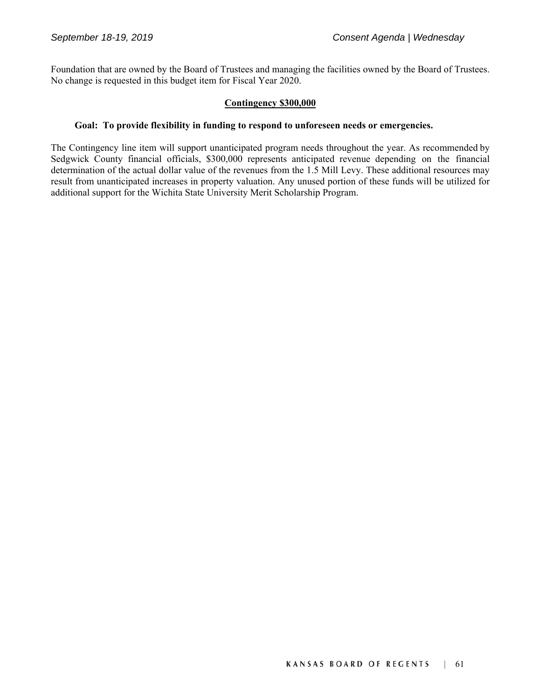Foundation that are owned by the Board of Trustees and managing the facilities owned by the Board of Trustees. No change is requested in this budget item for Fiscal Year 2020.

#### **Contingency \$300,000**

#### **Goal: To provide flexibility in funding to respond to unforeseen needs or emergencies.**

The Contingency line item will support unanticipated program needs throughout the year. As recommended by Sedgwick County financial officials, \$300,000 represents anticipated revenue depending on the financial determination of the actual dollar value of the revenues from the 1.5 Mill Levy. These additional resources may result from unanticipated increases in property valuation. Any unused portion of these funds will be utilized for additional support for the Wichita State University Merit Scholarship Program.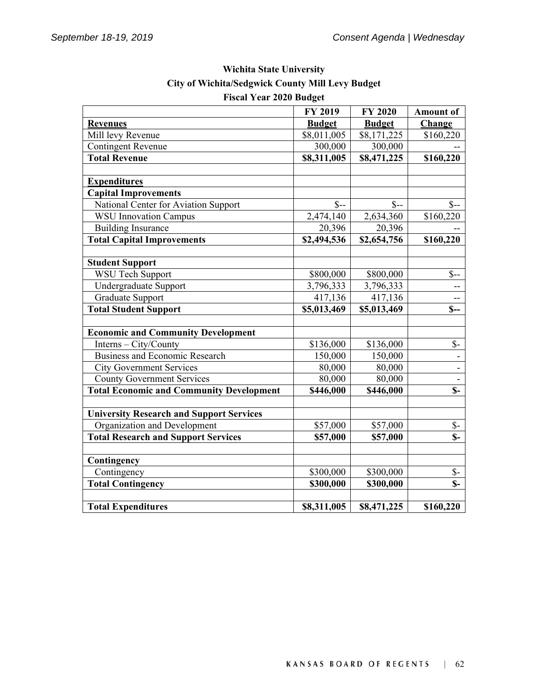|                                                 | <b>FY 2019</b> | <b>FY 2020</b> | <b>Amount of</b>          |
|-------------------------------------------------|----------------|----------------|---------------------------|
| <b>Revenues</b>                                 | <b>Budget</b>  | <b>Budget</b>  | Change                    |
| Mill levy Revenue                               | \$8,011,005    | \$8,171,225    | \$160,220                 |
| <b>Contingent Revenue</b>                       | 300,000        | 300,000        |                           |
| <b>Total Revenue</b>                            | \$8,311,005    | \$8,471,225    | \$160,220                 |
|                                                 |                |                |                           |
| <b>Expenditures</b>                             |                |                |                           |
| <b>Capital Improvements</b>                     |                |                |                           |
| National Center for Aviation Support            | $S-$           | $S-$           | $S-$                      |
| <b>WSU</b> Innovation Campus                    | 2,474,140      | 2,634,360      | \$160,220                 |
| <b>Building Insurance</b>                       | 20,396         | 20,396         |                           |
| <b>Total Capital Improvements</b>               | \$2,494,536    | \$2,654,756    | \$160,220                 |
|                                                 |                |                |                           |
| <b>Student Support</b>                          |                |                |                           |
| <b>WSU</b> Tech Support                         | \$800,000      | \$800,000      | $S-$                      |
| Undergraduate Support                           | 3,796,333      | 3,796,333      | --                        |
| Graduate Support                                | 417,136        | 417,136        | $\overline{\phantom{a}}$  |
| <b>Total Student Support</b>                    | \$5,013,469    | \$5,013,469    | $S-$                      |
|                                                 |                |                |                           |
| <b>Economic and Community Development</b>       |                |                |                           |
| Interns - City/County                           | \$136,000      | \$136,000      | $S-$                      |
| <b>Business and Economic Research</b>           | 150,000        | 150,000        |                           |
| <b>City Government Services</b>                 | 80,000         | 80,000         | $\overline{a}$            |
| <b>County Government Services</b>               | 80,000         | 80,000         | $\blacksquare$            |
| <b>Total Economic and Community Development</b> | \$446,000      | \$446,000      | $\overline{\mathbb{S}}$ - |
|                                                 |                |                |                           |
| <b>University Research and Support Services</b> |                |                |                           |
| Organization and Development                    | \$57,000       | \$57,000       | $\mathcal{S}$ -           |
| <b>Total Research and Support Services</b>      | \$57,000       | \$57,000       | $S-$                      |
|                                                 |                |                |                           |
| Contingency                                     |                |                |                           |
| Contingency                                     | \$300,000      | \$300,000      | $S-$                      |
| <b>Total Contingency</b>                        | \$300,000      | \$300,000      | $S-$                      |
|                                                 |                |                |                           |
| <b>Total Expenditures</b>                       | \$8,311,005    | \$8,471,225    | \$160,220                 |

# **Wichita State University City of Wichita/Sedgwick County Mill Levy Budget Fiscal Year 2020 Budget**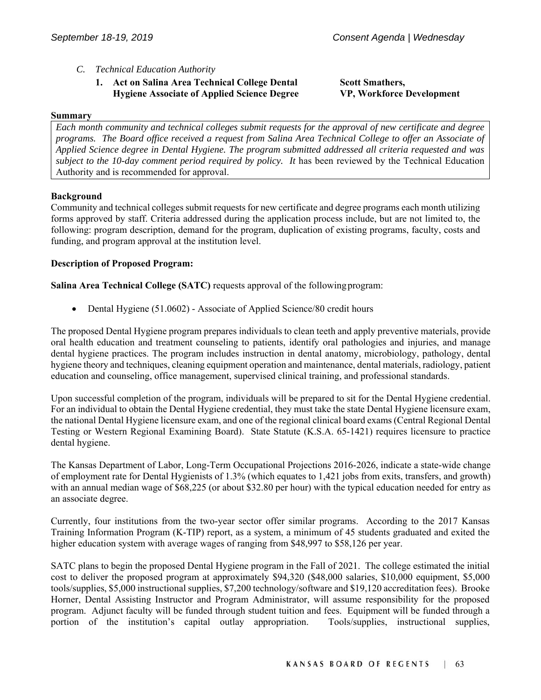- *C. Technical Education Authority* 
	- **1. Act on Salina Area Technical College Dental Hygiene Associate of Applied Science Degree**

#### **Summary**

*Each month community and technical colleges submit requests for the approval of new certificate and degree programs. The Board office received a request from Salina Area Technical College to offer an Associate of Applied Science degree in Dental Hygiene. The program submitted addressed all criteria requested and was*  subject to the 10-day comment period required by policy. It has been reviewed by the Technical Education Authority and is recommended for approval.

#### **Background**

Community and technical colleges submit requests for new certificate and degree programs each month utilizing forms approved by staff. Criteria addressed during the application process include, but are not limited to, the following: program description, demand for the program, duplication of existing programs, faculty, costs and funding, and program approval at the institution level.

#### **Description of Proposed Program:**

**Salina Area Technical College (SATC)** requests approval of the following program:

• Dental Hygiene (51.0602) - Associate of Applied Science/80 credit hours

The proposed Dental Hygiene program prepares individuals to clean teeth and apply preventive materials, provide oral health education and treatment counseling to patients, identify oral pathologies and injuries, and manage dental hygiene practices. The program includes instruction in dental anatomy, microbiology, pathology, dental hygiene theory and techniques, cleaning equipment operation and maintenance, dental materials, radiology, patient education and counseling, office management, supervised clinical training, and professional standards.

Upon successful completion of the program, individuals will be prepared to sit for the Dental Hygiene credential. For an individual to obtain the Dental Hygiene credential, they must take the state Dental Hygiene licensure exam, the national Dental Hygiene licensure exam, and one of the regional clinical board exams (Central Regional Dental Testing or Western Regional Examining Board). State Statute (K.S.A. 65-1421) requires licensure to practice dental hygiene.

The Kansas Department of Labor, Long-Term Occupational Projections 2016-2026, indicate a state-wide change of employment rate for Dental Hygienists of 1.3% (which equates to 1,421 jobs from exits, transfers, and growth) with an annual median wage of \$68,225 (or about \$32.80 per hour) with the typical education needed for entry as an associate degree.

Currently, four institutions from the two-year sector offer similar programs. According to the 2017 Kansas Training Information Program (K-TIP) report, as a system, a minimum of 45 students graduated and exited the higher education system with average wages of ranging from \$48,997 to \$58,126 per year.

SATC plans to begin the proposed Dental Hygiene program in the Fall of 2021. The college estimated the initial cost to deliver the proposed program at approximately \$94,320 (\$48,000 salaries, \$10,000 equipment, \$5,000 tools/supplies, \$5,000 instructional supplies, \$7,200 technology/software and \$19,120 accreditation fees). Brooke Horner, Dental Assisting Instructor and Program Administrator, will assume responsibility for the proposed program. Adjunct faculty will be funded through student tuition and fees. Equipment will be funded through a portion of the institution's capital outlay appropriation. Tools/supplies, instructional supplies,

**Scott Smathers, VP, Workforce Development**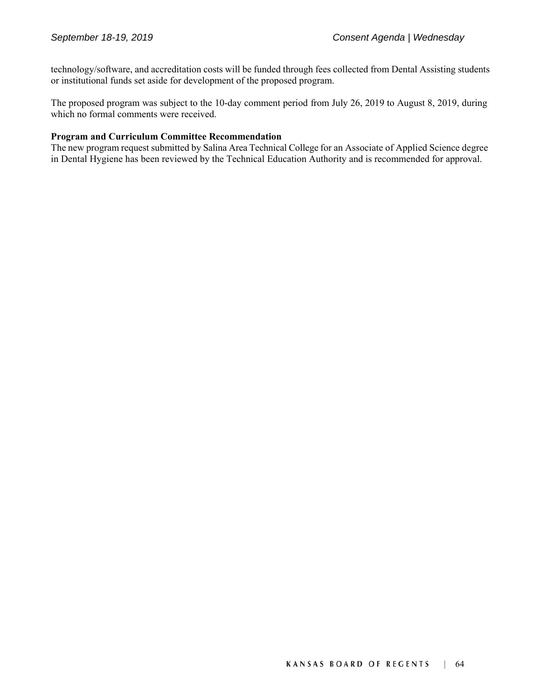technology/software, and accreditation costs will be funded through fees collected from Dental Assisting students or institutional funds set aside for development of the proposed program.

The proposed program was subject to the 10-day comment period from July 26, 2019 to August 8, 2019, during which no formal comments were received.

# **Program and Curriculum Committee Recommendation**

The new program request submitted by Salina Area Technical College for an Associate of Applied Science degree in Dental Hygiene has been reviewed by the Technical Education Authority and is recommended for approval.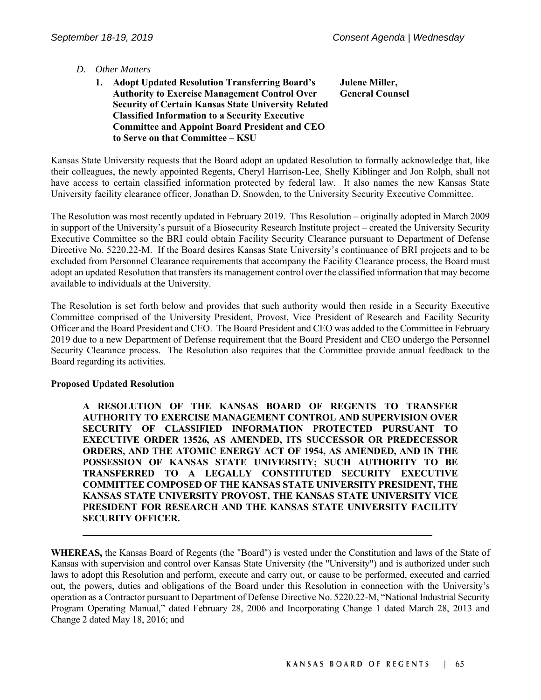# *D. Other Matters*

 **1. Adopt Updated Resolution Transferring Board's Authority to Exercise Management Control Over Security of Certain Kansas State University Related Classified Information to a Security Executive Committee and Appoint Board President and CEO to Serve on that Committee – KSU Julene Miller, General Counsel** 

Kansas State University requests that the Board adopt an updated Resolution to formally acknowledge that, like their colleagues, the newly appointed Regents, Cheryl Harrison-Lee, Shelly Kiblinger and Jon Rolph, shall not have access to certain classified information protected by federal law. It also names the new Kansas State University facility clearance officer, Jonathan D. Snowden, to the University Security Executive Committee.

The Resolution was most recently updated in February 2019. This Resolution – originally adopted in March 2009 in support of the University's pursuit of a Biosecurity Research Institute project – created the University Security Executive Committee so the BRI could obtain Facility Security Clearance pursuant to Department of Defense Directive No. 5220.22-M. If the Board desires Kansas State University's continuance of BRI projects and to be excluded from Personnel Clearance requirements that accompany the Facility Clearance process, the Board must adopt an updated Resolution that transfers its management control over the classified information that may become available to individuals at the University.

The Resolution is set forth below and provides that such authority would then reside in a Security Executive Committee comprised of the University President, Provost, Vice President of Research and Facility Security Officer and the Board President and CEO. The Board President and CEO was added to the Committee in February 2019 due to a new Department of Defense requirement that the Board President and CEO undergo the Personnel Security Clearance process. The Resolution also requires that the Committee provide annual feedback to the Board regarding its activities.

#### **Proposed Updated Resolution**

 **A RESOLUTION OF THE KANSAS BOARD OF REGENTS TO TRANSFER AUTHORITY TO EXERCISE MANAGEMENT CONTROL AND SUPERVISION OVER SECURITY OF CLASSIFIED INFORMATION PROTECTED PURSUANT TO EXECUTIVE ORDER 13526, AS AMENDED, ITS SUCCESSOR OR PREDECESSOR ORDERS, AND THE ATOMIC ENERGY ACT OF 1954, AS AMENDED, AND IN THE POSSESSION OF KANSAS STATE UNIVERSITY; SUCH AUTHORITY TO BE TRANSFERRED TO A LEGALLY CONSTITUTED SECURITY EXECUTIVE COMMITTEE COMPOSED OF THE KANSAS STATE UNIVERSITY PRESIDENT, THE KANSAS STATE UNIVERSITY PROVOST, THE KANSAS STATE UNIVERSITY VICE PRESIDENT FOR RESEARCH AND THE KANSAS STATE UNIVERSITY FACILITY SECURITY OFFICER.**

**WHEREAS,** the Kansas Board of Regents (the "Board") is vested under the Constitution and laws of the State of Kansas with supervision and control over Kansas State University (the "University") and is authorized under such laws to adopt this Resolution and perform, execute and carry out, or cause to be performed, executed and carried out, the powers, duties and obligations of the Board under this Resolution in connection with the University's operation as a Contractor pursuant to Department of Defense Directive No. 5220.22-M, "National Industrial Security Program Operating Manual," dated February 28, 2006 and Incorporating Change 1 dated March 28, 2013 and Change 2 dated May 18, 2016; and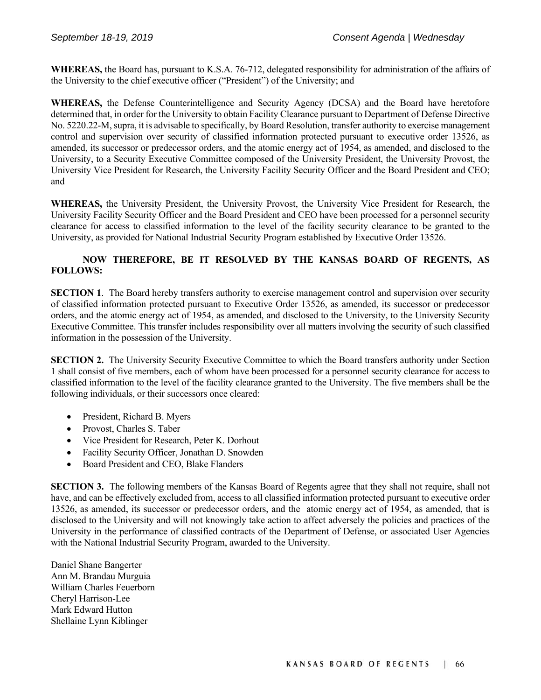**WHEREAS,** the Board has, pursuant to K.S.A. 76-712, delegated responsibility for administration of the affairs of the University to the chief executive officer ("President") of the University; and

**WHEREAS,** the Defense Counterintelligence and Security Agency (DCSA) and the Board have heretofore determined that, in order for the University to obtain Facility Clearance pursuant to Department of Defense Directive No. 5220.22-M, supra, it is advisable to specifically, by Board Resolution, transfer authority to exercise management control and supervision over security of classified information protected pursuant to executive order 13526, as amended, its successor or predecessor orders, and the atomic energy act of 1954, as amended, and disclosed to the University, to a Security Executive Committee composed of the University President, the University Provost, the University Vice President for Research, the University Facility Security Officer and the Board President and CEO; and

**WHEREAS,** the University President, the University Provost, the University Vice President for Research, the University Facility Security Officer and the Board President and CEO have been processed for a personnel security clearance for access to classified information to the level of the facility security clearance to be granted to the University, as provided for National Industrial Security Program established by Executive Order 13526.

# **NOW THEREFORE, BE IT RESOLVED BY THE KANSAS BOARD OF REGENTS, AS FOLLOWS:**

**SECTION 1.** The Board hereby transfers authority to exercise management control and supervision over security of classified information protected pursuant to Executive Order 13526, as amended, its successor or predecessor orders, and the atomic energy act of 1954, as amended, and disclosed to the University, to the University Security Executive Committee. This transfer includes responsibility over all matters involving the security of such classified information in the possession of the University.

**SECTION 2.** The University Security Executive Committee to which the Board transfers authority under Section 1 shall consist of five members, each of whom have been processed for a personnel security clearance for access to classified information to the level of the facility clearance granted to the University. The five members shall be the following individuals, or their successors once cleared:

- President, Richard B. Myers
- Provost, Charles S. Taber
- Vice President for Research, Peter K. Dorhout
- Facility Security Officer, Jonathan D. Snowden
- Board President and CEO, Blake Flanders

**SECTION 3.** The following members of the Kansas Board of Regents agree that they shall not require, shall not have, and can be effectively excluded from, access to all classified information protected pursuant to executive order 13526, as amended, its successor or predecessor orders, and the atomic energy act of 1954, as amended, that is disclosed to the University and will not knowingly take action to affect adversely the policies and practices of the University in the performance of classified contracts of the Department of Defense, or associated User Agencies with the National Industrial Security Program, awarded to the University.

Daniel Shane Bangerter Ann M. Brandau Murguia William Charles Feuerborn Cheryl Harrison-Lee Mark Edward Hutton Shellaine Lynn Kiblinger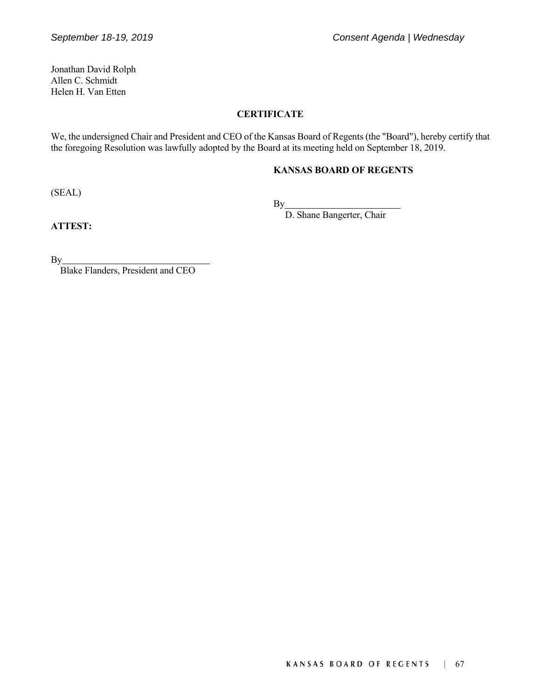Jonathan David Rolph Allen C. Schmidt Helen H. Van Etten

# **CERTIFICATE**

We, the undersigned Chair and President and CEO of the Kansas Board of Regents (the "Board"), hereby certify that the foregoing Resolution was lawfully adopted by the Board at its meeting held on September 18, 2019.

### **KANSAS BOARD OF REGENTS**

(SEAL)

By a structure of the structure of the structure of the structure of the structure of the structure of the structure of the structure of the structure of the structure of the structure of the structure of the structure of

D. Shane Bangerter, Chair

**ATTEST:**

By

Blake Flanders, President and CEO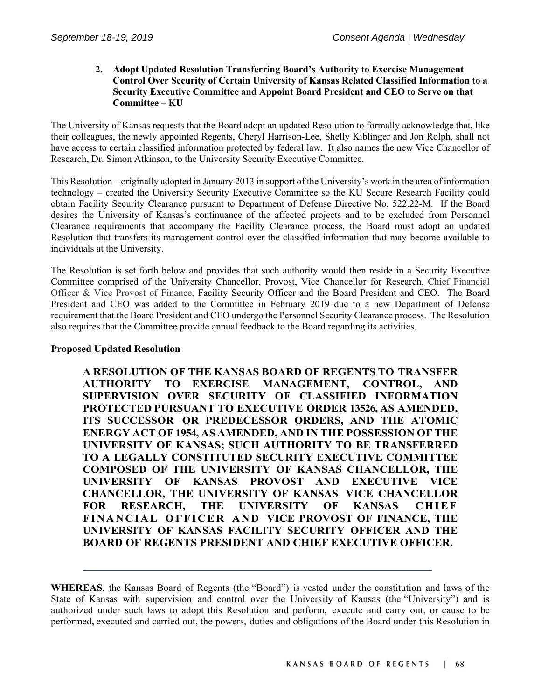### **2. Adopt Updated Resolution Transferring Board's Authority to Exercise Management Control Over Security of Certain University of Kansas Related Classified Information to a Security Executive Committee and Appoint Board President and CEO to Serve on that Committee – KU**

The University of Kansas requests that the Board adopt an updated Resolution to formally acknowledge that, like their colleagues, the newly appointed Regents, Cheryl Harrison-Lee, Shelly Kiblinger and Jon Rolph, shall not have access to certain classified information protected by federal law. It also names the new Vice Chancellor of Research, Dr. Simon Atkinson, to the University Security Executive Committee.

This Resolution – originally adopted in January 2013 in support of the University's work in the area of information technology – created the University Security Executive Committee so the KU Secure Research Facility could obtain Facility Security Clearance pursuant to Department of Defense Directive No. 522.22-M. If the Board desires the University of Kansas's continuance of the affected projects and to be excluded from Personnel Clearance requirements that accompany the Facility Clearance process, the Board must adopt an updated Resolution that transfers its management control over the classified information that may become available to individuals at the University.

The Resolution is set forth below and provides that such authority would then reside in a Security Executive Committee comprised of the University Chancellor, Provost, Vice Chancellor for Research, Chief Financial Officer & Vice Provost of Finance, Facility Security Officer and the Board President and CEO. The Board President and CEO was added to the Committee in February 2019 due to a new Department of Defense requirement that the Board President and CEO undergo the Personnel Security Clearance process. The Resolution also requires that the Committee provide annual feedback to the Board regarding its activities.

#### **Proposed Updated Resolution**

**A RESOLUTION OF THE KANSAS BOARD OF REGENTS TO TRANSFER AUTHORITY TO EXERCISE MANAGEMENT, CONTROL, AND SUPERVISION OVER SECURITY OF CLASSIFIED INFORMATION PROTECTED PURSUANT TO EXECUTIVE ORDER 13526, AS AMENDED, ITS SUCCESSOR OR PREDECESSOR ORDERS, AND THE ATOMIC ENERGY ACT OF 1954, AS AMENDED, AND IN THE POSSESSION OF THE UNIVERSITY OF KANSAS; SUCH AUTHORITY TO BE TRANSFERRED TO A LEGALLY CONSTITUTED SECURITY EXECUTIVE COMMITTEE COMPOSED OF THE UNIVERSITY OF KANSAS CHANCELLOR, THE UNIVERSITY OF KANSAS PROVOST AND EXECUTIVE VICE CHANCELLOR, THE UNIVERSITY OF KANSAS VICE CHANCELLOR FOR RESEARCH, THE UNIVERSITY OF KANSAS CHIEF** FINANCIAL OFFICER AND VICE PROVOST OF FINANCE, THE **UNIVERSITY OF KANSAS FACILITY SECURITY OFFICER AND THE BOARD OF REGENTS PRESIDENT AND CHIEF EXECUTIVE OFFICER.**

**WHEREAS**, the Kansas Board of Regents (the "Board") is vested under the constitution and laws of the State of Kansas with supervision and control over the University of Kansas (the "University") and is authorized under such laws to adopt this Resolution and perform, execute and carry out, or cause to be performed, executed and carried out, the powers, duties and obligations of the Board under this Resolution in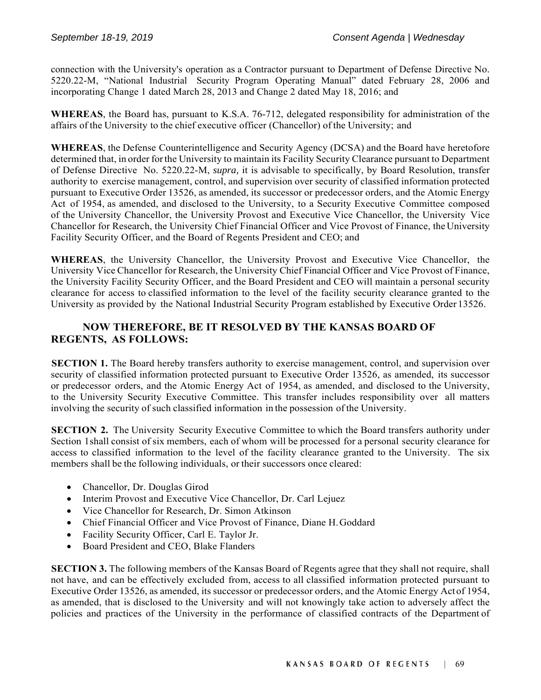connection with the University's operation as a Contractor pursuant to Department of Defense Directive No. 5220.22-M, "National Industrial Security Program Operating Manual" dated February 28, 2006 and incorporating Change 1 dated March 28, 2013 and Change 2 dated May 18, 2016; and

**WHEREAS**, the Board has, pursuant to K.S.A. 76-712, delegated responsibility for administration of the affairs of the University to the chief executive officer (Chancellor) of the University; and

**WHEREAS**, the Defense Counterintelligence and Security Agency (DCSA) and the Board have heretofore determined that, in order for the University to maintain its Facility Security Clearance pursuant to Department of Defense Directive No. 5220.22-M, *supra,* it is advisable to specifically, by Board Resolution, transfer authority to exercise management, control, and supervision over security of classified information protected pursuant to Executive Order 13526, as amended, its successor or predecessor orders, and the Atomic Energy Act of 1954, as amended, and disclosed to the University, to a Security Executive Committee composed of the University Chancellor, the University Provost and Executive Vice Chancellor, the University Vice Chancellor for Research, the University Chief Financial Officer and Vice Provost of Finance, the University Facility Security Officer, and the Board of Regents President and CEO; and

**WHEREAS**, the University Chancellor, the University Provost and Executive Vice Chancellor, the University Vice Chancellor for Research, the University Chief Financial Officer and Vice Provost of Finance, the University Facility Security Officer, and the Board President and CEO will maintain a personal security clearance for access to classified information to the level of the facility security clearance granted to the University as provided by the National Industrial Security Program established by Executive Order 13526.

# **NOW THEREFORE, BE IT RESOLVED BY THE KANSAS BOARD OF REGENTS, AS FOLLOWS:**

**SECTION 1.** The Board hereby transfers authority to exercise management, control, and supervision over security of classified information protected pursuant to Executive Order 13526, as amended, its successor or predecessor orders, and the Atomic Energy Act of 1954, as amended, and disclosed to the University, to the University Security Executive Committee. This transfer includes responsibility over all matters involving the security of such classified information in the possession of the University.

**SECTION 2.** The University Security Executive Committee to which the Board transfers authority under Section 1shall consist of six members, each of whom will be processed for a personal security clearance for access to classified information to the level of the facility clearance granted to the University. The six members shall be the following individuals, or their successors once cleared:

- Chancellor, Dr. Douglas Girod
- Interim Provost and Executive Vice Chancellor, Dr. Carl Lejuez
- Vice Chancellor for Research, Dr. Simon Atkinson
- Chief Financial Officer and Vice Provost of Finance, Diane H. Goddard
- Facility Security Officer, Carl E. Taylor Jr.
- Board President and CEO, Blake Flanders

**SECTION 3.** The following members of the Kansas Board of Regents agree that they shall not require, shall not have, and can be effectively excluded from, access to all classified information protected pursuant to Executive Order 13526, as amended, its successor or predecessor orders, and the Atomic Energy Act of 1954, as amended, that is disclosed to the University and will not knowingly take action to adversely affect the policies and practices of the University in the performance of classified contracts of the Department of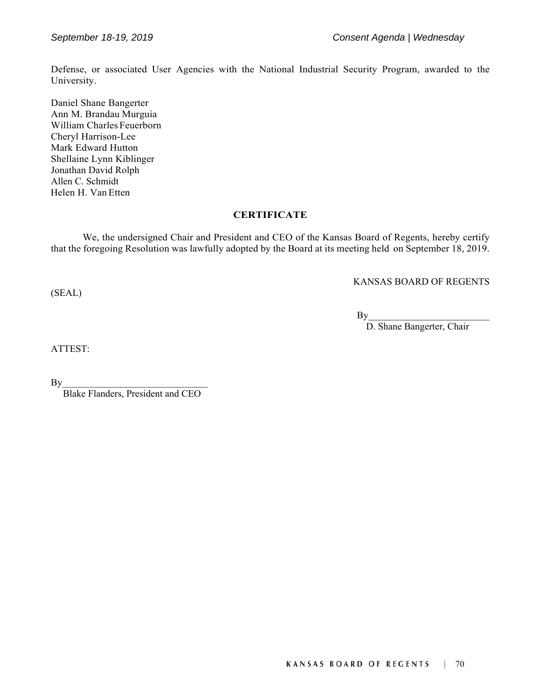Defense, or associated User Agencies with the National Industrial Security Program, awarded to the University.

Daniel Shane Bangerter Ann M. Brandau Murguia William Charles Feuerborn Cheryl Harrison-Lee Mark Edward Hutton Shellaine Lynn Kiblinger Jonathan David Rolph Allen C. Schmidt Helen H. Van Etten

#### **CERTIFICATE**

We, the undersigned Chair and President and CEO of the Kansas Board of Regents, hereby certify that the foregoing Resolution was lawfully adopted by the Board at its meeting held on September 18, 2019.

KANSAS BOARD OF REGENTS

 $\mathbf{By}$ 

D. Shane Bangerter, Chair

ATTEST:

(SEAL)

 $\mathbf{B}$ y

Blake Flanders, President and CEO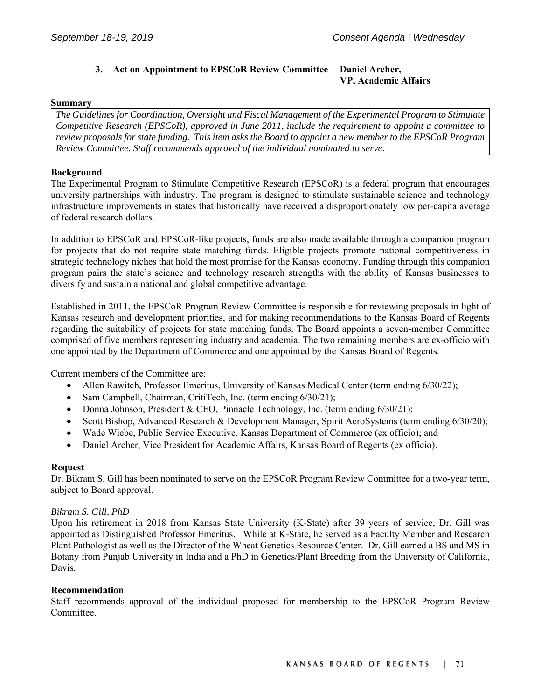#### **3. Act on Appointment to EPSCoR Review Committee Daniel Archer, VP, Academic Affairs**

#### **Summary**

*The Guidelines for Coordination, Oversight and Fiscal Management of the Experimental Program to Stimulate Competitive Research (EPSCoR), approved in June 2011, include the requirement to appoint a committee to review proposals for state funding. This item asks the Board to appoint a new member to the EPSCoR Program Review Committee. Staff recommends approval of the individual nominated to serve.* 

#### **Background**

The Experimental Program to Stimulate Competitive Research (EPSCoR) is a federal program that encourages university partnerships with industry. The program is designed to stimulate sustainable science and technology infrastructure improvements in states that historically have received a disproportionately low per-capita average of federal research dollars.

In addition to EPSCoR and EPSCoR-like projects, funds are also made available through a companion program for projects that do not require state matching funds. Eligible projects promote national competitiveness in strategic technology niches that hold the most promise for the Kansas economy. Funding through this companion program pairs the state's science and technology research strengths with the ability of Kansas businesses to diversify and sustain a national and global competitive advantage.

Established in 2011, the EPSCoR Program Review Committee is responsible for reviewing proposals in light of Kansas research and development priorities, and for making recommendations to the Kansas Board of Regents regarding the suitability of projects for state matching funds. The Board appoints a seven-member Committee comprised of five members representing industry and academia. The two remaining members are ex-officio with one appointed by the Department of Commerce and one appointed by the Kansas Board of Regents.

Current members of the Committee are:

- Allen Rawitch, Professor Emeritus, University of Kansas Medical Center (term ending 6/30/22);
- Sam Campbell, Chairman, CritiTech, Inc. (term ending 6/30/21);
- Donna Johnson, President & CEO, Pinnacle Technology, Inc. (term ending  $6/30/21$ );
- Scott Bishop, Advanced Research & Development Manager, Spirit AeroSystems (term ending 6/30/20);
- Wade Wiebe, Public Service Executive, Kansas Department of Commerce (ex officio); and
- Daniel Archer, Vice President for Academic Affairs, Kansas Board of Regents (ex officio).

#### **Request**

Dr. Bikram S. Gill has been nominated to serve on the EPSCoR Program Review Committee for a two-year term, subject to Board approval.

#### *Bikram S. Gill, PhD*

Upon his retirement in 2018 from Kansas State University (K-State) after 39 years of service, Dr. Gill was appointed as Distinguished Professor Emeritus. While at K-State, he served as a Faculty Member and Research Plant Pathologist as well as the Director of the Wheat Genetics Resource Center. Dr. Gill earned a BS and MS in Botany from Punjab University in India and a PhD in Genetics/Plant Breeding from the University of California, Davis.

#### **Recommendation**

Staff recommends approval of the individual proposed for membership to the EPSCoR Program Review Committee.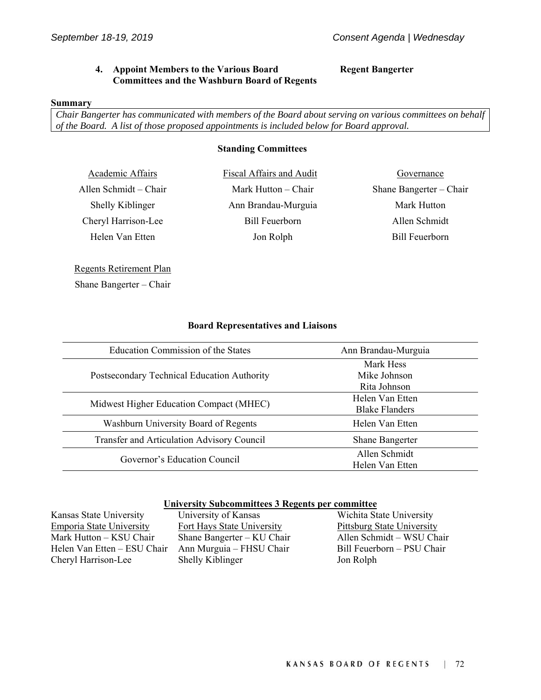**Regent Bangerter** 

#### **4. Appoint Members to the Various Board Committees and the Washburn Board of Regents**

#### **Summary**

*Chair Bangerter has communicated with members of the Board about serving on various committees on behalf of the Board. A list of those proposed appointments is included below for Board approval.* 

#### **Standing Committees**

Academic Affairs Fiscal Affairs and Audit Governance Shelly Kiblinger Ann Brandau-Murguia Mark Hutton Cheryl Harrison-Lee Bill Feuerborn Allen Schmidt Helen Van Etten aan deur van de Jon Rolph aan de Bill Feuerborn

Allen Schmidt – Chair Mark Hutton – Chair Shane Bangerter – Chair

Regents Retirement Plan Shane Bangerter – Chair

#### **Board Representatives and Liaisons**

| Education Commission of the States          | Ann Brandau-Murguia    |
|---------------------------------------------|------------------------|
|                                             | Mark Hess              |
| Postsecondary Technical Education Authority | Mike Johnson           |
|                                             | Rita Johnson           |
|                                             | Helen Van Etten        |
| Midwest Higher Education Compact (MHEC)     | <b>Blake Flanders</b>  |
| Washburn University Board of Regents        | Helen Van Etten        |
| Transfer and Articulation Advisory Council  | <b>Shane Bangerter</b> |
| Governor's Education Council                | Allen Schmidt          |
|                                             | Helen Van Etten        |

#### **University Subcommittees 3 Regents per committee**

Kansas State University University of Kansas Wichita State University Emporia State University Fort Hays State University Pittsburg State University Mark Hutton – KSU Chair Shane Bangerter – KU Chair Allen Schmidt – WSU Chair Helen Van Etten – ESU Chair Ann Murguia – FHSU Chair Bill Feuerborn – PSU Chair Cheryl Harrison-Lee Shelly Kiblinger Jon Rolph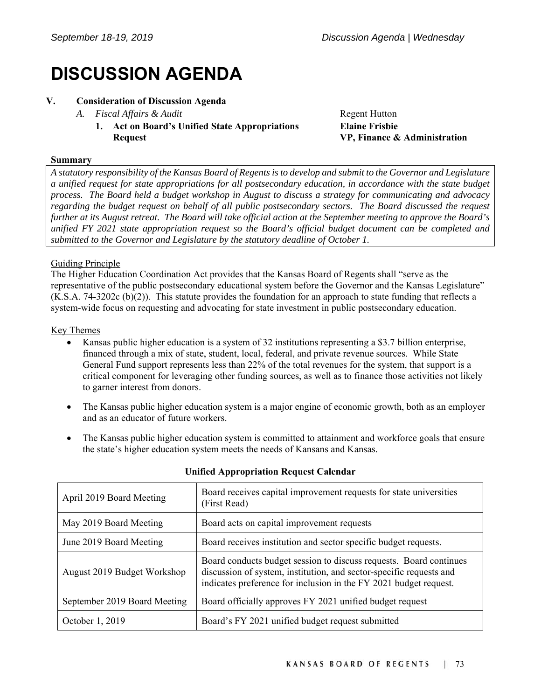## **DISCUSSION AGENDA**

#### **V. Consideration of Discussion Agenda**

#### *A. Fiscal Affairs & Audit* **Regent Hutton**

 **1. Act on Board's Unified State Appropriations Request** 

**Elaine Frisbie VP, Finance & Administration**

#### **Summary**

*A statutory responsibility of the Kansas Board of Regents is to develop and submit to the Governor and Legislature a unified request for state appropriations for all postsecondary education, in accordance with the state budget process. The Board held a budget workshop in August to discuss a strategy for communicating and advocacy regarding the budget request on behalf of all public postsecondary sectors. The Board discussed the request further at its August retreat. The Board will take official action at the September meeting to approve the Board's unified FY 2021 state appropriation request so the Board's official budget document can be completed and submitted to the Governor and Legislature by the statutory deadline of October 1.* 

#### Guiding Principle

The Higher Education Coordination Act provides that the Kansas Board of Regents shall "serve as the representative of the public postsecondary educational system before the Governor and the Kansas Legislature" (K.S.A. 74-3202c (b)(2)). This statute provides the foundation for an approach to state funding that reflects a system-wide focus on requesting and advocating for state investment in public postsecondary education.

#### Key Themes

- Kansas public higher education is a system of 32 institutions representing a \$3.7 billion enterprise, financed through a mix of state, student, local, federal, and private revenue sources. While State General Fund support represents less than 22% of the total revenues for the system, that support is a critical component for leveraging other funding sources, as well as to finance those activities not likely to garner interest from donors.
- The Kansas public higher education system is a major engine of economic growth, both as an employer and as an educator of future workers.
- The Kansas public higher education system is committed to attainment and workforce goals that ensure the state's higher education system meets the needs of Kansans and Kansas.

| April 2019 Board Meeting     | Board receives capital improvement requests for state universities<br>(First Read)                                                                                                                             |
|------------------------------|----------------------------------------------------------------------------------------------------------------------------------------------------------------------------------------------------------------|
| May 2019 Board Meeting       | Board acts on capital improvement requests                                                                                                                                                                     |
| June 2019 Board Meeting      | Board receives institution and sector specific budget requests.                                                                                                                                                |
| August 2019 Budget Workshop  | Board conducts budget session to discuss requests. Board continues<br>discussion of system, institution, and sector-specific requests and<br>indicates preference for inclusion in the FY 2021 budget request. |
| September 2019 Board Meeting | Board officially approves FY 2021 unified budget request                                                                                                                                                       |
| October 1, 2019              | Board's FY 2021 unified budget request submitted                                                                                                                                                               |

#### **Unified Appropriation Request Calendar**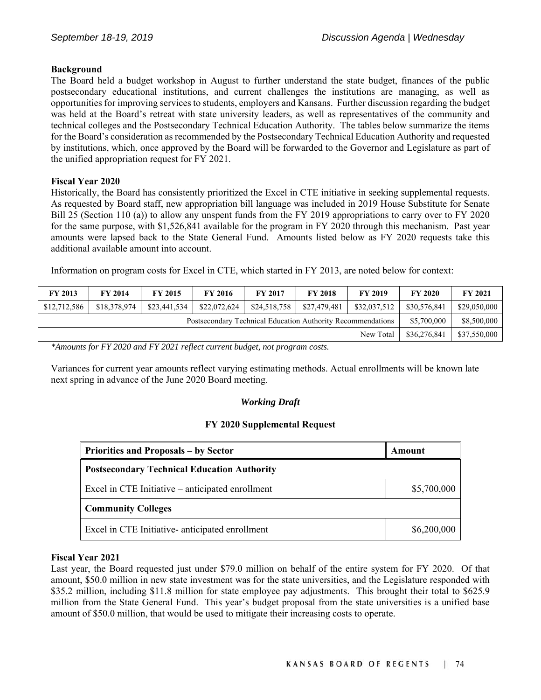#### **Background**

The Board held a budget workshop in August to further understand the state budget, finances of the public postsecondary educational institutions, and current challenges the institutions are managing, as well as opportunities for improving services to students, employers and Kansans. Further discussion regarding the budget was held at the Board's retreat with state university leaders, as well as representatives of the community and technical colleges and the Postsecondary Technical Education Authority. The tables below summarize the items for the Board's consideration as recommended by the Postsecondary Technical Education Authority and requested by institutions, which, once approved by the Board will be forwarded to the Governor and Legislature as part of the unified appropriation request for FY 2021.

#### **Fiscal Year 2020**

Historically, the Board has consistently prioritized the Excel in CTE initiative in seeking supplemental requests. As requested by Board staff, new appropriation bill language was included in 2019 House Substitute for Senate Bill 25 (Section 110 (a)) to allow any unspent funds from the FY 2019 appropriations to carry over to FY 2020 for the same purpose, with \$1,526,841 available for the program in FY 2020 through this mechanism. Past year amounts were lapsed back to the State General Fund. Amounts listed below as FY 2020 requests take this additional available amount into account.

Information on program costs for Excel in CTE, which started in FY 2013, are noted below for context:

| <b>FY 2013</b>                                              | <b>FY 2014</b> | <b>FY 2015</b> | <b>FY 2016</b> | <b>FY 2017</b> | <b>FY 2018</b> | <b>FY 2019</b> | <b>FY 2020</b> | <b>FY 2021</b> |
|-------------------------------------------------------------|----------------|----------------|----------------|----------------|----------------|----------------|----------------|----------------|
| \$12,712,586                                                | \$18,378,974   | \$23,441,534   | \$22,072,624   | \$24,518,758   | \$27,479,481   | \$32,037,512   | \$30,576,841   | \$29,050,000   |
| Postsecondary Technical Education Authority Recommendations |                |                |                |                |                | \$5,700,000    | \$8,500,000    |                |
| \$36,276,841<br>New Total                                   |                |                |                |                |                | \$37,550,000   |                |                |

*\*Amounts for FY 2020 and FY 2021 reflect current budget, not program costs.* 

Variances for current year amounts reflect varying estimating methods. Actual enrollments will be known late next spring in advance of the June 2020 Board meeting.

#### *Working Draft*

#### **FY 2020 Supplemental Request**

| <b>Priorities and Proposals - by Sector</b>        | Amount      |  |
|----------------------------------------------------|-------------|--|
| <b>Postsecondary Technical Education Authority</b> |             |  |
| Excel in CTE Initiative – anticipated enrollment   | \$5,700,000 |  |
| <b>Community Colleges</b>                          |             |  |
| Excel in CTE Initiative- anticipated enrollment    | \$6,200,000 |  |

#### **Fiscal Year 2021**

Last year, the Board requested just under \$79.0 million on behalf of the entire system for FY 2020. Of that amount, \$50.0 million in new state investment was for the state universities, and the Legislature responded with \$35.2 million, including \$11.8 million for state employee pay adjustments. This brought their total to \$625.9 million from the State General Fund. This year's budget proposal from the state universities is a unified base amount of \$50.0 million, that would be used to mitigate their increasing costs to operate.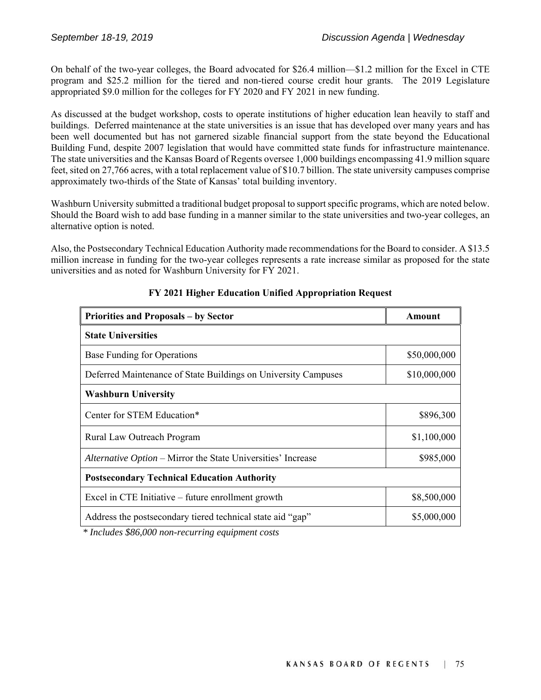On behalf of the two-year colleges, the Board advocated for \$26.4 million—\$1.2 million for the Excel in CTE program and \$25.2 million for the tiered and non-tiered course credit hour grants. The 2019 Legislature appropriated \$9.0 million for the colleges for FY 2020 and FY 2021 in new funding.

As discussed at the budget workshop, costs to operate institutions of higher education lean heavily to staff and buildings. Deferred maintenance at the state universities is an issue that has developed over many years and has been well documented but has not garnered sizable financial support from the state beyond the Educational Building Fund, despite 2007 legislation that would have committed state funds for infrastructure maintenance. The state universities and the Kansas Board of Regents oversee 1,000 buildings encompassing 41.9 million square feet, sited on 27,766 acres, with a total replacement value of \$10.7 billion. The state university campuses comprise approximately two-thirds of the State of Kansas' total building inventory.

Washburn University submitted a traditional budget proposal to support specific programs, which are noted below. Should the Board wish to add base funding in a manner similar to the state universities and two-year colleges, an alternative option is noted.

Also, the Postsecondary Technical Education Authority made recommendations for the Board to consider. A \$13.5 million increase in funding for the two-year colleges represents a rate increase similar as proposed for the state universities and as noted for Washburn University for FY 2021.

| <b>Priorities and Proposals - by Sector</b>                    | Amount       |  |
|----------------------------------------------------------------|--------------|--|
| <b>State Universities</b>                                      |              |  |
| Base Funding for Operations                                    | \$50,000,000 |  |
| Deferred Maintenance of State Buildings on University Campuses | \$10,000,000 |  |
| <b>Washburn University</b>                                     |              |  |
| Center for STEM Education*                                     | \$896,300    |  |
| Rural Law Outreach Program                                     | \$1,100,000  |  |
| Alternative Option – Mirror the State Universities' Increase   | \$985,000    |  |
| <b>Postsecondary Technical Education Authority</b>             |              |  |
| Excel in CTE Initiative – future enrollment growth             | \$8,500,000  |  |
| Address the postsecondary tiered technical state aid "gap"     | \$5,000,000  |  |

#### **FY 2021 Higher Education Unified Appropriation Request**

 *\* Includes \$86,000 non-recurring equipment costs*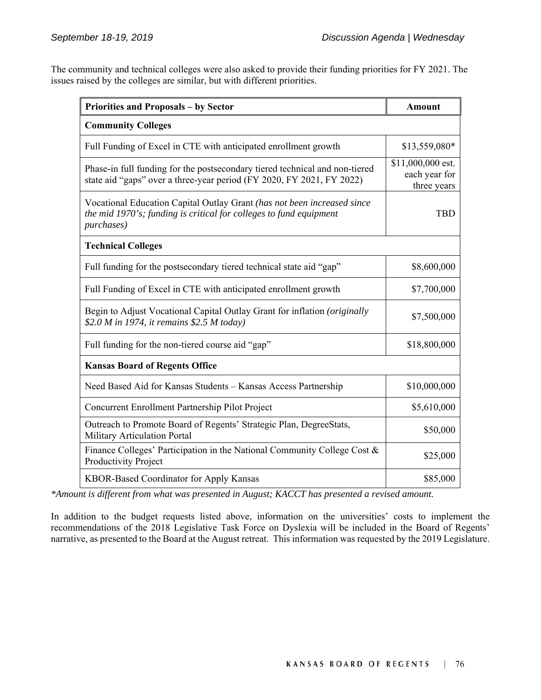The community and technical colleges were also asked to provide their funding priorities for FY 2021. The issues raised by the colleges are similar, but with different priorities.

| Priorities and Proposals - by Sector                                                                                                                        | <b>Amount</b>                                     |
|-------------------------------------------------------------------------------------------------------------------------------------------------------------|---------------------------------------------------|
| <b>Community Colleges</b>                                                                                                                                   |                                                   |
| Full Funding of Excel in CTE with anticipated enrollment growth                                                                                             | \$13,559,080*                                     |
| Phase-in full funding for the postsecondary tiered technical and non-tiered<br>state aid "gaps" over a three-year period (FY 2020, FY 2021, FY 2022)        | \$11,000,000 est.<br>each year for<br>three years |
| Vocational Education Capital Outlay Grant (has not been increased since<br>the mid 1970's; funding is critical for colleges to fund equipment<br>purchases) | <b>TBD</b>                                        |
| <b>Technical Colleges</b>                                                                                                                                   |                                                   |
| Full funding for the postsecondary tiered technical state aid "gap"                                                                                         | \$8,600,000                                       |
| Full Funding of Excel in CTE with anticipated enrollment growth                                                                                             | \$7,700,000                                       |
| Begin to Adjust Vocational Capital Outlay Grant for inflation (originally<br>\$2.0 M in 1974, it remains \$2.5 M today)                                     | \$7,500,000                                       |
| Full funding for the non-tiered course aid "gap"                                                                                                            | \$18,800,000                                      |
| <b>Kansas Board of Regents Office</b>                                                                                                                       |                                                   |
| Need Based Aid for Kansas Students - Kansas Access Partnership                                                                                              | \$10,000,000                                      |
| Concurrent Enrollment Partnership Pilot Project                                                                                                             | \$5,610,000                                       |
| Outreach to Promote Board of Regents' Strategic Plan, DegreeStats,<br>Military Articulation Portal                                                          | \$50,000                                          |
| Finance Colleges' Participation in the National Community College Cost &<br>Productivity Project                                                            | \$25,000                                          |
| KBOR-Based Coordinator for Apply Kansas                                                                                                                     | \$85,000                                          |

*\*Amount is different from what was presented in August; KACCT has presented a revised amount.* 

In addition to the budget requests listed above, information on the universities' costs to implement the recommendations of the 2018 Legislative Task Force on Dyslexia will be included in the Board of Regents' narrative, as presented to the Board at the August retreat. This information was requested by the 2019 Legislature.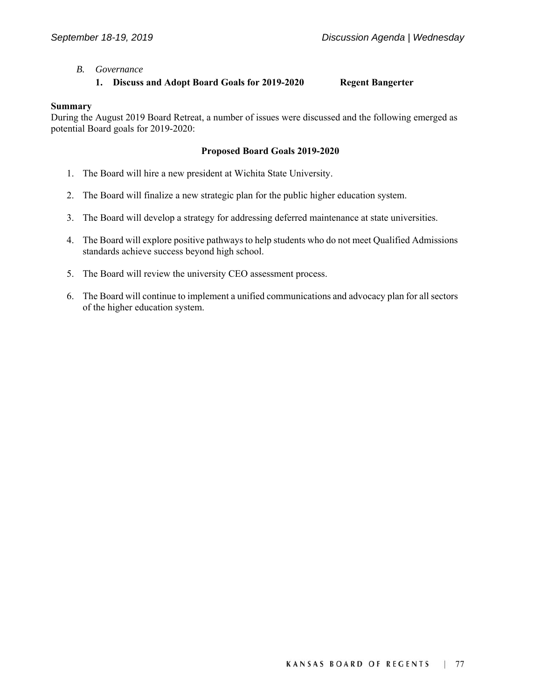#### *B. Governance*

#### **1. Discuss and Adopt Board Goals for 2019-2020 Regent Bangerter**

#### **Summary**

During the August 2019 Board Retreat, a number of issues were discussed and the following emerged as potential Board goals for 2019-2020:

#### **Proposed Board Goals 2019-2020**

- 1. The Board will hire a new president at Wichita State University.
- 2. The Board will finalize a new strategic plan for the public higher education system.
- 3. The Board will develop a strategy for addressing deferred maintenance at state universities.
- 4. The Board will explore positive pathways to help students who do not meet Qualified Admissions standards achieve success beyond high school.
- 5. The Board will review the university CEO assessment process.
- 6. The Board will continue to implement a unified communications and advocacy plan for all sectors of the higher education system.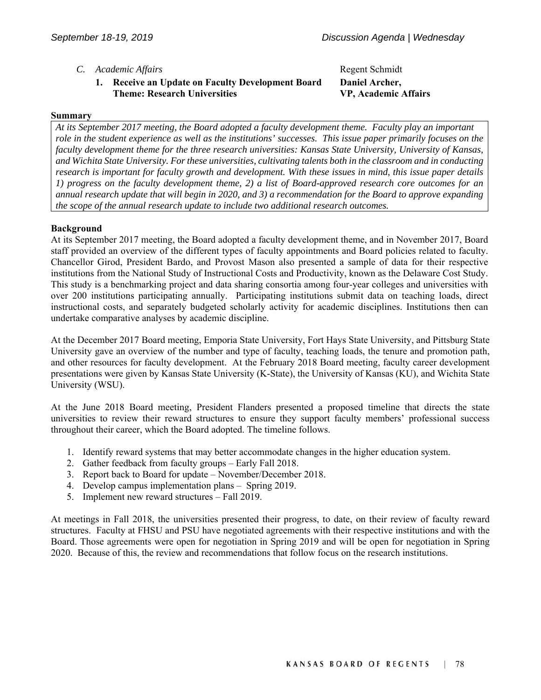- *C. Academic Affairs* **Regent Schmidt Regent Schmidt** 
	- **1. Receive an Update on Faculty Development Board Theme: Research Universities**

### **Daniel Archer, VP, Academic Affairs**

#### **Summary**

*At its September 2017 meeting, the Board adopted a faculty development theme. Faculty play an important role in the student experience as well as the institutions' successes. This issue paper primarily focuses on the faculty development theme for the three research universities: Kansas State University, University of Kansas, and Wichita State University. For these universities, cultivating talents both in the classroom and in conducting research is important for faculty growth and development. With these issues in mind, this issue paper details 1) progress on the faculty development theme, 2) a list of Board-approved research core outcomes for an annual research update that will begin in 2020, and 3) a recommendation for the Board to approve expanding the scope of the annual research update to include two additional research outcomes.* 

#### **Background**

At its September 2017 meeting, the Board adopted a faculty development theme, and in November 2017, Board staff provided an overview of the different types of faculty appointments and Board policies related to faculty. Chancellor Girod, President Bardo, and Provost Mason also presented a sample of data for their respective institutions from the National Study of Instructional Costs and Productivity, known as the Delaware Cost Study. This study is a benchmarking project and data sharing consortia among four-year colleges and universities with over 200 institutions participating annually. Participating institutions submit data on teaching loads, direct instructional costs, and separately budgeted scholarly activity for academic disciplines. Institutions then can undertake comparative analyses by academic discipline.

At the December 2017 Board meeting, Emporia State University, Fort Hays State University, and Pittsburg State University gave an overview of the number and type of faculty, teaching loads, the tenure and promotion path, and other resources for faculty development. At the February 2018 Board meeting, faculty career development presentations were given by Kansas State University (K-State), the University of Kansas (KU), and Wichita State University (WSU).

At the June 2018 Board meeting, President Flanders presented a proposed timeline that directs the state universities to review their reward structures to ensure they support faculty members' professional success throughout their career, which the Board adopted. The timeline follows.

- 1. Identify reward systems that may better accommodate changes in the higher education system.
- 2. Gather feedback from faculty groups Early Fall 2018.
- 3. Report back to Board for update November/December 2018.
- 4. Develop campus implementation plans Spring 2019.
- 5. Implement new reward structures Fall 2019.

At meetings in Fall 2018, the universities presented their progress, to date, on their review of faculty reward structures. Faculty at FHSU and PSU have negotiated agreements with their respective institutions and with the Board. Those agreements were open for negotiation in Spring 2019 and will be open for negotiation in Spring 2020. Because of this, the review and recommendations that follow focus on the research institutions.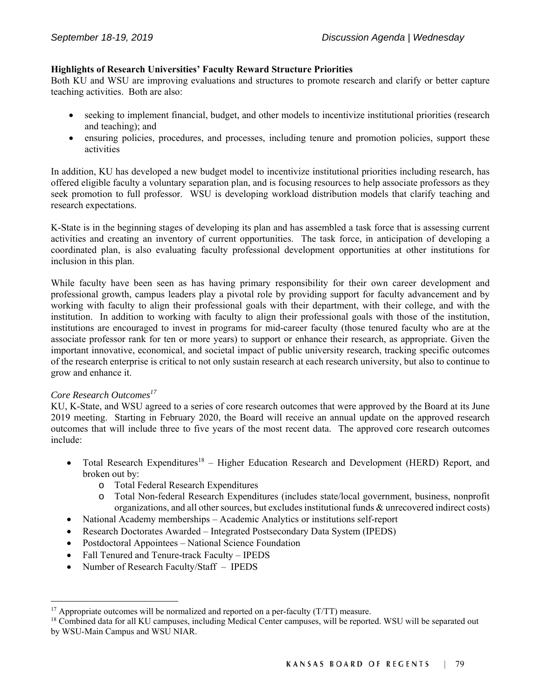#### **Highlights of Research Universities' Faculty Reward Structure Priorities**

Both KU and WSU are improving evaluations and structures to promote research and clarify or better capture teaching activities. Both are also:

- seeking to implement financial, budget, and other models to incentivize institutional priorities (research and teaching); and
- ensuring policies, procedures, and processes, including tenure and promotion policies, support these activities

In addition, KU has developed a new budget model to incentivize institutional priorities including research, has offered eligible faculty a voluntary separation plan, and is focusing resources to help associate professors as they seek promotion to full professor. WSU is developing workload distribution models that clarify teaching and research expectations.

K-State is in the beginning stages of developing its plan and has assembled a task force that is assessing current activities and creating an inventory of current opportunities. The task force, in anticipation of developing a coordinated plan, is also evaluating faculty professional development opportunities at other institutions for inclusion in this plan.

While faculty have been seen as has having primary responsibility for their own career development and professional growth, campus leaders play a pivotal role by providing support for faculty advancement and by working with faculty to align their professional goals with their department, with their college, and with the institution. In addition to working with faculty to align their professional goals with those of the institution, institutions are encouraged to invest in programs for mid-career faculty (those tenured faculty who are at the associate professor rank for ten or more years) to support or enhance their research, as appropriate. Given the important innovative, economical, and societal impact of public university research, tracking specific outcomes of the research enterprise is critical to not only sustain research at each research university, but also to continue to grow and enhance it.

#### *Core Research Outcomes17*

l

KU, K-State, and WSU agreed to a series of core research outcomes that were approved by the Board at its June 2019 meeting. Starting in February 2020, the Board will receive an annual update on the approved research outcomes that will include three to five years of the most recent data. The approved core research outcomes include:

- Total Research Expenditures<sup>18</sup> Higher Education Research and Development (HERD) Report, and broken out by:
	- o Total Federal Research Expenditures
	- o Total Non-federal Research Expenditures (includes state/local government, business, nonprofit organizations, and all other sources, but excludes institutional funds & unrecovered indirect costs)
- National Academy memberships Academic Analytics or institutions self-report
- Research Doctorates Awarded Integrated Postsecondary Data System (IPEDS)
- Postdoctoral Appointees National Science Foundation
- Fall Tenured and Tenure-track Faculty IPEDS
- Number of Research Faculty/Staff IPEDS

<sup>&</sup>lt;sup>17</sup> Appropriate outcomes will be normalized and reported on a per-faculty  $(T/T)$  measure.

<sup>&</sup>lt;sup>18</sup> Combined data for all KU campuses, including Medical Center campuses, will be reported. WSU will be separated out by WSU-Main Campus and WSU NIAR.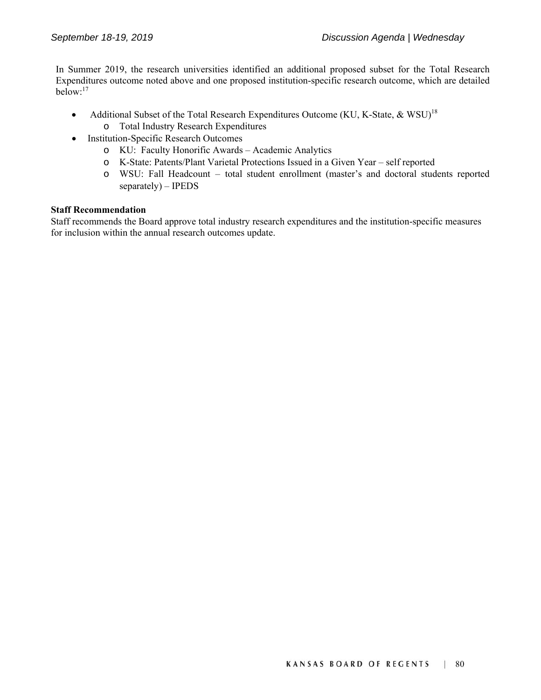In Summer 2019, the research universities identified an additional proposed subset for the Total Research Expenditures outcome noted above and one proposed institution-specific research outcome, which are detailed  $below<sup>.17</sup>$ 

- Additional Subset of the Total Research Expenditures Outcome (KU, K-State, & WSU)<sup>18</sup>
	- o Total Industry Research Expenditures
- Institution-Specific Research Outcomes
	- o KU: Faculty Honorific Awards Academic Analytics
	- o K-State: Patents/Plant Varietal Protections Issued in a Given Year self reported
	- o WSU: Fall Headcount total student enrollment (master's and doctoral students reported separately) – IPEDS

#### **Staff Recommendation**

Staff recommends the Board approve total industry research expenditures and the institution-specific measures for inclusion within the annual research outcomes update.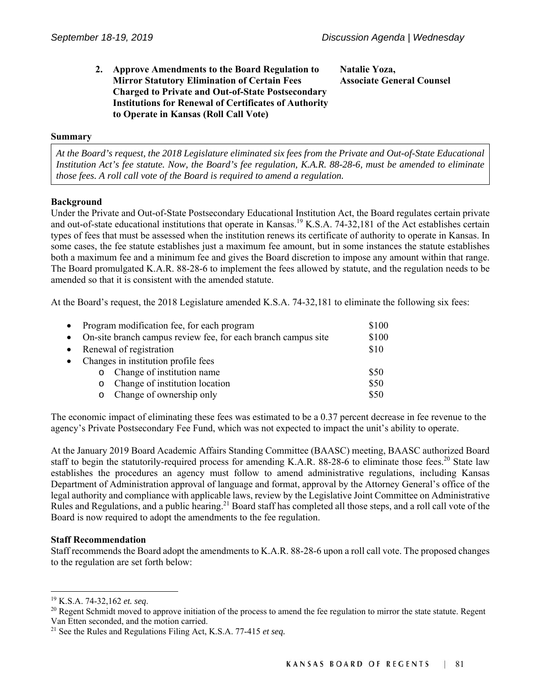#### **2. Approve Amendments to the Board Regulation to Mirror Statutory Elimination of Certain Fees Charged to Private and Out-of-State Postsecondary Institutions for Renewal of Certificates of Authority to Operate in Kansas (Roll Call Vote)**

**Natalie Yoza, Associate General Counsel** 

#### **Summary**

*At the Board's request, the 2018 Legislature eliminated six fees from the Private and Out-of-State Educational Institution Act's fee statute. Now, the Board's fee regulation, K.A.R. 88-28-6, must be amended to eliminate those fees. A roll call vote of the Board is required to amend a regulation.* 

#### **Background**

Under the Private and Out-of-State Postsecondary Educational Institution Act, the Board regulates certain private and out-of-state educational institutions that operate in Kansas.<sup>19</sup> K.S.A. 74-32,181 of the Act establishes certain types of fees that must be assessed when the institution renews its certificate of authority to operate in Kansas. In some cases, the fee statute establishes just a maximum fee amount, but in some instances the statute establishes both a maximum fee and a minimum fee and gives the Board discretion to impose any amount within that range. The Board promulgated K.A.R. 88-28-6 to implement the fees allowed by statute, and the regulation needs to be amended so that it is consistent with the amended statute.

At the Board's request, the 2018 Legislature amended K.S.A. 74-32,181 to eliminate the following six fees:

| • Program modification fee, for each program                    |                                  | \$100 |
|-----------------------------------------------------------------|----------------------------------|-------|
| • On-site branch campus review fee, for each branch campus site |                                  | \$100 |
| • Renewal of registration                                       |                                  | \$10  |
| • Changes in institution profile fees                           |                                  |       |
|                                                                 | o Change of institution name     | \$50  |
|                                                                 | o Change of institution location | \$50  |
|                                                                 | o Change of ownership only       | \$50  |

The economic impact of eliminating these fees was estimated to be a 0.37 percent decrease in fee revenue to the agency's Private Postsecondary Fee Fund, which was not expected to impact the unit's ability to operate.

At the January 2019 Board Academic Affairs Standing Committee (BAASC) meeting, BAASC authorized Board staff to begin the statutorily-required process for amending K.A.R. 88-28-6 to eliminate those fees.<sup>20</sup> State law establishes the procedures an agency must follow to amend administrative regulations, including Kansas Department of Administration approval of language and format, approval by the Attorney General's office of the legal authority and compliance with applicable laws, review by the Legislative Joint Committee on Administrative Rules and Regulations, and a public hearing.<sup>21</sup> Board staff has completed all those steps, and a roll call vote of the Board is now required to adopt the amendments to the fee regulation.

#### **Staff Recommendation**

Staff recommends the Board adopt the amendments to K.A.R. 88-28-6 upon a roll call vote. The proposed changes to the regulation are set forth below:

l

<sup>&</sup>lt;sup>19</sup> K.S.A. 74-32,162 *et. seq.*<br><sup>20</sup> Regent Schmidt moved to approve initiation of the process to amend the fee regulation to mirror the state statute. Regent Van Etten seconded, and the motion carried.

<sup>21</sup> See the Rules and Regulations Filing Act, K.S.A. 77-415 *et seq.*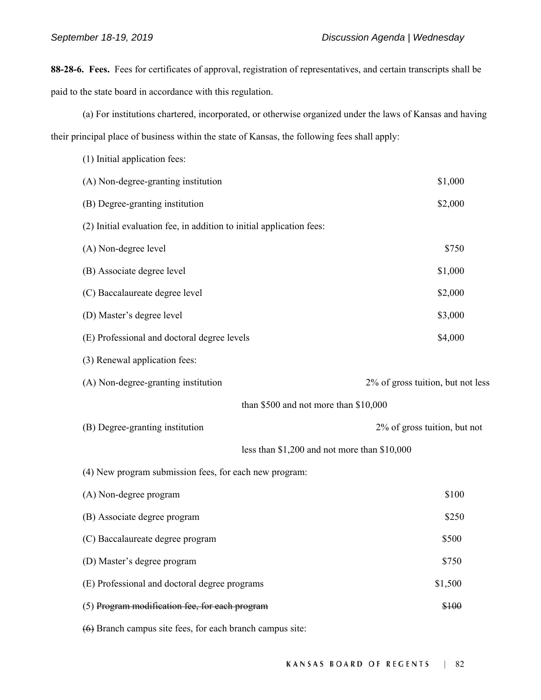**88-28-6. Fees.** Fees for certificates of approval, registration of representatives, and certain transcripts shall be paid to the state board in accordance with this regulation.

(a) For institutions chartered, incorporated, or otherwise organized under the laws of Kansas and having their principal place of business within the state of Kansas, the following fees shall apply:

| (1) Initial application fees:                                        |                                   |
|----------------------------------------------------------------------|-----------------------------------|
| (A) Non-degree-granting institution                                  | \$1,000                           |
| (B) Degree-granting institution                                      | \$2,000                           |
| (2) Initial evaluation fee, in addition to initial application fees: |                                   |
| (A) Non-degree level                                                 | \$750                             |
| (B) Associate degree level                                           | \$1,000                           |
| (C) Baccalaureate degree level                                       | \$2,000                           |
| (D) Master's degree level                                            | \$3,000                           |
| (E) Professional and doctoral degree levels                          | \$4,000                           |
| (3) Renewal application fees:                                        |                                   |
| (A) Non-degree-granting institution                                  | 2% of gross tuition, but not less |
| than \$500 and not more than \$10,000                                |                                   |
| (B) Degree-granting institution                                      | 2% of gross tuition, but not      |
| less than \$1,200 and not more than \$10,000                         |                                   |
| (4) New program submission fees, for each new program:               |                                   |
| (A) Non-degree program                                               | \$100                             |
| (B) Associate degree program                                         | \$250                             |
| (C) Baccalaureate degree program                                     | \$500                             |
| (D) Master's degree program                                          | \$750                             |
| (E) Professional and doctoral degree programs                        | \$1,500                           |
| (5) Program modification fee, for each program                       | \$100                             |
| $(6)$ Branch campus site fees, for each branch campus site:          |                                   |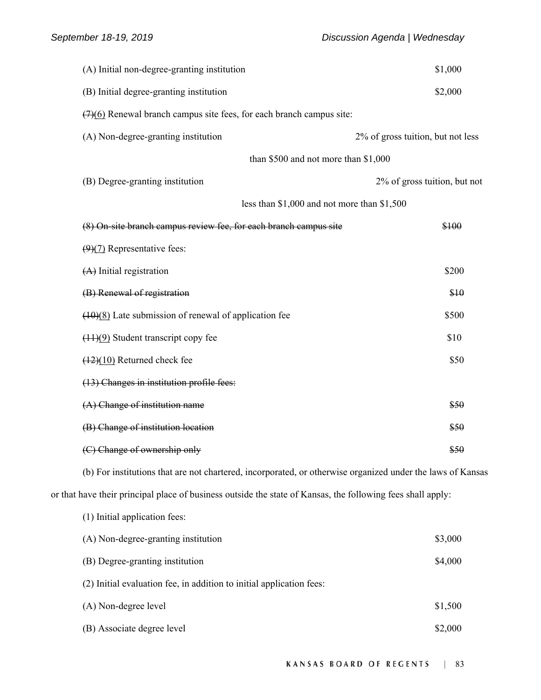| (A) Initial non-degree-granting institution                                                                 | \$1,000                           |
|-------------------------------------------------------------------------------------------------------------|-----------------------------------|
| (B) Initial degree-granting institution                                                                     | \$2,000                           |
| $\left(\frac{7}{6}\right)$ Renewal branch campus site fees, for each branch campus site:                    |                                   |
| (A) Non-degree-granting institution                                                                         | 2% of gross tuition, but not less |
| than \$500 and not more than \$1,000                                                                        |                                   |
| (B) Degree-granting institution                                                                             | 2% of gross tuition, but not      |
| less than \$1,000 and not more than \$1,500                                                                 |                                   |
| (8) On-site branch campus review fee, for each branch campus site                                           | \$100                             |
| $(9)(7)$ Representative fees:                                                                               |                                   |
| $(A)$ Initial registration                                                                                  | \$200                             |
| (B) Renewal of registration                                                                                 | \$10                              |
| $(10)(8)$ Late submission of renewal of application fee                                                     | \$500                             |
| $(11)(9)$ Student transcript copy fee                                                                       | \$10                              |
| $(12)(10)$ Returned check fee                                                                               | \$50                              |
| (13) Changes in institution profile fees:                                                                   |                                   |
| $(A)$ Change of institution name                                                                            | \$50                              |
| (B) Change of institution location                                                                          | \$50                              |
| (C) Change of ownership only                                                                                | \$50                              |
| (b) For institutions that are not chartered, incorporated, or otherwise organized under the laws of Kansas  |                                   |
| or that have their principal place of business outside the state of Kansas, the following fees shall apply: |                                   |
| (1) Initial application fees:                                                                               |                                   |
| (A) Non-degree-granting institution                                                                         | \$3,000                           |
| (B) Degree-granting institution                                                                             | \$4,000                           |
| (2) Initial evaluation fee, in addition to initial application fees:                                        |                                   |
| (A) Non-degree level                                                                                        | \$1,500                           |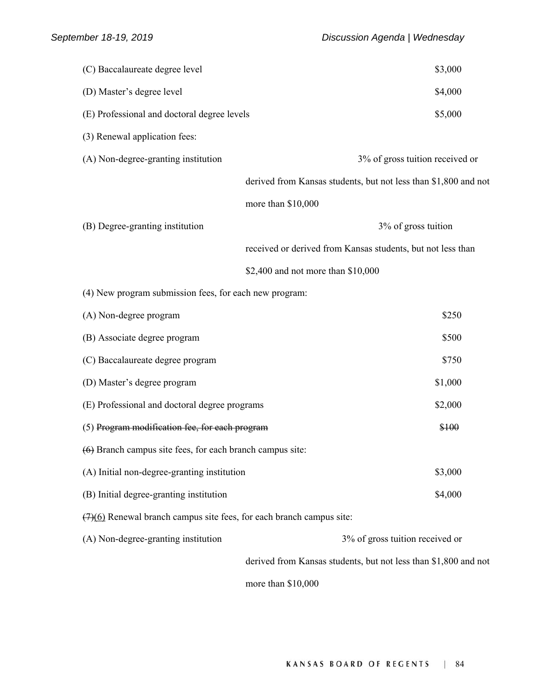| (C) Baccalaureate degree level                                                           | \$3,000                                                         |
|------------------------------------------------------------------------------------------|-----------------------------------------------------------------|
| (D) Master's degree level                                                                | \$4,000                                                         |
| (E) Professional and doctoral degree levels                                              | \$5,000                                                         |
| (3) Renewal application fees:                                                            |                                                                 |
| (A) Non-degree-granting institution                                                      | 3% of gross tuition received or                                 |
|                                                                                          | derived from Kansas students, but not less than \$1,800 and not |
|                                                                                          | more than \$10,000                                              |
| (B) Degree-granting institution                                                          | 3% of gross tuition                                             |
|                                                                                          | received or derived from Kansas students, but not less than     |
|                                                                                          | \$2,400 and not more than \$10,000                              |
| (4) New program submission fees, for each new program:                                   |                                                                 |
| (A) Non-degree program                                                                   | \$250                                                           |
| (B) Associate degree program                                                             | \$500                                                           |
| (C) Baccalaureate degree program                                                         | \$750                                                           |
| (D) Master's degree program                                                              | \$1,000                                                         |
| (E) Professional and doctoral degree programs                                            | \$2,000                                                         |
| (5) Program modification fee, for each program                                           | \$100                                                           |
| $(6)$ Branch campus site fees, for each branch campus site:                              |                                                                 |
| (A) Initial non-degree-granting institution                                              | \$3,000                                                         |
| (B) Initial degree-granting institution                                                  | \$4,000                                                         |
| $\left(\frac{7}{6}\right)$ Renewal branch campus site fees, for each branch campus site: |                                                                 |
| (A) Non-degree-granting institution                                                      | 3% of gross tuition received or                                 |
|                                                                                          | derived from Kansas students, but not less than \$1,800 and not |
|                                                                                          | more than \$10,000                                              |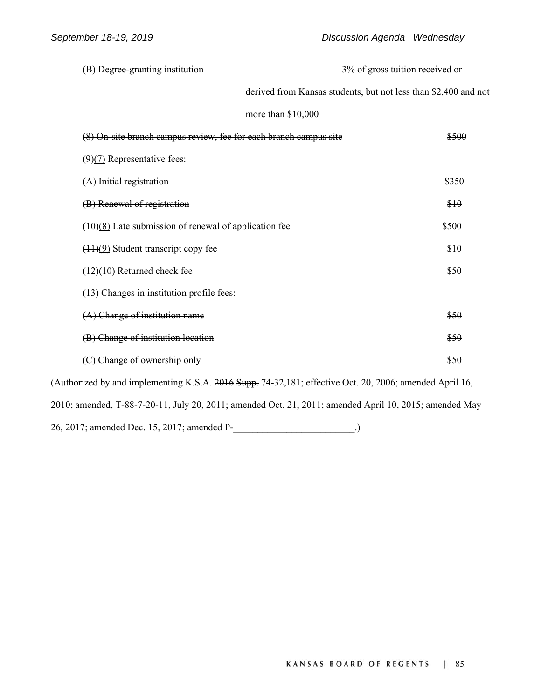(B) Degree-granting institution 3% of gross tuition received or derived from Kansas students, but not less than \$2,400 and not more than \$10,000 (8) On-site branch campus review, fee for each branch campus site \$500  $(9)(7)$  Representative fees:  $(A)$  Initial registration  $$350$ (B) Renewal of registration  $$10$  $(10)(8)$  Late submission of renewal of application fee  $$500$  $(11)(9)$  Student transcript copy fee  $$10$  $\frac{(12)(10)}{12}$  Returned check fee (13) Changes in institution profile fees:  $(A)$  Change of institution name  $$50$ (B) Change of institution location  $\overline{650}$ (C) Change of ownership only  $$50$ (Authorized by and implementing K.S.A. 2016 Supp. 74-32,181; effective Oct. 20, 2006; amended April 16, 2010; amended, T-88-7-20-11, July 20, 2011; amended Oct. 21, 2011; amended April 10, 2015; amended May

26, 2017; amended Dec. 15, 2017; amended P-\_\_\_\_\_\_\_\_\_\_\_\_\_\_\_\_\_\_\_\_\_\_\_\_\_.)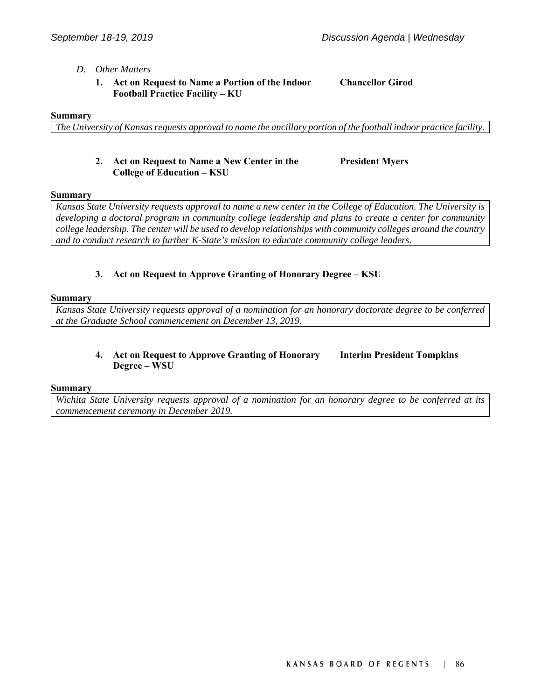#### *D. Other Matters*

 **1. Act on Request to Name a Portion of the Indoor Football Practice Facility – KU** 

**Chancellor Girod** 

#### **Summary**

*The University of Kansas requests approval to name the ancillary portion of the football indoor practice facility.*

#### **2. Act on Request to Name a New Center in the College of Education – KSU**

**President Myers** 

#### **Summary**

*Kansas State University requests approval to name a new center in the College of Education. The University is developing a doctoral program in community college leadership and plans to create a center for community college leadership. The center will be used to develop relationships with community colleges around the country and to conduct research to further K-State's mission to educate community college leaders.* 

#### **3. Act on Request to Approve Granting of Honorary Degree – KSU**

#### **Summary**

*Kansas State University requests approval of a nomination for an honorary doctorate degree to be conferred at the Graduate School commencement on December 13, 2019.*

#### **4. Act on Request to Approve Granting of Honorary Degree – WSU Interim President Tompkins**

#### **Summary**

*Wichita State University requests approval of a nomination for an honorary degree to be conferred at its commencement ceremony in December 2019.*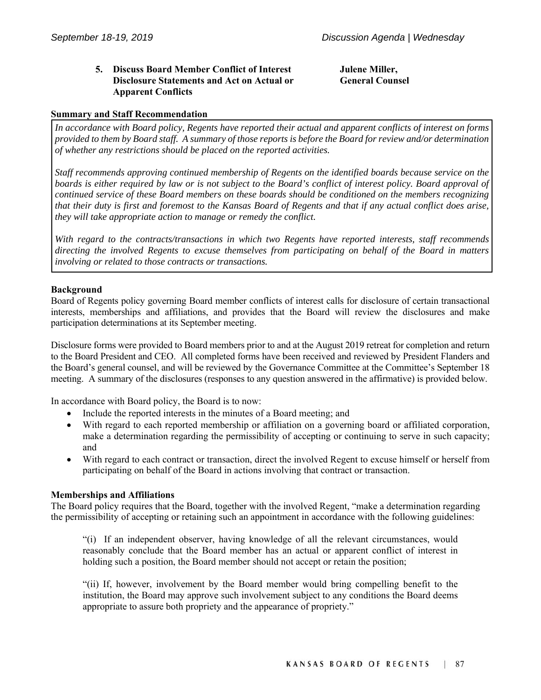#### **5. Discuss Board Member Conflict of Interest Disclosure Statements and Act on Actual or Apparent Conflicts**

**Julene Miller, General Counsel** 

#### **Summary and Staff Recommendation**

*In accordance with Board policy, Regents have reported their actual and apparent conflicts of interest on forms provided to them by Board staff. A summary of those reports is before the Board for review and/or determination of whether any restrictions should be placed on the reported activities.* 

*Staff recommends approving continued membership of Regents on the identified boards because service on the boards is either required by law or is not subject to the Board's conflict of interest policy. Board approval of continued service of these Board members on these boards should be conditioned on the members recognizing that their duty is first and foremost to the Kansas Board of Regents and that if any actual conflict does arise, they will take appropriate action to manage or remedy the conflict.* 

*With regard to the contracts/transactions in which two Regents have reported interests, staff recommends directing the involved Regents to excuse themselves from participating on behalf of the Board in matters involving or related to those contracts or transactions.* 

#### **Background**

Board of Regents policy governing Board member conflicts of interest calls for disclosure of certain transactional interests, memberships and affiliations, and provides that the Board will review the disclosures and make participation determinations at its September meeting.

Disclosure forms were provided to Board members prior to and at the August 2019 retreat for completion and return to the Board President and CEO. All completed forms have been received and reviewed by President Flanders and the Board's general counsel, and will be reviewed by the Governance Committee at the Committee's September 18 meeting. A summary of the disclosures (responses to any question answered in the affirmative) is provided below.

In accordance with Board policy, the Board is to now:

- Include the reported interests in the minutes of a Board meeting; and
- With regard to each reported membership or affiliation on a governing board or affiliated corporation, make a determination regarding the permissibility of accepting or continuing to serve in such capacity; and
- With regard to each contract or transaction, direct the involved Regent to excuse himself or herself from participating on behalf of the Board in actions involving that contract or transaction.

#### **Memberships and Affiliations**

The Board policy requires that the Board, together with the involved Regent, "make a determination regarding the permissibility of accepting or retaining such an appointment in accordance with the following guidelines:

"(i) If an independent observer, having knowledge of all the relevant circumstances, would reasonably conclude that the Board member has an actual or apparent conflict of interest in holding such a position, the Board member should not accept or retain the position;

"(ii) If, however, involvement by the Board member would bring compelling benefit to the institution, the Board may approve such involvement subject to any conditions the Board deems appropriate to assure both propriety and the appearance of propriety."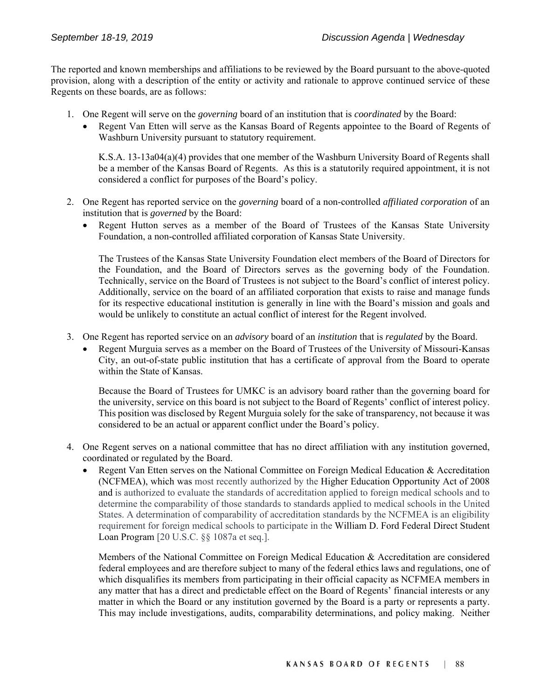The reported and known memberships and affiliations to be reviewed by the Board pursuant to the above-quoted provision, along with a description of the entity or activity and rationale to approve continued service of these Regents on these boards, are as follows:

- 1. One Regent will serve on the *governing* board of an institution that is *coordinated* by the Board:
	- Regent Van Etten will serve as the Kansas Board of Regents appointee to the Board of Regents of Washburn University pursuant to statutory requirement.

K.S.A. 13-13a04(a)(4) provides that one member of the Washburn University Board of Regents shall be a member of the Kansas Board of Regents. As this is a statutorily required appointment, it is not considered a conflict for purposes of the Board's policy.

- 2. One Regent has reported service on the *governing* board of a non-controlled *affiliated corporation* of an institution that is *governed* by the Board:
	- Regent Hutton serves as a member of the Board of Trustees of the Kansas State University Foundation, a non-controlled affiliated corporation of Kansas State University.

The Trustees of the Kansas State University Foundation elect members of the Board of Directors for the Foundation, and the Board of Directors serves as the governing body of the Foundation. Technically, service on the Board of Trustees is not subject to the Board's conflict of interest policy. Additionally, service on the board of an affiliated corporation that exists to raise and manage funds for its respective educational institution is generally in line with the Board's mission and goals and would be unlikely to constitute an actual conflict of interest for the Regent involved.

- 3. One Regent has reported service on an *advisory* board of an *institution* that is *regulated* by the Board.
	- Regent Murguia serves as a member on the Board of Trustees of the University of Missouri-Kansas City, an out-of-state public institution that has a certificate of approval from the Board to operate within the State of Kansas.

Because the Board of Trustees for UMKC is an advisory board rather than the governing board for the university, service on this board is not subject to the Board of Regents' conflict of interest policy. This position was disclosed by Regent Murguia solely for the sake of transparency, not because it was considered to be an actual or apparent conflict under the Board's policy.

- 4. One Regent serves on a national committee that has no direct affiliation with any institution governed, coordinated or regulated by the Board.
	- Regent Van Etten serves on the National Committee on Foreign Medical Education & Accreditation (NCFMEA), which was most recently authorized by the Higher Education Opportunity Act of 2008 and is authorized to evaluate the standards of accreditation applied to foreign medical schools and to determine the comparability of those standards to standards applied to medical schools in the United States. A determination of comparability of accreditation standards by the NCFMEA is an eligibility requirement for foreign medical schools to participate in the William D. Ford Federal Direct Student Loan Program [20 U.S.C. §§ 1087a et seq.].

Members of the National Committee on Foreign Medical Education & Accreditation are considered federal employees and are therefore subject to many of the federal ethics laws and regulations, one of which disqualifies its members from participating in their official capacity as NCFMEA members in any matter that has a direct and predictable effect on the Board of Regents' financial interests or any matter in which the Board or any institution governed by the Board is a party or represents a party. This may include investigations, audits, comparability determinations, and policy making. Neither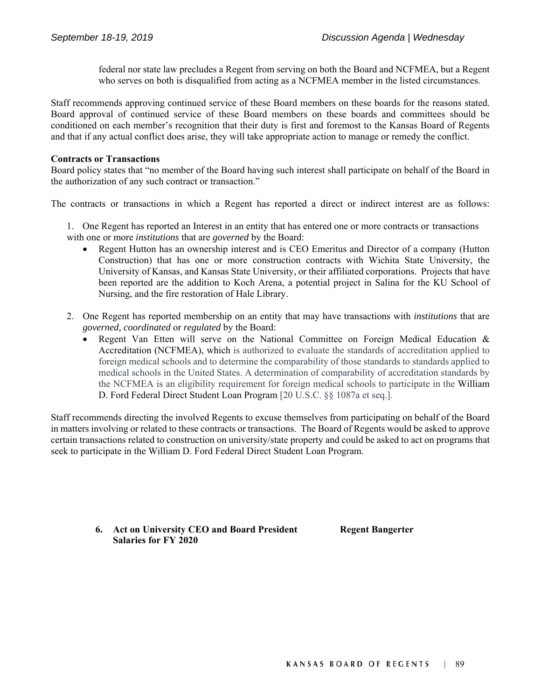federal nor state law precludes a Regent from serving on both the Board and NCFMEA, but a Regent who serves on both is disqualified from acting as a NCFMEA member in the listed circumstances.

Staff recommends approving continued service of these Board members on these boards for the reasons stated. Board approval of continued service of these Board members on these boards and committees should be conditioned on each member's recognition that their duty is first and foremost to the Kansas Board of Regents and that if any actual conflict does arise, they will take appropriate action to manage or remedy the conflict.

#### **Contracts or Transactions**

Board policy states that "no member of the Board having such interest shall participate on behalf of the Board in the authorization of any such contract or transaction."

The contracts or transactions in which a Regent has reported a direct or indirect interest are as follows:

1. One Regent has reported an Interest in an entity that has entered one or more contracts or transactions with one or more *institutions* that are *governed* by the Board:

- Regent Hutton has an ownership interest and is CEO Emeritus and Director of a company (Hutton Construction) that has one or more construction contracts with Wichita State University, the University of Kansas, and Kansas State University, or their affiliated corporations. Projects that have been reported are the addition to Koch Arena, a potential project in Salina for the KU School of Nursing, and the fire restoration of Hale Library.
- 2. One Regent has reported membership on an entity that may have transactions with *institutions* that are *governed, coordinated* or *regulated* by the Board:
	- Regent Van Etten will serve on the National Committee on Foreign Medical Education & Accreditation (NCFMEA), which is authorized to evaluate the standards of accreditation applied to foreign medical schools and to determine the comparability of those standards to standards applied to medical schools in the United States. A determination of comparability of accreditation standards by the NCFMEA is an eligibility requirement for foreign medical schools to participate in the William D. Ford Federal Direct Student Loan Program [20 U.S.C. §§ 1087a et seq.].

Staff recommends directing the involved Regents to excuse themselves from participating on behalf of the Board in matters involving or related to these contracts or transactions. The Board of Regents would be asked to approve certain transactions related to construction on university/state property and could be asked to act on programs that seek to participate in the William D. Ford Federal Direct Student Loan Program.

> **6. Act on University CEO and Board President Salaries for FY 2020**

**Regent Bangerter**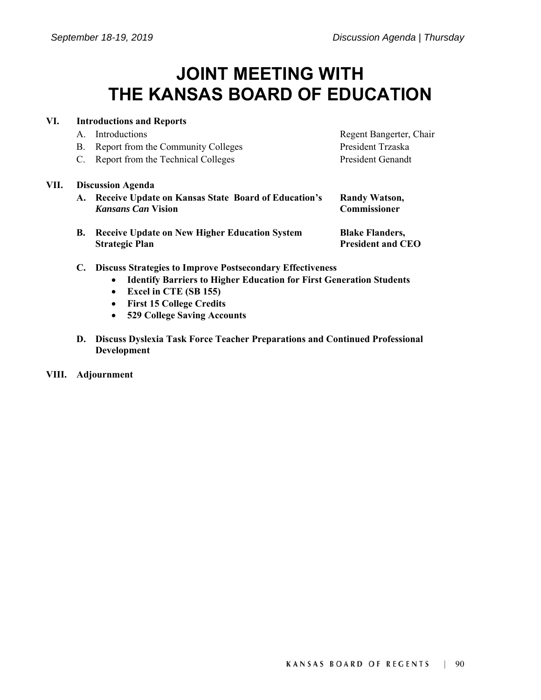## **JOINT MEETING WITH THE KANSAS BOARD OF EDUCATION**

#### **VI. Introductions and Reports**

**Strategic Plan** 

- A. Introductions Regent Bangerter, Chair
- B. Report from the Community Colleges President Trzaska
- C. Report from the Technical Colleges President Genandt

#### **VII. Discussion Agenda**

- **A. Receive Update on Kansas State Board of Education's**  *Kansans Can* **Vision**
- **B. Receive Update on New Higher Education System**

**Commissioner** 

**Randy Watson,** 

**Blake Flanders, President and CEO** 

- **C. Discuss Strategies to Improve Postsecondary Effectiveness** 
	- **Identify Barriers to Higher Education for First Generation Students**
	- **Excel in CTE (SB 155)**
	- **First 15 College Credits**
	- **529 College Saving Accounts**
- **D. Discuss Dyslexia Task Force Teacher Preparations and Continued Professional Development**
- **VIII. Adjournment**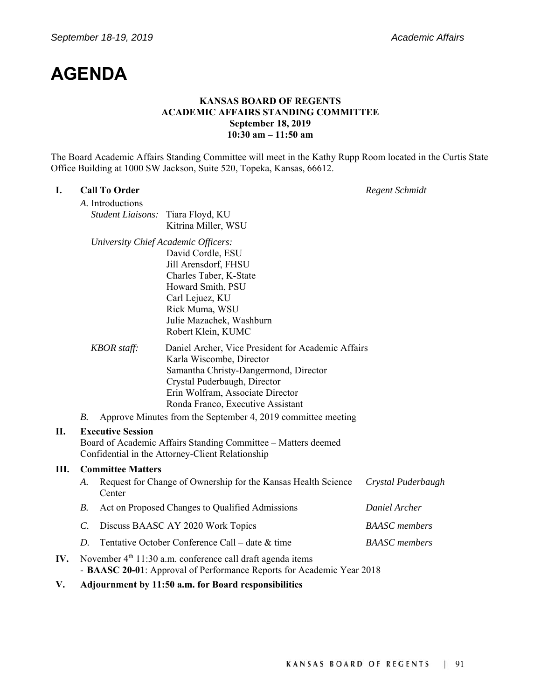### **AGENDA**

#### **KANSAS BOARD OF REGENTS ACADEMIC AFFAIRS STANDING COMMITTEE September 18, 2019 10:30 am – 11:50 am**

The Board Academic Affairs Standing Committee will meet in the Kathy Rupp Room located in the Curtis State Office Building at 1000 SW Jackson, Suite 520, Topeka, Kansas, 66612.

#### **I. Call To Order** *Regent Schmidt*

*A.* Introductions *Student Liaisons:* Tiara Floyd, KU Kitrina Miller, WSU

*University Chief Academic Officers:*

David Cordle, ESU Jill Arensdorf, FHSU Charles Taber, K-State Howard Smith, PSU Carl Lejuez, KU Rick Muma, WSU Julie Mazachek, Washburn Robert Klein, KUMC

- *KBOR staff:* Daniel Archer, Vice President for Academic Affairs Karla Wiscombe, Director Samantha Christy-Dangermond, Director Crystal Puderbaugh, Director Erin Wolfram, Associate Director Ronda Franco, Executive Assistant
- *B.* Approve Minutes from the September 4, 2019 committee meeting

#### **II. Executive Session**

Board of Academic Affairs Standing Committee – Matters deemed Confidential in the Attorney-Client Relationship

#### **III. Committee Matters**

- *A.* Request for Change of Ownership for the Kansas Health Science Center *Crystal Puderbaugh B.* Act on Proposed Changes to Qualified Admissions *Daniel Archer C.* Discuss BAASC AY 2020 Work Topics *BAASC members*
- *D.* Tentative October Conference Call date & time *BAASC members*
- **IV.** November 4<sup>th</sup> 11:30 a.m. conference call draft agenda items - **BAASC 20-01**: Approval of Performance Reports for Academic Year 2018
- **V. Adjournment by 11:50 a.m. for Board responsibilities**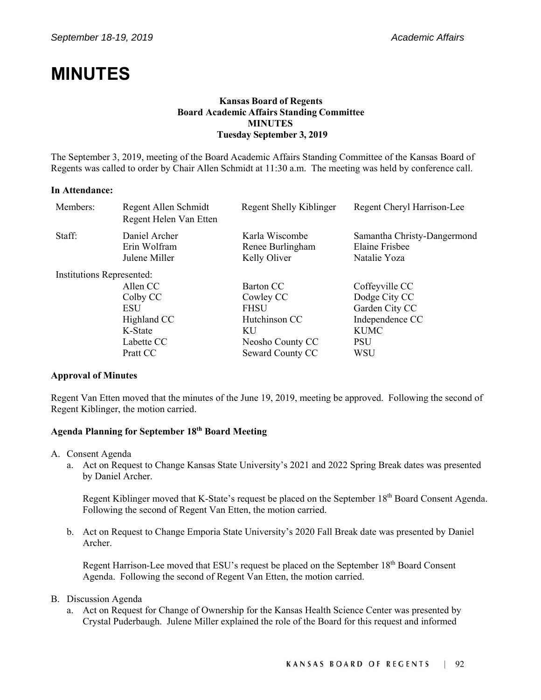### **MINUTES**

#### **Kansas Board of Regents Board Academic Affairs Standing Committee MINUTES Tuesday September 3, 2019**

The September 3, 2019, meeting of the Board Academic Affairs Standing Committee of the Kansas Board of Regents was called to order by Chair Allen Schmidt at 11:30 a.m. The meeting was held by conference call.

#### **In Attendance:**

| Members:                  | Regent Allen Schmidt<br>Regent Helen Van Etten | Regent Shelly Kiblinger                            | Regent Cheryl Harrison-Lee                                    |
|---------------------------|------------------------------------------------|----------------------------------------------------|---------------------------------------------------------------|
| Staff:                    | Daniel Archer<br>Erin Wolfram<br>Julene Miller | Karla Wiscombe<br>Renee Burlingham<br>Kelly Oliver | Samantha Christy-Dangermond<br>Elaine Frisbee<br>Natalie Yoza |
| Institutions Represented: |                                                |                                                    |                                                               |
|                           | Allen CC                                       | Barton CC                                          | Coffeyville CC                                                |
|                           | Colby CC                                       | Cowley CC                                          | Dodge City CC                                                 |
|                           | <b>ESU</b>                                     | <b>FHSU</b>                                        | Garden City CC                                                |
|                           | Highland CC                                    | Hutchinson CC                                      | Independence CC                                               |
|                           | K-State                                        | KU                                                 | <b>KUMC</b>                                                   |
|                           | Labette CC                                     | Neosho County CC                                   | <b>PSU</b>                                                    |
|                           | Pratt CC                                       | Seward County CC                                   | WSU                                                           |

#### **Approval of Minutes**

Regent Van Etten moved that the minutes of the June 19, 2019, meeting be approved. Following the second of Regent Kiblinger, the motion carried.

#### **Agenda Planning for September 18th Board Meeting**

- A. Consent Agenda
	- a. Act on Request to Change Kansas State University's 2021 and 2022 Spring Break dates was presented by Daniel Archer.

Regent Kiblinger moved that K-State's request be placed on the September 18<sup>th</sup> Board Consent Agenda. Following the second of Regent Van Etten, the motion carried.

b. Act on Request to Change Emporia State University's 2020 Fall Break date was presented by Daniel Archer.

Regent Harrison-Lee moved that ESU's request be placed on the September 18<sup>th</sup> Board Consent Agenda. Following the second of Regent Van Etten, the motion carried.

#### B. Discussion Agenda

a. Act on Request for Change of Ownership for the Kansas Health Science Center was presented by Crystal Puderbaugh. Julene Miller explained the role of the Board for this request and informed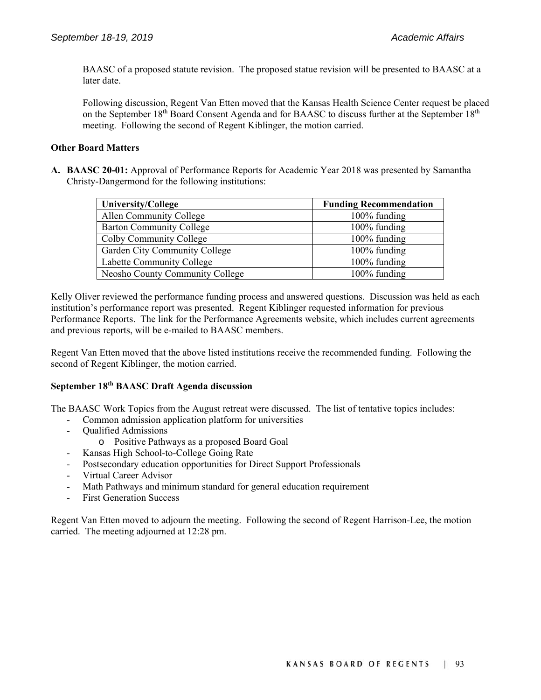BAASC of a proposed statute revision. The proposed statue revision will be presented to BAASC at a later date.

Following discussion, Regent Van Etten moved that the Kansas Health Science Center request be placed on the September  $18<sup>th</sup>$  Board Consent Agenda and for BAASC to discuss further at the September  $18<sup>th</sup>$ meeting. Following the second of Regent Kiblinger, the motion carried.

#### **Other Board Matters**

**A. BAASC 20-01:** Approval of Performance Reports for Academic Year 2018 was presented by Samantha Christy-Dangermond for the following institutions:

| <b>University/College</b>       | <b>Funding Recommendation</b> |
|---------------------------------|-------------------------------|
| Allen Community College         | 100% funding                  |
| <b>Barton Community College</b> | 100% funding                  |
| Colby Community College         | 100% funding                  |
| Garden City Community College   | 100% funding                  |
| Labette Community College       | 100% funding                  |
| Neosho County Community College | 100% funding                  |

Kelly Oliver reviewed the performance funding process and answered questions. Discussion was held as each institution's performance report was presented. Regent Kiblinger requested information for previous Performance Reports. The link for the Performance Agreements website, which includes current agreements and previous reports, will be e-mailed to BAASC members.

Regent Van Etten moved that the above listed institutions receive the recommended funding. Following the second of Regent Kiblinger, the motion carried.

#### **September 18th BAASC Draft Agenda discussion**

The BAASC Work Topics from the August retreat were discussed. The list of tentative topics includes:

- Common admission application platform for universities
- Qualified Admissions
	- o Positive Pathways as a proposed Board Goal
- Kansas High School-to-College Going Rate
- Postsecondary education opportunities for Direct Support Professionals
- Virtual Career Advisor
- Math Pathways and minimum standard for general education requirement
- First Generation Success

Regent Van Etten moved to adjourn the meeting. Following the second of Regent Harrison-Lee, the motion carried. The meeting adjourned at 12:28 pm.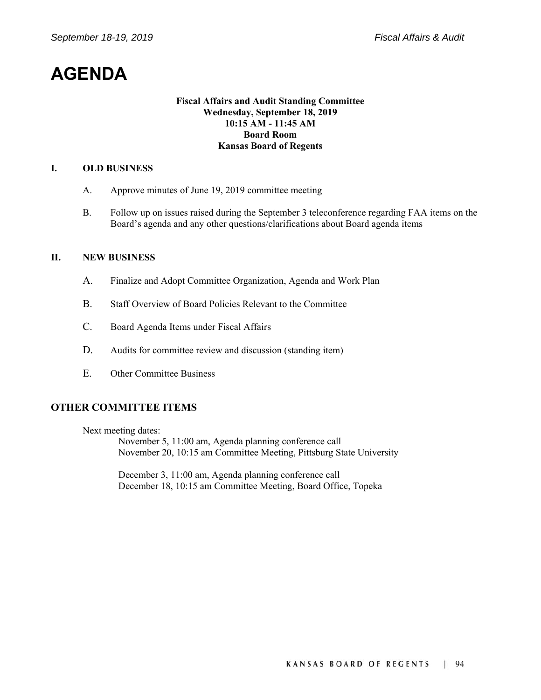### **AGENDA**

#### **Fiscal Affairs and Audit Standing Committee Wednesday, September 18, 2019 10:15 AM - 11:45 AM Board Room Kansas Board of Regents**

#### **I. OLD BUSINESS**

- A. Approve minutes of June 19, 2019 committee meeting
- B. Follow up on issues raised during the September 3 teleconference regarding FAA items on the Board's agenda and any other questions/clarifications about Board agenda items

#### **II. NEW BUSINESS**

- A. Finalize and Adopt Committee Organization, Agenda and Work Plan
- B. Staff Overview of Board Policies Relevant to the Committee
- C. Board Agenda Items under Fiscal Affairs
- D. Audits for committee review and discussion (standing item)
- E. Other Committee Business

#### **OTHER COMMITTEE ITEMS**

Next meeting dates:

November 5, 11:00 am, Agenda planning conference call November 20, 10:15 am Committee Meeting, Pittsburg State University

December 3, 11:00 am, Agenda planning conference call December 18, 10:15 am Committee Meeting, Board Office, Topeka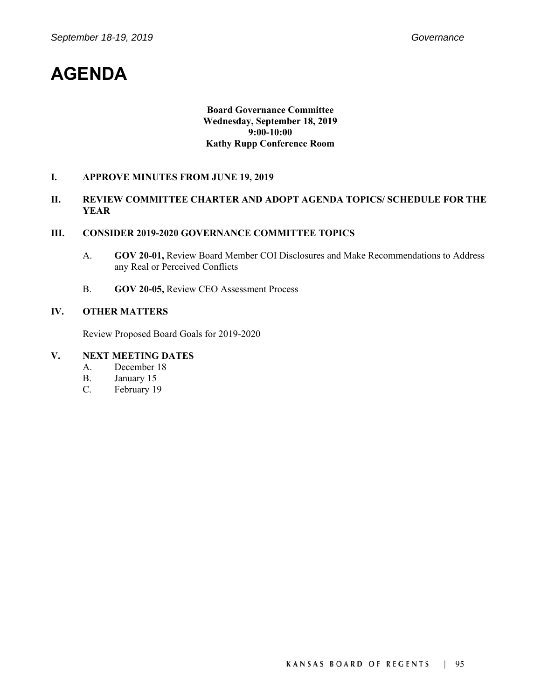### **AGENDA**

#### **Board Governance Committee Wednesday, September 18, 2019 9:00-10:00 Kathy Rupp Conference Room**

#### **I. APPROVE MINUTES FROM JUNE 19, 2019**

#### **II. REVIEW COMMITTEE CHARTER AND ADOPT AGENDA TOPICS/ SCHEDULE FOR THE YEAR**

#### **III. CONSIDER 2019-2020 GOVERNANCE COMMITTEE TOPICS**

- A. **GOV 20-01,** Review Board Member COI Disclosures and Make Recommendations to Address any Real or Perceived Conflicts
- B. **GOV 20-05,** Review CEO Assessment Process

#### **IV. OTHER MATTERS**

Review Proposed Board Goals for 2019-2020

### **V. NEXT MEETING DATES**

- A. December 18
- B. January 15
- C. February 19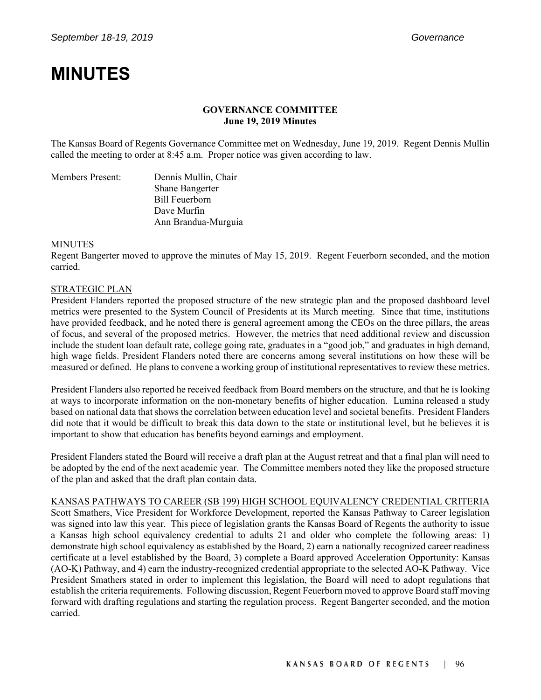## **MINUTES**

#### **GOVERNANCE COMMITTEE June 19, 2019 Minutes**

The Kansas Board of Regents Governance Committee met on Wednesday, June 19, 2019. Regent Dennis Mullin called the meeting to order at 8:45 a.m. Proper notice was given according to law.

| Members Present: | Dennis Mullin, Chair   |  |
|------------------|------------------------|--|
|                  | <b>Shane Bangerter</b> |  |
|                  | Bill Feuerborn         |  |
|                  | Dave Murfin            |  |
|                  | Ann Brandua-Murguia    |  |

#### MINUTES

Regent Bangerter moved to approve the minutes of May 15, 2019. Regent Feuerborn seconded, and the motion carried.

#### STRATEGIC PLAN

President Flanders reported the proposed structure of the new strategic plan and the proposed dashboard level metrics were presented to the System Council of Presidents at its March meeting. Since that time, institutions have provided feedback, and he noted there is general agreement among the CEOs on the three pillars, the areas of focus, and several of the proposed metrics. However, the metrics that need additional review and discussion include the student loan default rate, college going rate, graduates in a "good job," and graduates in high demand, high wage fields. President Flanders noted there are concerns among several institutions on how these will be measured or defined. He plans to convene a working group of institutional representatives to review these metrics.

President Flanders also reported he received feedback from Board members on the structure, and that he is looking at ways to incorporate information on the non-monetary benefits of higher education. Lumina released a study based on national data that shows the correlation between education level and societal benefits. President Flanders did note that it would be difficult to break this data down to the state or institutional level, but he believes it is important to show that education has benefits beyond earnings and employment.

President Flanders stated the Board will receive a draft plan at the August retreat and that a final plan will need to be adopted by the end of the next academic year. The Committee members noted they like the proposed structure of the plan and asked that the draft plan contain data.

#### KANSAS PATHWAYS TO CAREER (SB 199) HIGH SCHOOL EQUIVALENCY CREDENTIAL CRITERIA

Scott Smathers, Vice President for Workforce Development, reported the Kansas Pathway to Career legislation was signed into law this year. This piece of legislation grants the Kansas Board of Regents the authority to issue a Kansas high school equivalency credential to adults 21 and older who complete the following areas: 1) demonstrate high school equivalency as established by the Board, 2) earn a nationally recognized career readiness certificate at a level established by the Board, 3) complete a Board approved Acceleration Opportunity: Kansas (AO-K) Pathway, and 4) earn the industry-recognized credential appropriate to the selected AO-K Pathway. Vice President Smathers stated in order to implement this legislation, the Board will need to adopt regulations that establish the criteria requirements. Following discussion, Regent Feuerborn moved to approve Board staff moving forward with drafting regulations and starting the regulation process. Regent Bangerter seconded, and the motion carried.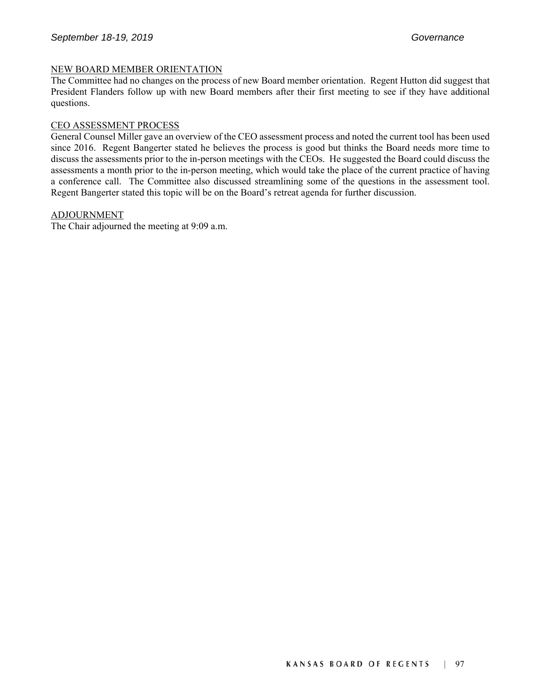#### NEW BOARD MEMBER ORIENTATION

The Committee had no changes on the process of new Board member orientation. Regent Hutton did suggest that President Flanders follow up with new Board members after their first meeting to see if they have additional questions.

#### CEO ASSESSMENT PROCESS

General Counsel Miller gave an overview of the CEO assessment process and noted the current tool has been used since 2016. Regent Bangerter stated he believes the process is good but thinks the Board needs more time to discuss the assessments prior to the in-person meetings with the CEOs. He suggested the Board could discuss the assessments a month prior to the in-person meeting, which would take the place of the current practice of having a conference call. The Committee also discussed streamlining some of the questions in the assessment tool. Regent Bangerter stated this topic will be on the Board's retreat agenda for further discussion.

#### ADJOURNMENT

The Chair adjourned the meeting at 9:09 a.m.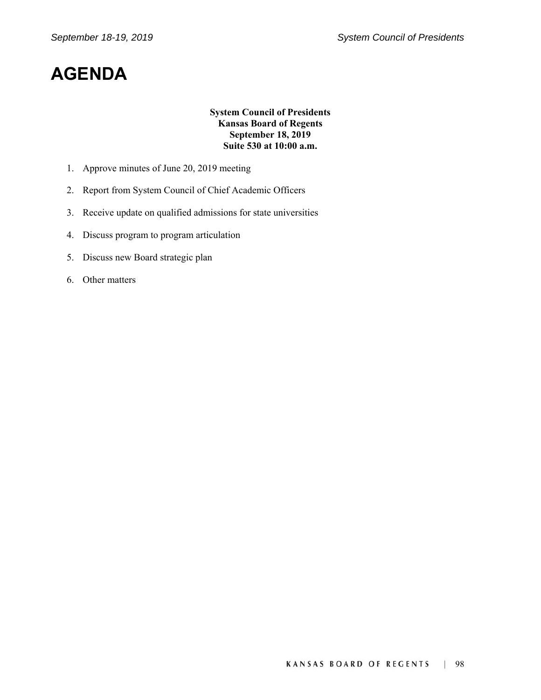## **AGENDA**

#### **System Council of Presidents Kansas Board of Regents September 18, 2019 Suite 530 at 10:00 a.m.**

- 1. Approve minutes of June 20, 2019 meeting
- 2. Report from System Council of Chief Academic Officers
- 3. Receive update on qualified admissions for state universities
- 4. Discuss program to program articulation
- 5. Discuss new Board strategic plan
- 6. Other matters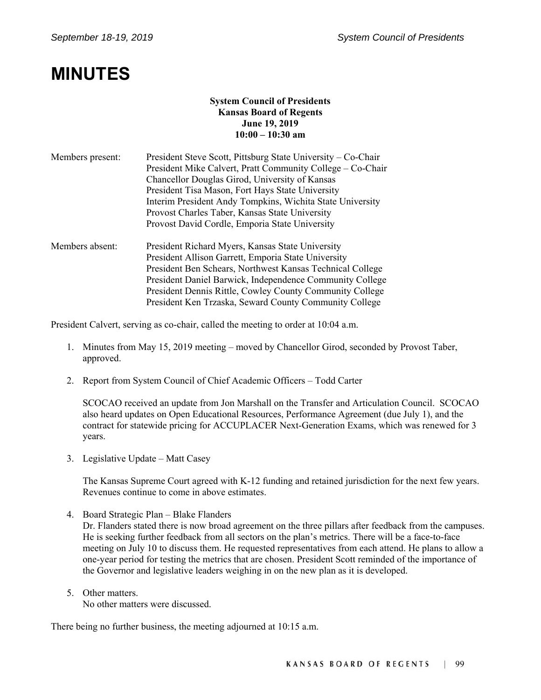### **MINUTES**

#### **System Council of Presidents Kansas Board of Regents June 19, 2019 10:00 – 10:30 am**

| Members present: | President Steve Scott, Pittsburg State University – Co-Chair                                                 |  |  |  |
|------------------|--------------------------------------------------------------------------------------------------------------|--|--|--|
|                  | President Mike Calvert, Pratt Community College – Co-Chair<br>Chancellor Douglas Girod, University of Kansas |  |  |  |
|                  |                                                                                                              |  |  |  |
|                  | President Tisa Mason, Fort Hays State University                                                             |  |  |  |
|                  | Interim President Andy Tompkins, Wichita State University                                                    |  |  |  |
|                  | Provost Charles Taber, Kansas State University                                                               |  |  |  |
|                  | Provost David Cordle, Emporia State University                                                               |  |  |  |
| Members absent:  | President Richard Myers, Kansas State University                                                             |  |  |  |
|                  | President Allison Garrett, Emporia State University                                                          |  |  |  |
|                  | President Ben Schears, Northwest Kansas Technical College                                                    |  |  |  |
|                  | President Daniel Barwick, Independence Community College                                                     |  |  |  |
|                  | President Dennis Rittle, Cowley County Community College                                                     |  |  |  |
|                  | President Ken Trzaska, Seward County Community College                                                       |  |  |  |

President Calvert, serving as co-chair, called the meeting to order at 10:04 a.m.

- 1. Minutes from May 15, 2019 meeting moved by Chancellor Girod, seconded by Provost Taber, approved.
- 2. Report from System Council of Chief Academic Officers Todd Carter

SCOCAO received an update from Jon Marshall on the Transfer and Articulation Council. SCOCAO also heard updates on Open Educational Resources, Performance Agreement (due July 1), and the contract for statewide pricing for ACCUPLACER Next-Generation Exams, which was renewed for 3 years.

3. Legislative Update – Matt Casey

The Kansas Supreme Court agreed with K-12 funding and retained jurisdiction for the next few years. Revenues continue to come in above estimates.

4. Board Strategic Plan – Blake Flanders

Dr. Flanders stated there is now broad agreement on the three pillars after feedback from the campuses. He is seeking further feedback from all sectors on the plan's metrics. There will be a face-to-face meeting on July 10 to discuss them. He requested representatives from each attend. He plans to allow a one-year period for testing the metrics that are chosen. President Scott reminded of the importance of the Governor and legislative leaders weighing in on the new plan as it is developed.

5. Other matters.

No other matters were discussed.

There being no further business, the meeting adjourned at 10:15 a.m.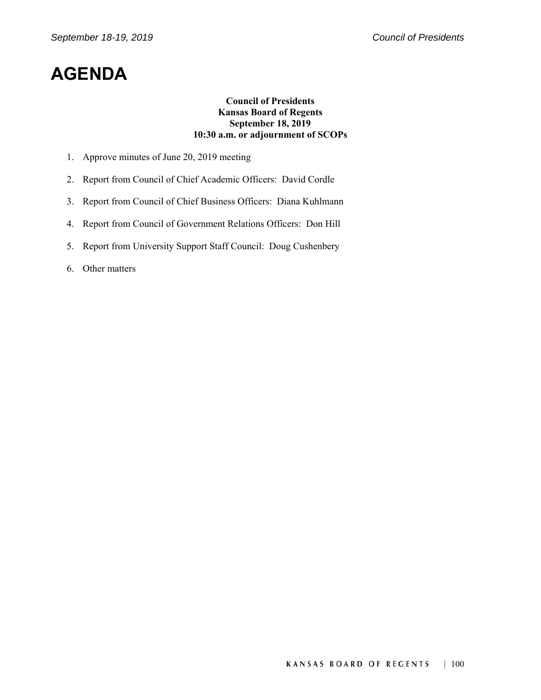### **AGENDA**

#### **Council of Presidents Kansas Board of Regents September 18, 2019 10:30 a.m. or adjournment of SCOPs**

- 1. Approve minutes of June 20, 2019 meeting
- 2. Report from Council of Chief Academic Officers: David Cordle
- 3. Report from Council of Chief Business Officers: Diana Kuhlmann
- 4. Report from Council of Government Relations Officers: Don Hill
- 5. Report from University Support Staff Council: Doug Cushenbery
- 6. Other matters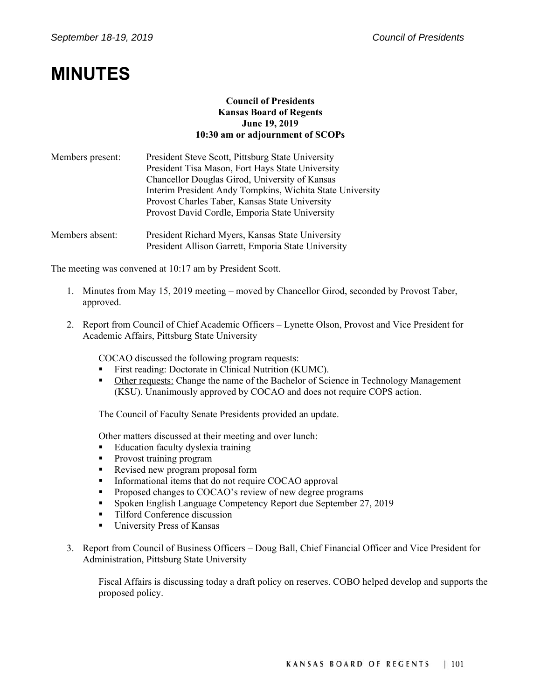## **MINUTES**

#### **Council of Presidents Kansas Board of Regents June 19, 2019 10:30 am or adjournment of SCOPs**

| Members present: | President Steve Scott, Pittsburg State University         |
|------------------|-----------------------------------------------------------|
|                  | President Tisa Mason, Fort Hays State University          |
|                  | Chancellor Douglas Girod, University of Kansas            |
|                  | Interim President Andy Tompkins, Wichita State University |
|                  | Provost Charles Taber, Kansas State University            |
|                  | Provost David Cordle, Emporia State University            |
| Members absent:  | President Richard Myers, Kansas State University          |

The meeting was convened at 10:17 am by President Scott.

1. Minutes from May 15, 2019 meeting – moved by Chancellor Girod, seconded by Provost Taber, approved.

President Allison Garrett, Emporia State University

2. Report from Council of Chief Academic Officers – Lynette Olson, Provost and Vice President for Academic Affairs, Pittsburg State University

COCAO discussed the following program requests:

- First reading: Doctorate in Clinical Nutrition (KUMC).
- Other requests: Change the name of the Bachelor of Science in Technology Management (KSU). Unanimously approved by COCAO and does not require COPS action.

The Council of Faculty Senate Presidents provided an update.

Other matters discussed at their meeting and over lunch:

- **Education faculty dyslexia training**
- **Provost training program**
- Revised new program proposal form
- Informational items that do not require COCAO approval
- **Proposed changes to COCAO's review of new degree programs**
- Spoken English Language Competency Report due September 27, 2019
- **Tilford Conference discussion**
- **University Press of Kansas**
- 3. Report from Council of Business Officers Doug Ball, Chief Financial Officer and Vice President for Administration, Pittsburg State University

Fiscal Affairs is discussing today a draft policy on reserves. COBO helped develop and supports the proposed policy.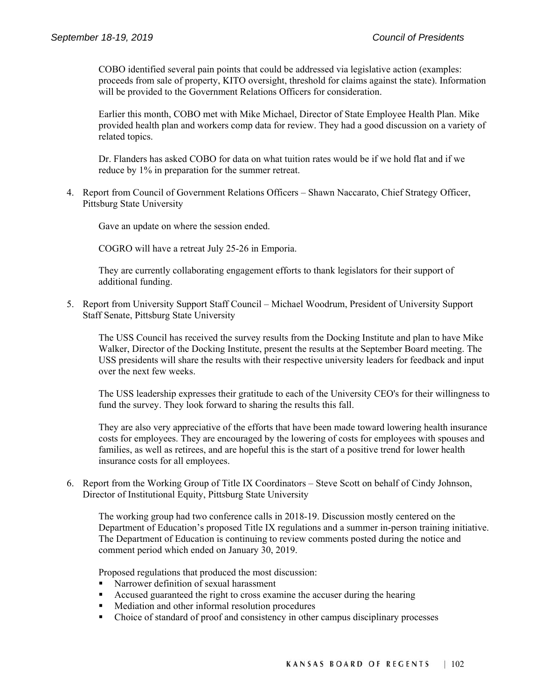COBO identified several pain points that could be addressed via legislative action (examples: proceeds from sale of property, KITO oversight, threshold for claims against the state). Information will be provided to the Government Relations Officers for consideration.

Earlier this month, COBO met with Mike Michael, Director of State Employee Health Plan. Mike provided health plan and workers comp data for review. They had a good discussion on a variety of related topics.

Dr. Flanders has asked COBO for data on what tuition rates would be if we hold flat and if we reduce by 1% in preparation for the summer retreat.

4. Report from Council of Government Relations Officers – Shawn Naccarato, Chief Strategy Officer, Pittsburg State University

Gave an update on where the session ended.

COGRO will have a retreat July 25-26 in Emporia.

They are currently collaborating engagement efforts to thank legislators for their support of additional funding.

5. Report from University Support Staff Council – Michael Woodrum, President of University Support Staff Senate, Pittsburg State University

The USS Council has received the survey results from the Docking Institute and plan to have Mike Walker, Director of the Docking Institute, present the results at the September Board meeting. The USS presidents will share the results with their respective university leaders for feedback and input over the next few weeks.

The USS leadership expresses their gratitude to each of the University CEO's for their willingness to fund the survey. They look forward to sharing the results this fall.

They are also very appreciative of the efforts that have been made toward lowering health insurance costs for employees. They are encouraged by the lowering of costs for employees with spouses and families, as well as retirees, and are hopeful this is the start of a positive trend for lower health insurance costs for all employees.

6. Report from the Working Group of Title IX Coordinators – Steve Scott on behalf of Cindy Johnson, Director of Institutional Equity, Pittsburg State University

The working group had two conference calls in 2018-19. Discussion mostly centered on the Department of Education's proposed Title IX regulations and a summer in-person training initiative. The Department of Education is continuing to review comments posted during the notice and comment period which ended on January 30, 2019.

Proposed regulations that produced the most discussion:

- Narrower definition of sexual harassment
- Accused guaranteed the right to cross examine the accuser during the hearing
- **Mediation and other informal resolution procedures**
- Choice of standard of proof and consistency in other campus disciplinary processes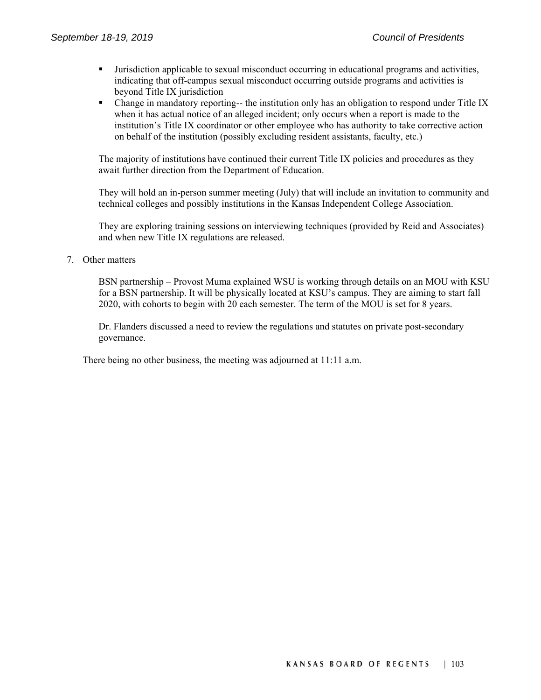- Jurisdiction applicable to sexual misconduct occurring in educational programs and activities, indicating that off-campus sexual misconduct occurring outside programs and activities is beyond Title IX jurisdiction
- Change in mandatory reporting-- the institution only has an obligation to respond under Title IX when it has actual notice of an alleged incident; only occurs when a report is made to the institution's Title IX coordinator or other employee who has authority to take corrective action on behalf of the institution (possibly excluding resident assistants, faculty, etc.)

The majority of institutions have continued their current Title IX policies and procedures as they await further direction from the Department of Education.

They will hold an in-person summer meeting (July) that will include an invitation to community and technical colleges and possibly institutions in the Kansas Independent College Association.

They are exploring training sessions on interviewing techniques (provided by Reid and Associates) and when new Title IX regulations are released.

#### 7. Other matters

BSN partnership – Provost Muma explained WSU is working through details on an MOU with KSU for a BSN partnership. It will be physically located at KSU's campus. They are aiming to start fall 2020, with cohorts to begin with 20 each semester. The term of the MOU is set for 8 years.

Dr. Flanders discussed a need to review the regulations and statutes on private post-secondary governance.

There being no other business, the meeting was adjourned at 11:11 a.m.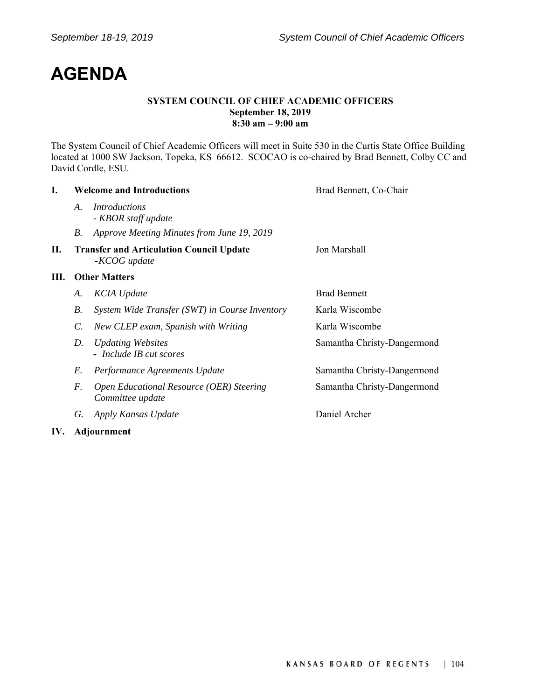# **AGENDA**

#### **SYSTEM COUNCIL OF CHIEF ACADEMIC OFFICERS September 18, 2019 8:30 am – 9:00 am**

The System Council of Chief Academic Officers will meet in Suite 530 in the Curtis State Office Building located at 1000 SW Jackson, Topeka, KS 66612. SCOCAO is co-chaired by Brad Bennett, Colby CC and David Cordle, ESU.

| L.  | <b>Welcome and Introductions</b> |                                                                 | Brad Bennett, Co-Chair      |  |
|-----|----------------------------------|-----------------------------------------------------------------|-----------------------------|--|
|     | A.                               | <i>Introductions</i><br>- KBOR staff update                     |                             |  |
|     | <i>B</i> .                       | Approve Meeting Minutes from June 19, 2019                      |                             |  |
| П.  |                                  | <b>Transfer and Articulation Council Update</b><br>-KCOG update | Jon Marshall                |  |
| Ш.  | <b>Other Matters</b>             |                                                                 |                             |  |
|     | A.                               | <b>KCIA</b> Update                                              | <b>Brad Bennett</b>         |  |
|     | <i>B</i> .                       | System Wide Transfer (SWT) in Course Inventory                  | Karla Wiscombe              |  |
|     | C.                               | New CLEP exam, Spanish with Writing                             | Karla Wiscombe              |  |
|     | D.                               | <b>Updating Websites</b><br>- Include IB cut scores             | Samantha Christy-Dangermond |  |
|     | E.                               | Performance Agreements Update                                   | Samantha Christy-Dangermond |  |
|     | F.                               | Open Educational Resource (OER) Steering<br>Committee update    | Samantha Christy-Dangermond |  |
|     | G.                               | Apply Kansas Update                                             | Daniel Archer               |  |
| IV. | <b>Adjournment</b>               |                                                                 |                             |  |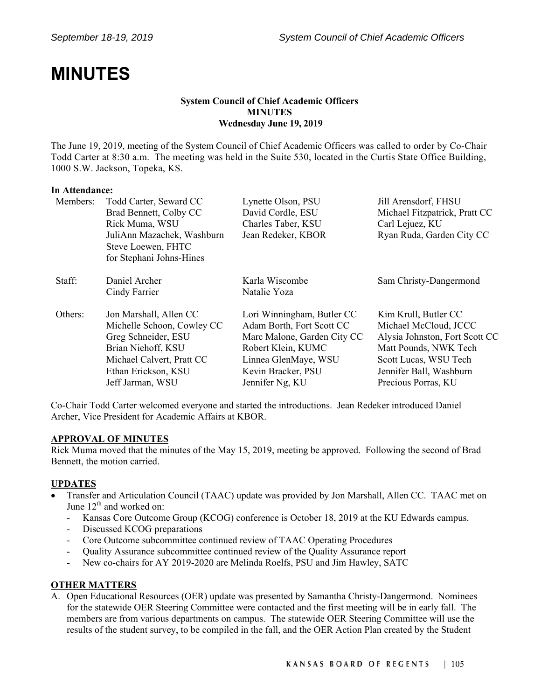## **MINUTES**

#### **System Council of Chief Academic Officers MINUTES Wednesday June 19, 2019**

The June 19, 2019, meeting of the System Council of Chief Academic Officers was called to order by Co-Chair Todd Carter at 8:30 a.m. The meeting was held in the Suite 530, located in the Curtis State Office Building, 1000 S.W. Jackson, Topeka, KS.

#### **In Attendance:**

| Members: | Todd Carter, Seward CC     | Lynette Olson, PSU          | Jill Arensdorf, FHSU           |
|----------|----------------------------|-----------------------------|--------------------------------|
|          | Brad Bennett, Colby CC     | David Cordle, ESU           | Michael Fitzpatrick, Pratt CC  |
|          | Rick Muma, WSU             | Charles Taber, KSU          | Carl Lejuez, KU                |
|          | JuliAnn Mazachek, Washburn | Jean Redeker, KBOR          | Ryan Ruda, Garden City CC      |
|          | Steve Loewen, FHTC         |                             |                                |
|          | for Stephani Johns-Hines   |                             |                                |
| Staff:   | Daniel Archer              | Karla Wiscombe              | Sam Christy-Dangermond         |
|          | Cindy Farrier              | Natalie Yoza                |                                |
| Others:  | Jon Marshall, Allen CC     | Lori Winningham, Butler CC  | Kim Krull, Butler CC           |
|          | Michelle Schoon, Cowley CC | Adam Borth, Fort Scott CC   | Michael McCloud, JCCC          |
|          | Greg Schneider, ESU        | Marc Malone, Garden City CC | Alysia Johnston, Fort Scott CC |
|          | Brian Niehoff, KSU         | Robert Klein, KUMC          | Matt Pounds, NWK Tech          |
|          | Michael Calvert, Pratt CC  | Linnea GlenMaye, WSU        | Scott Lucas, WSU Tech          |
|          | Ethan Erickson, KSU        | Kevin Bracker, PSU          | Jennifer Ball, Washburn        |
|          | Jeff Jarman, WSU           | Jennifer Ng, KU             | Precious Porras, KU            |

Co-Chair Todd Carter welcomed everyone and started the introductions. Jean Redeker introduced Daniel Archer, Vice President for Academic Affairs at KBOR.

#### **APPROVAL OF MINUTES**

Rick Muma moved that the minutes of the May 15, 2019, meeting be approved. Following the second of Brad Bennett, the motion carried.

#### **UPDATES**

- Transfer and Articulation Council (TAAC) update was provided by Jon Marshall, Allen CC. TAAC met on June  $12<sup>th</sup>$  and worked on:
	- Kansas Core Outcome Group (KCOG) conference is October 18, 2019 at the KU Edwards campus.
	- Discussed KCOG preparations
	- Core Outcome subcommittee continued review of TAAC Operating Procedures
	- Quality Assurance subcommittee continued review of the Quality Assurance report
	- New co-chairs for AY 2019-2020 are Melinda Roelfs, PSU and Jim Hawley, SATC

#### **OTHER MATTERS**

A. Open Educational Resources (OER) update was presented by Samantha Christy-Dangermond. Nominees for the statewide OER Steering Committee were contacted and the first meeting will be in early fall. The members are from various departments on campus. The statewide OER Steering Committee will use the results of the student survey, to be compiled in the fall, and the OER Action Plan created by the Student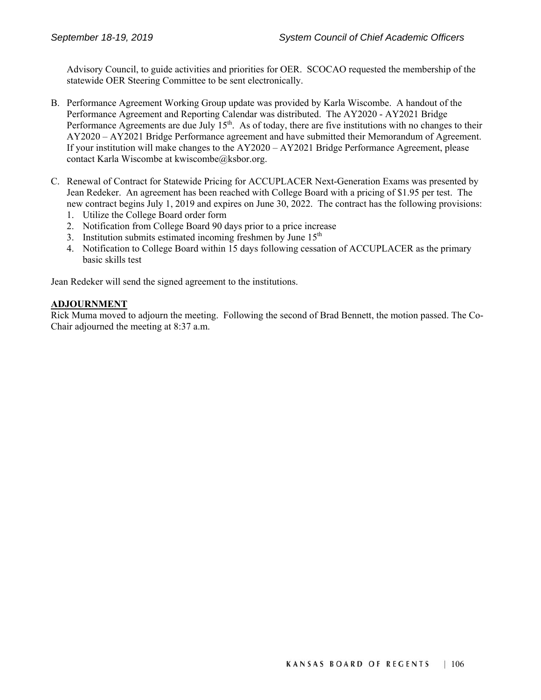Advisory Council, to guide activities and priorities for OER. SCOCAO requested the membership of the statewide OER Steering Committee to be sent electronically.

- B. Performance Agreement Working Group update was provided by Karla Wiscombe. A handout of the Performance Agreement and Reporting Calendar was distributed. The AY2020 - AY2021 Bridge Performance Agreements are due July  $15<sup>th</sup>$ . As of today, there are five institutions with no changes to their AY2020 – AY2021 Bridge Performance agreement and have submitted their Memorandum of Agreement. If your institution will make changes to the AY2020 – AY2021 Bridge Performance Agreement, please contact Karla Wiscombe at kwiscombe@ksbor.org.
- C. Renewal of Contract for Statewide Pricing for ACCUPLACER Next-Generation Exams was presented by Jean Redeker. An agreement has been reached with College Board with a pricing of \$1.95 per test. The new contract begins July 1, 2019 and expires on June 30, 2022. The contract has the following provisions:
	- 1. Utilize the College Board order form
	- 2. Notification from College Board 90 days prior to a price increase
	- 3. Institution submits estimated incoming freshmen by June  $15<sup>th</sup>$
	- 4. Notification to College Board within 15 days following cessation of ACCUPLACER as the primary basic skills test

Jean Redeker will send the signed agreement to the institutions.

#### **ADJOURNMENT**

Rick Muma moved to adjourn the meeting. Following the second of Brad Bennett, the motion passed. The Co-Chair adjourned the meeting at 8:37 a.m.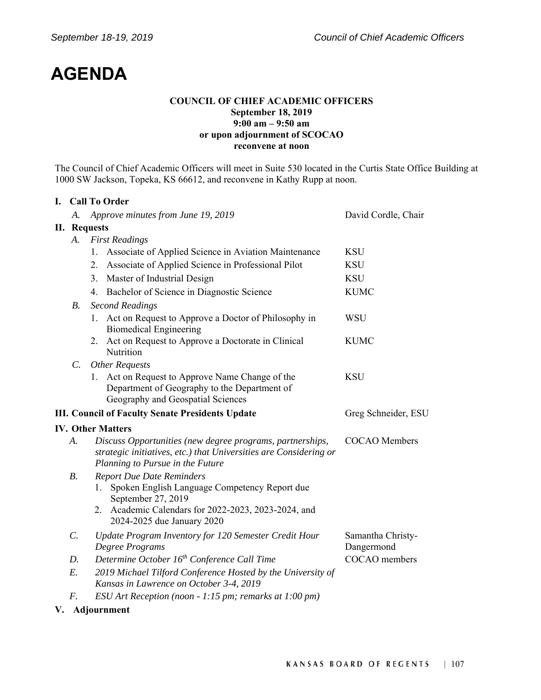# **AGENDA**

#### **COUNCIL OF CHIEF ACADEMIC OFFICERS September 18, 2019 9:00 am – 9:50 am or upon adjournment of SCOCAO reconvene at noon**

The Council of Chief Academic Officers will meet in Suite 530 located in the Curtis State Office Building at 1000 SW Jackson, Topeka, KS 66612, and reconvene in Kathy Rupp at noon.

#### **I. Call To Order**

|    | А.              | Approve minutes from June 19, 2019                                                                                                                                 | David Cordle, Chair             |  |  |  |
|----|-----------------|--------------------------------------------------------------------------------------------------------------------------------------------------------------------|---------------------------------|--|--|--|
|    |                 | II. Requests                                                                                                                                                       |                                 |  |  |  |
|    | A.              | <b>First Readings</b>                                                                                                                                              |                                 |  |  |  |
|    |                 | Associate of Applied Science in Aviation Maintenance<br>1.                                                                                                         | <b>KSU</b>                      |  |  |  |
|    |                 | Associate of Applied Science in Professional Pilot<br>2.                                                                                                           | <b>KSU</b>                      |  |  |  |
|    |                 | 3. Master of Industrial Design                                                                                                                                     | <b>KSU</b>                      |  |  |  |
|    |                 | 4. Bachelor of Science in Diagnostic Science                                                                                                                       | <b>KUMC</b>                     |  |  |  |
|    | <b>B.</b>       | <b>Second Readings</b>                                                                                                                                             |                                 |  |  |  |
|    |                 | 1. Act on Request to Approve a Doctor of Philosophy in<br><b>Biomedical Engineering</b>                                                                            | WSU                             |  |  |  |
|    |                 | 2. Act on Request to Approve a Doctorate in Clinical<br>Nutrition                                                                                                  | <b>KUMC</b>                     |  |  |  |
|    | $\mathcal{C}$ . | <b>Other Requests</b>                                                                                                                                              |                                 |  |  |  |
|    |                 | 1. Act on Request to Approve Name Change of the<br>Department of Geography to the Department of<br>Geography and Geospatial Sciences                               | <b>KSU</b>                      |  |  |  |
|    |                 | <b>III. Council of Faculty Senate Presidents Update</b>                                                                                                            | Greg Schneider, ESU             |  |  |  |
|    |                 | <b>IV. Other Matters</b>                                                                                                                                           |                                 |  |  |  |
|    | A.              | Discuss Opportunities (new degree programs, partnerships,<br>strategic initiatives, etc.) that Universities are Considering or<br>Planning to Pursue in the Future | <b>COCAO</b> Members            |  |  |  |
|    | <b>B.</b>       | <b>Report Due Date Reminders</b>                                                                                                                                   |                                 |  |  |  |
|    |                 | Spoken English Language Competency Report due<br>1.<br>September 27, 2019                                                                                          |                                 |  |  |  |
|    |                 | Academic Calendars for 2022-2023, 2023-2024, and<br>2.<br>2024-2025 due January 2020                                                                               |                                 |  |  |  |
|    | $\mathcal{C}$ . | Update Program Inventory for 120 Semester Credit Hour<br>Degree Programs                                                                                           | Samantha Christy-<br>Dangermond |  |  |  |
|    | D.              | Determine October 16 <sup>th</sup> Conference Call Time                                                                                                            | COCAO members                   |  |  |  |
|    | E.              | 2019 Michael Tilford Conference Hosted by the University of<br>Kansas in Lawrence on October 3-4, 2019                                                             |                                 |  |  |  |
|    | F.              | ESU Art Reception (noon - 1:15 pm; remarks at 1:00 pm)                                                                                                             |                                 |  |  |  |
| V. |                 | Adjournment                                                                                                                                                        |                                 |  |  |  |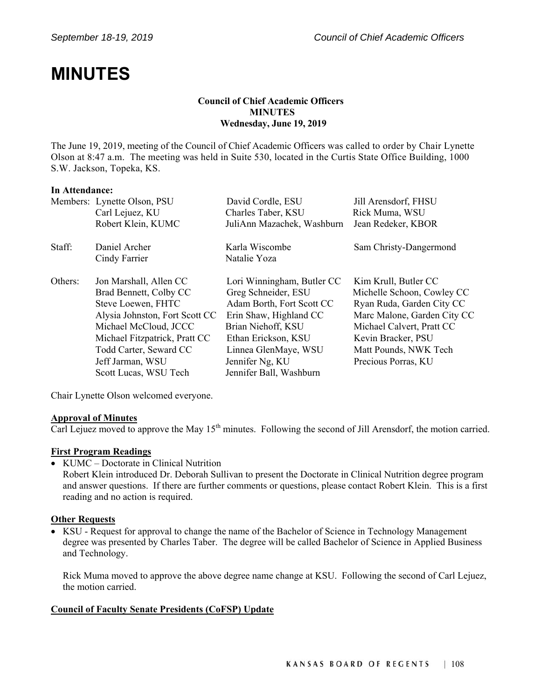## **MINUTES**

#### **Council of Chief Academic Officers MINUTES Wednesday, June 19, 2019**

The June 19, 2019, meeting of the Council of Chief Academic Officers was called to order by Chair Lynette Olson at 8:47 a.m. The meeting was held in Suite 530, located in the Curtis State Office Building, 1000 S.W. Jackson, Topeka, KS.

#### **In Attendance:**

|         | Members: Lynette Olson, PSU    | David Cordle, ESU          | Jill Arensdorf, FHSU        |
|---------|--------------------------------|----------------------------|-----------------------------|
|         | Carl Lejuez, KU                | Charles Taber, KSU         | Rick Muma, WSU              |
|         | Robert Klein, KUMC             | JuliAnn Mazachek, Washburn | Jean Redeker, KBOR          |
| Staff:  | Daniel Archer                  | Karla Wiscombe             | Sam Christy-Dangermond      |
|         | Cindy Farrier                  | Natalie Yoza               |                             |
| Others: | Jon Marshall, Allen CC         | Lori Winningham, Butler CC | Kim Krull, Butler CC        |
|         | Brad Bennett, Colby CC         | Greg Schneider, ESU        | Michelle Schoon, Cowley CC  |
|         | Steve Loewen, FHTC             | Adam Borth, Fort Scott CC  | Ryan Ruda, Garden City CC   |
|         | Alysia Johnston, Fort Scott CC | Erin Shaw, Highland CC     | Marc Malone, Garden City CC |
|         | Michael McCloud, JCCC          | Brian Niehoff, KSU         | Michael Calvert, Pratt CC   |
|         | Michael Fitzpatrick, Pratt CC  | Ethan Erickson, KSU        | Kevin Bracker, PSU          |
|         | Todd Carter, Seward CC         | Linnea GlenMaye, WSU       | Matt Pounds, NWK Tech       |
|         | Jeff Jarman, WSU               | Jennifer Ng, KU            | Precious Porras, KU         |
|         | Scott Lucas, WSU Tech          | Jennifer Ball, Washburn    |                             |

Chair Lynette Olson welcomed everyone.

#### **Approval of Minutes**

Carl Lejuez moved to approve the May 15<sup>th</sup> minutes. Following the second of Jill Arensdorf, the motion carried.

#### **First Program Readings**

• KUMC – Doctorate in Clinical Nutrition

Robert Klein introduced Dr. Deborah Sullivan to present the Doctorate in Clinical Nutrition degree program and answer questions. If there are further comments or questions, please contact Robert Klein. This is a first reading and no action is required.

#### **Other Requests**

 KSU - Request for approval to change the name of the Bachelor of Science in Technology Management degree was presented by Charles Taber. The degree will be called Bachelor of Science in Applied Business and Technology.

Rick Muma moved to approve the above degree name change at KSU. Following the second of Carl Lejuez, the motion carried.

#### **Council of Faculty Senate Presidents (CoFSP) Update**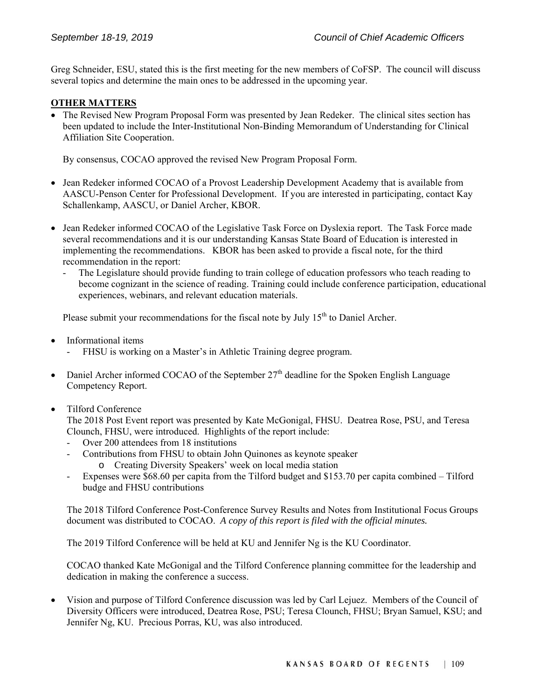Greg Schneider, ESU, stated this is the first meeting for the new members of CoFSP. The council will discuss several topics and determine the main ones to be addressed in the upcoming year.

#### **OTHER MATTERS**

 The Revised New Program Proposal Form was presented by Jean Redeker. The clinical sites section has been updated to include the Inter-Institutional Non-Binding Memorandum of Understanding for Clinical Affiliation Site Cooperation.

By consensus, COCAO approved the revised New Program Proposal Form.

- Jean Redeker informed COCAO of a Provost Leadership Development Academy that is available from AASCU-Penson Center for Professional Development. If you are interested in participating, contact Kay Schallenkamp, AASCU, or Daniel Archer, KBOR.
- Jean Redeker informed COCAO of the Legislative Task Force on Dyslexia report. The Task Force made several recommendations and it is our understanding Kansas State Board of Education is interested in implementing the recommendations. KBOR has been asked to provide a fiscal note, for the third recommendation in the report:
	- The Legislature should provide funding to train college of education professors who teach reading to become cognizant in the science of reading. Training could include conference participation, educational experiences, webinars, and relevant education materials.

Please submit your recommendations for the fiscal note by July  $15<sup>th</sup>$  to Daniel Archer.

- Informational items
	- FHSU is working on a Master's in Athletic Training degree program.
- Daniel Archer informed COCAO of the September  $27<sup>th</sup>$  deadline for the Spoken English Language Competency Report.
- Tilford Conference

The 2018 Post Event report was presented by Kate McGonigal, FHSU. Deatrea Rose, PSU, and Teresa Clounch, FHSU, were introduced. Highlights of the report include:

- Over 200 attendees from 18 institutions
- Contributions from FHSU to obtain John Quinones as keynote speaker
	- o Creating Diversity Speakers' week on local media station
- Expenses were \$68.60 per capita from the Tilford budget and \$153.70 per capita combined Tilford budge and FHSU contributions

The 2018 Tilford Conference Post-Conference Survey Results and Notes from Institutional Focus Groups document was distributed to COCAO. *A copy of this report is filed with the official minutes.* 

The 2019 Tilford Conference will be held at KU and Jennifer Ng is the KU Coordinator.

COCAO thanked Kate McGonigal and the Tilford Conference planning committee for the leadership and dedication in making the conference a success.

 Vision and purpose of Tilford Conference discussion was led by Carl Lejuez. Members of the Council of Diversity Officers were introduced, Deatrea Rose, PSU; Teresa Clounch, FHSU; Bryan Samuel, KSU; and Jennifer Ng, KU. Precious Porras, KU, was also introduced.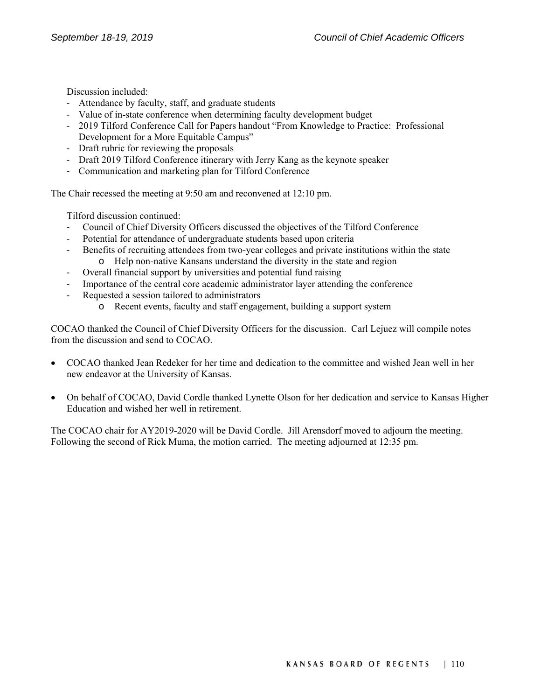Discussion included:

- ‐ Attendance by faculty, staff, and graduate students
- ‐ Value of in-state conference when determining faculty development budget
- ‐ 2019 Tilford Conference Call for Papers handout "From Knowledge to Practice: Professional Development for a More Equitable Campus"
- ‐ Draft rubric for reviewing the proposals
- ‐ Draft 2019 Tilford Conference itinerary with Jerry Kang as the keynote speaker
- ‐ Communication and marketing plan for Tilford Conference

The Chair recessed the meeting at 9:50 am and reconvened at 12:10 pm.

Tilford discussion continued:

- ‐ Council of Chief Diversity Officers discussed the objectives of the Tilford Conference
- ‐ Potential for attendance of undergraduate students based upon criteria
- ‐ Benefits of recruiting attendees from two-year colleges and private institutions within the state o Help non-native Kansans understand the diversity in the state and region
- ‐ Overall financial support by universities and potential fund raising
- ‐ Importance of the central core academic administrator layer attending the conference
- ‐ Requested a session tailored to administrators
	- o Recent events, faculty and staff engagement, building a support system

COCAO thanked the Council of Chief Diversity Officers for the discussion. Carl Lejuez will compile notes from the discussion and send to COCAO.

- COCAO thanked Jean Redeker for her time and dedication to the committee and wished Jean well in her new endeavor at the University of Kansas.
- On behalf of COCAO, David Cordle thanked Lynette Olson for her dedication and service to Kansas Higher Education and wished her well in retirement.

The COCAO chair for AY2019-2020 will be David Cordle. Jill Arensdorf moved to adjourn the meeting. Following the second of Rick Muma, the motion carried. The meeting adjourned at 12:35 pm.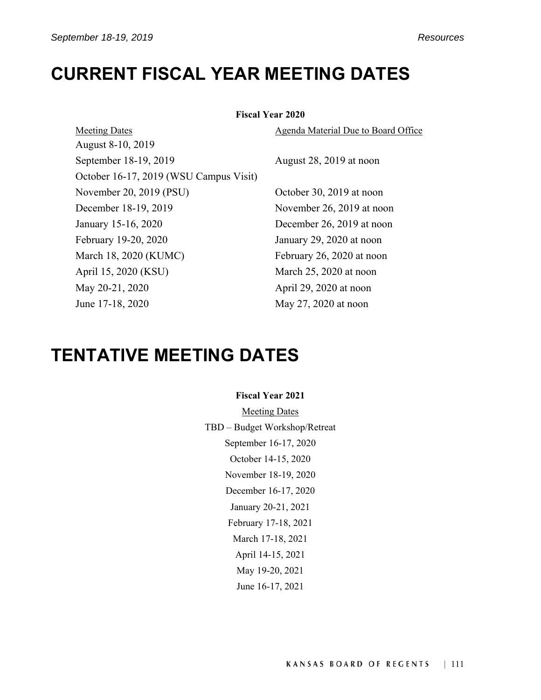August 8-10, 2019

### **CURRENT FISCAL YEAR MEETING DATES**

#### **Fiscal Year 2020**

Meeting Dates **Agenta** Material Due to Board Office

September 18-19, 2019 August 28, 2019 at noon

November 20, 2019 (PSU) October 30, 2019 at noon December 18-19, 2019 November 26, 2019 at noon January 15-16, 2020 December 26, 2019 at noon February 19-20, 2020 January 29, 2020 at noon March 18, 2020 (KUMC) February 26, 2020 at noon April 15, 2020 (KSU) March 25, 2020 at noon May 20-21, 2020 April 29, 2020 at noon June 17-18, 2020 May 27, 2020 at noon

### **TENTATIVE MEETING DATES**

October 16-17, 2019 (WSU Campus Visit)

#### **Fiscal Year 2021**

Meeting Dates TBD – Budget Workshop/Retreat September 16-17, 2020 October 14-15, 2020 November 18-19, 2020 December 16-17, 2020 January 20-21, 2021 February 17-18, 2021 March 17-18, 2021 April 14-15, 2021 May 19-20, 2021 June 16-17, 2021